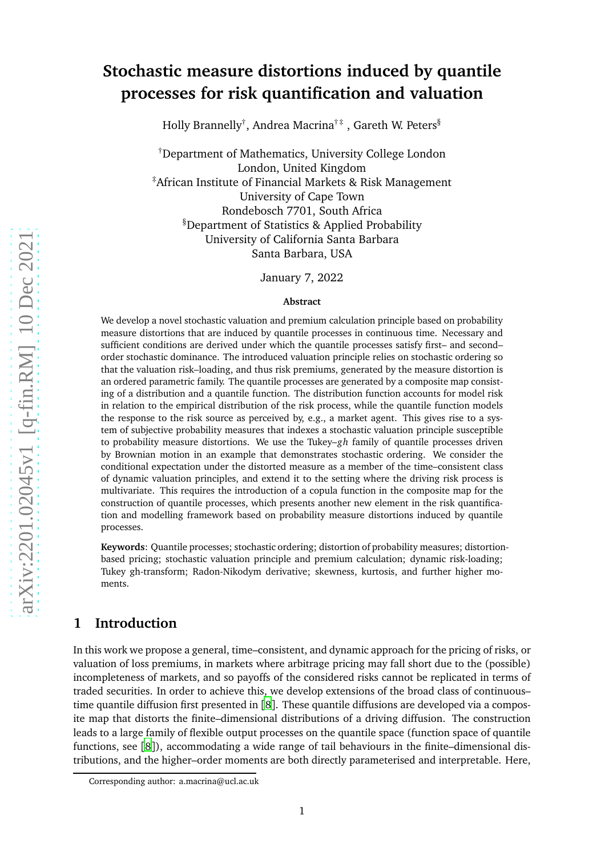# **Stochastic measure distortions induced by quantile processes for risk quantification and valuation**

Holly Brannelly $^\dagger$ , Andrea Macrina $^{\dagger\,\ddagger}$  , Gareth W. Peters $^{\S}$ 

†Department of Mathematics, University College London London, United Kingdom ‡African Institute of Financial Markets & Risk Management University of Cape Town Rondebosch 7701, South Africa §Department of Statistics & Applied Probability University of California Santa Barbara Santa Barbara, USA

January 7, 2022

#### **Abstract**

We develop a novel stochastic valuation and premium calculation principle based on probability measure distortions that are induced by quantile processes in continuous time. Necessary and sufficient conditions are derived under which the quantile processes satisfy first– and second– order stochastic dominance. The introduced valuation principle relies on stochastic ordering so that the valuation risk–loading, and thus risk premiums, generated by the measure distortion is an ordered parametric family. The quantile processes are generated by a composite map consisting of a distribution and a quantile function. The distribution function accounts for model risk in relation to the empirical distribution of the risk process, while the quantile function models the response to the risk source as perceived by, e.g., a market agent. This gives rise to a system of subjective probability measures that indexes a stochastic valuation principle susceptible to probability measure distortions. We use the Tukey–*gh* family of quantile processes driven by Brownian motion in an example that demonstrates stochastic ordering. We consider the conditional expectation under the distorted measure as a member of the time–consistent class of dynamic valuation principles, and extend it to the setting where the driving risk process is multivariate. This requires the introduction of a copula function in the composite map for the construction of quantile processes, which presents another new element in the risk quantification and modelling framework based on probability measure distortions induced by quantile processes.

**Keywords**: Quantile processes; stochastic ordering; distortion of probability measures; distortionbased pricing; stochastic valuation principle and premium calculation; dynamic risk-loading; Tukey gh-transform; Radon-Nikodym derivative; skewness, kurtosis, and further higher moments.

## **1 Introduction**

In this work we propose a general, time–consistent, and dynamic approach for the pricing of risks, or valuation of loss premiums, in markets where arbitrage pricing may fall short due to the (possible) incompleteness of markets, and so payoffs of the considered risks cannot be replicated in terms of traded securities. In order to achieve this, we develop extensions of the broad class of continuous– time quantile diffusion first presented in [[8](#page-20-0)]. These quantile diffusions are developed via a composite map that distorts the finite–dimensional distributions of a driving diffusion. The construction leads to a large family of flexible output processes on the quantile space (function space of quantile functions, see [[8](#page-20-0)]), accommodating a wide range of tail behaviours in the finite–dimensional distributions, and the higher–order moments are both directly parameterised and interpretable. Here,

Corresponding author: a.macrina@ucl.ac.uk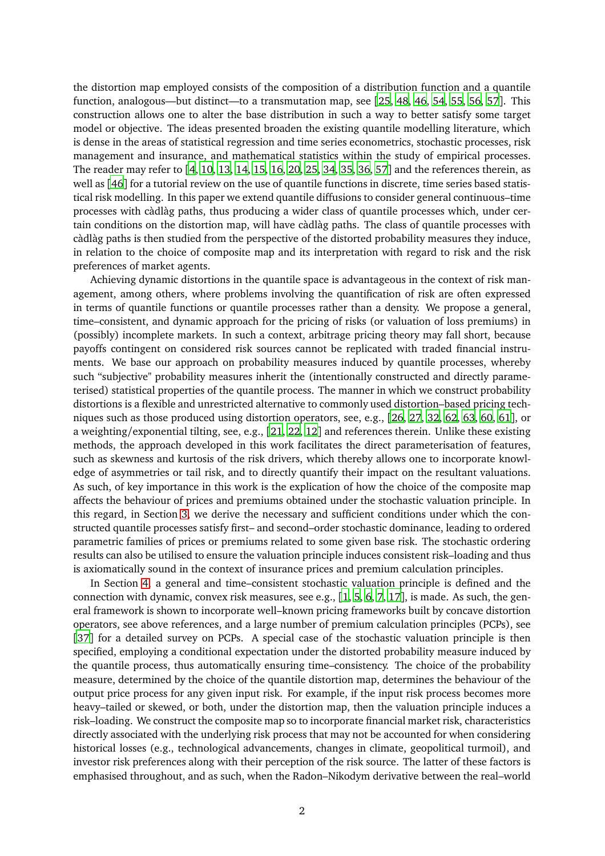the distortion map employed consists of the composition of a distribution function and a quantile function, analogous—but distinct—to a transmutation map, see [[25,](#page-21-0) [48,](#page-22-0) [46,](#page-22-1) [54](#page-23-0), [55](#page-23-1), [56,](#page-23-2) [57](#page-23-3)]. This construction allows one to alter the base distribution in such a way to better satisfy some target model or objective. The ideas presented broaden the existing quantile modelling literature, which is dense in the areas of statistical regression and time series econometrics, stochastic processes, risk management and insurance, and mathematical statistics within the study of empirical processes. The reader may refer to [[4](#page-20-1), [10](#page-20-2), [13,](#page-20-3) [14,](#page-20-4) [15,](#page-21-1) [16](#page-21-2), [20](#page-21-3), [25](#page-21-0), [34,](#page-22-2) [35,](#page-22-3) [36,](#page-22-4) [57](#page-23-3)] and the references therein, as well as [[46](#page-22-1)] for a tutorial review on the use of quantile functions in discrete, time series based statistical risk modelling. In this paper we extend quantile diffusions to consider general continuous–time processes with càdlàg paths, thus producing a wider class of quantile processes which, under certain conditions on the distortion map, will have càdlàg paths. The class of quantile processes with càdlàg paths is then studied from the perspective of the distorted probability measures they induce, in relation to the choice of composite map and its interpretation with regard to risk and the risk preferences of market agents.

Achieving dynamic distortions in the quantile space is advantageous in the context of risk management, among others, where problems involving the quantification of risk are often expressed in terms of quantile functions or quantile processes rather than a density. We propose a general, time–consistent, and dynamic approach for the pricing of risks (or valuation of loss premiums) in (possibly) incomplete markets. In such a context, arbitrage pricing theory may fall short, because payoffs contingent on considered risk sources cannot be replicated with traded financial instruments. We base our approach on probability measures induced by quantile processes, whereby such "subjective" probability measures inherit the (intentionally constructed and directly parameterised) statistical properties of the quantile process. The manner in which we construct probability distortions is a flexible and unrestricted alternative to commonly used distortion–based pricing techniques such as those produced using distortion operators, see, e.g., [[26,](#page-21-4) [27](#page-21-5), [32](#page-21-6), [62,](#page-23-4) [63](#page-23-5), [60,](#page-23-6) [61](#page-23-7)], or a weighting/exponential tilting, see, e.g., [[21,](#page-21-7) [22](#page-21-8), [12](#page-20-5)] and references therein. Unlike these existing methods, the approach developed in this work facilitates the direct parameterisation of features, such as skewness and kurtosis of the risk drivers, which thereby allows one to incorporate knowledge of asymmetries or tail risk, and to directly quantify their impact on the resultant valuations. As such, of key importance in this work is the explication of how the choice of the composite map affects the behaviour of prices and premiums obtained under the stochastic valuation principle. In this regard, in Section [3,](#page-5-0) we derive the necessary and sufficient conditions under which the constructed quantile processes satisfy first– and second–order stochastic dominance, leading to ordered parametric families of prices or premiums related to some given base risk. The stochastic ordering results can also be utilised to ensure the valuation principle induces consistent risk–loading and thus is axiomatically sound in the context of insurance prices and premium calculation principles.

In Section [4,](#page-10-0) a general and time–consistent stochastic valuation principle is defined and the connection with dynamic, convex risk measures, see e.g., [[1,](#page-20-6) [5](#page-20-7), [6,](#page-20-8) [7,](#page-20-9) [17](#page-21-9)], is made. As such, the general framework is shown to incorporate well–known pricing frameworks built by concave distortion operators, see above references, and a large number of premium calculation principles (PCPs), see [[37](#page-22-5)] for a detailed survey on PCPs. A special case of the stochastic valuation principle is then specified, employing a conditional expectation under the distorted probability measure induced by the quantile process, thus automatically ensuring time–consistency. The choice of the probability measure, determined by the choice of the quantile distortion map, determines the behaviour of the output price process for any given input risk. For example, if the input risk process becomes more heavy–tailed or skewed, or both, under the distortion map, then the valuation principle induces a risk–loading. We construct the composite map so to incorporate financial market risk, characteristics directly associated with the underlying risk process that may not be accounted for when considering historical losses (e.g., technological advancements, changes in climate, geopolitical turmoil), and investor risk preferences along with their perception of the risk source. The latter of these factors is emphasised throughout, and as such, when the Radon–Nikodym derivative between the real–world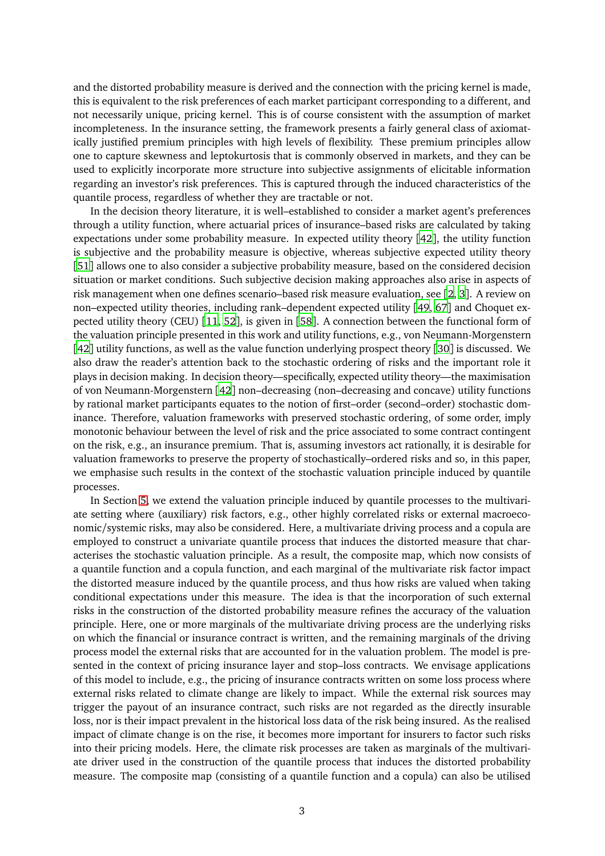and the distorted probability measure is derived and the connection with the pricing kernel is made, this is equivalent to the risk preferences of each market participant corresponding to a different, and not necessarily unique, pricing kernel. This is of course consistent with the assumption of market incompleteness. In the insurance setting, the framework presents a fairly general class of axiomatically justified premium principles with high levels of flexibility. These premium principles allow one to capture skewness and leptokurtosis that is commonly observed in markets, and they can be used to explicitly incorporate more structure into subjective assignments of elicitable information regarding an investor's risk preferences. This is captured through the induced characteristics of the quantile process, regardless of whether they are tractable or not.

In the decision theory literature, it is well–established to consider a market agent's preferences through a utility function, where actuarial prices of insurance–based risks are calculated by taking expectations under some probability measure. In expected utility theory [[42](#page-22-6)], the utility function is subjective and the probability measure is objective, whereas subjective expected utility theory [[51](#page-22-7)] allows one to also consider a subjective probability measure, based on the considered decision situation or market conditions. Such subjective decision making approaches also arise in aspects of risk management when one defines scenario–based risk measure evaluation, see [[2](#page-20-10), [3](#page-20-11)]. A review on non–expected utility theories, including rank–dependent expected utility [[49](#page-22-8), [67](#page-23-8)] and Choquet expected utility theory (CEU) [[11](#page-20-12), [52](#page-22-9)], is given in [[58](#page-23-9)]. A connection between the functional form of the valuation principle presented in this work and utility functions, e.g., von Neumann-Morgenstern [[42](#page-22-6)] utility functions, as well as the value function underlying prospect theory [[30](#page-21-10)] is discussed. We also draw the reader's attention back to the stochastic ordering of risks and the important role it plays in decision making. In decision theory—specifically, expected utility theory—the maximisation of von Neumann-Morgenstern [[42](#page-22-6)] non–decreasing (non–decreasing and concave) utility functions by rational market participants equates to the notion of first–order (second–order) stochastic dominance. Therefore, valuation frameworks with preserved stochastic ordering, of some order, imply monotonic behaviour between the level of risk and the price associated to some contract contingent on the risk, e.g., an insurance premium. That is, assuming investors act rationally, it is desirable for valuation frameworks to preserve the property of stochastically–ordered risks and so, in this paper, we emphasise such results in the context of the stochastic valuation principle induced by quantile processes.

In Section [5,](#page-17-0) we extend the valuation principle induced by quantile processes to the multivariate setting where (auxiliary) risk factors, e.g., other highly correlated risks or external macroeconomic/systemic risks, may also be considered. Here, a multivariate driving process and a copula are employed to construct a univariate quantile process that induces the distorted measure that characterises the stochastic valuation principle. As a result, the composite map, which now consists of a quantile function and a copula function, and each marginal of the multivariate risk factor impact the distorted measure induced by the quantile process, and thus how risks are valued when taking conditional expectations under this measure. The idea is that the incorporation of such external risks in the construction of the distorted probability measure refines the accuracy of the valuation principle. Here, one or more marginals of the multivariate driving process are the underlying risks on which the financial or insurance contract is written, and the remaining marginals of the driving process model the external risks that are accounted for in the valuation problem. The model is presented in the context of pricing insurance layer and stop–loss contracts. We envisage applications of this model to include, e.g., the pricing of insurance contracts written on some loss process where external risks related to climate change are likely to impact. While the external risk sources may trigger the payout of an insurance contract, such risks are not regarded as the directly insurable loss, nor is their impact prevalent in the historical loss data of the risk being insured. As the realised impact of climate change is on the rise, it becomes more important for insurers to factor such risks into their pricing models. Here, the climate risk processes are taken as marginals of the multivariate driver used in the construction of the quantile process that induces the distorted probability measure. The composite map (consisting of a quantile function and a copula) can also be utilised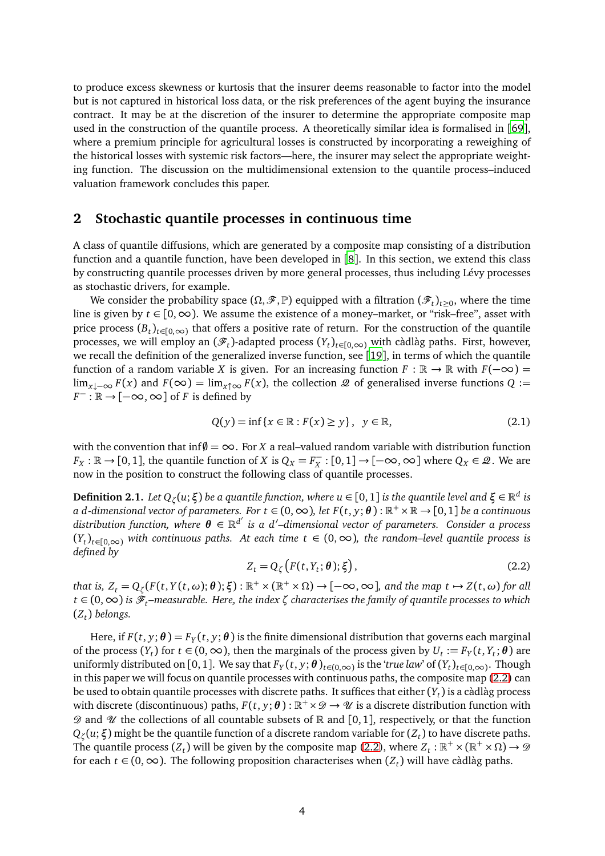to produce excess skewness or kurtosis that the insurer deems reasonable to factor into the model but is not captured in historical loss data, or the risk preferences of the agent buying the insurance contract. It may be at the discretion of the insurer to determine the appropriate composite map used in the construction of the quantile process. A theoretically similar idea is formalised in [[69](#page-23-10)], where a premium principle for agricultural losses is constructed by incorporating a reweighing of the historical losses with systemic risk factors—here, the insurer may select the appropriate weighting function. The discussion on the multidimensional extension to the quantile process–induced valuation framework concludes this paper.

### **2 Stochastic quantile processes in continuous time**

A class of quantile diffusions, which are generated by a composite map consisting of a distribution function and a quantile function, have been developed in [[8](#page-20-0)]. In this section, we extend this class by constructing quantile processes driven by more general processes, thus including Lévy processes as stochastic drivers, for example.

We consider the probability space  $(\Omega, \mathcal{F}, \mathbb{P})$  equipped with a filtration  $(\mathcal{F}_t)_{t\geq 0}$ , where the time line is given by *t* ∈ [0, ∞). We assume the existence of a money–market, or "risk–free", asset with price process  $(B_t)_{t\in[0,\infty)}$  that offers a positive rate of return. For the construction of the quantile processes, we will employ an  $(\mathscr{F}_t)$ -adapted process  $(Y_t)_{t\in[0,\infty)}$  with càdlàg paths. First, however, we recall the definition of the generalized inverse function, see [[19](#page-21-11)], in terms of which the quantile function of a random variable *X* is given. For an increasing function  $F : \mathbb{R} \to \mathbb{R}$  with  $F(-\infty) =$ lim<sub>*x*↓−∞</sub>  $F(x)$  and  $F(\infty) = \lim_{x \uparrow \infty} F(x)$ , the collection  $\mathcal Q$  of generalised inverse functions  $Q :=$  $F^-$  : ℝ → [ $-\infty$ ,  $\infty$ ] of *F* is defined by

$$
Q(y) = \inf \{ x \in \mathbb{R} : F(x) \ge y \}, \quad y \in \mathbb{R}, \tag{2.1}
$$

with the convention that inf $\emptyset = \infty$ . For *X* a real–valued random variable with distribution function *F*<sub>*X*</sub> : ℝ → [0,1], the quantile function of *X* is  $Q_X = F_X^-$  : [0,1] → [−∞, ∞] where  $Q_X \in \mathcal{Q}$ . We are now in the position to construct the following class of quantile processes.

<span id="page-3-1"></span> $\bf{Definition 2.1.}$   $\it Let$   $Q_\zeta(u;\xi)$   $be$   $a$  quantile function, where  $u$   $\in$   $[0,1]$  is the quantile level and  $\xi$   $\in$   $\mathbb{R}^d$  is  $a$  d-dimensional vector of parameters. For  $t \in (0, \infty)$ , let  $F(t, y; \theta)$  :  $\mathbb{R}^+ \times \mathbb{R} \to [0, 1]$  be a continuous *distribution function, where θ* ∈ R *d* ′ *is a d*′ *–dimensional vector of parameters. Consider a process* (*Y<sup>t</sup>* )*t*∈[0,∞) *with continuous paths. At each time t* ∈ (0,∞)*, the random–level quantile process is defined by*

<span id="page-3-0"></span>
$$
Z_t = Q_{\zeta}\big(F(t, Y_t; \theta); \xi\big),\tag{2.2}
$$

 $t$ hat is,  $Z_t = Q_\zeta(F(t, Y(t, \omega); \theta); \xi) : \mathbb{R}^+ \times (\mathbb{R}^+ \times \Omega) \to [-\infty, \infty]$ , and the map  $t \mapsto Z(t, \omega)$  for all *t* ∈ (0,∞) *is* F*t–measurable. Here, the index ζ characterises the family of quantile processes to which* (*Z<sup>t</sup>* ) *belongs.*

Here, if  $F(t, y; \theta) = F_Y(t, y; \theta)$  is the finite dimensional distribution that governs each marginal of the process  $(Y_t)$  for  $t \in (0, \infty)$ , then the marginals of the process given by  $U_t := F_Y(t, Y_t; \theta)$  are uniformly distributed on [0, 1]. We say that  $F_Y(t, y; \theta)_{t \in (0, \infty)}$  is the *'true law'* of  $(Y_t)_{t \in [0, \infty)}$ . Though in this paper we will focus on quantile processes with continuous paths, the composite map [\(2.2\)](#page-3-0) can be used to obtain quantile processes with discrete paths. It suffices that either (*Y<sup>t</sup>* ) is a càdlàg process with discrete (discontinuous) paths,  $F(t, y; \theta) : \mathbb{R}^+ \times \mathcal{D} \to \mathcal{U}$  is a discrete distribution function with  $\mathscr D$  and  $\mathscr U$  the collections of all countable subsets of  $\mathbb R$  and  $[0,1]$ , respectively, or that the function *Q<sup>ζ</sup>* (*u*;*ξ*) might be the quantile function of a discrete random variable for (*Z<sup>t</sup>* ) to have discrete paths. The quantile process  $(Z_t)$  will be given by the composite map [\(2.2\)](#page-3-0), where  $Z_t : \mathbb{R}^+ \times (\mathbb{R}^+ \times \Omega) \to \mathcal{D}$ for each *t* ∈ (0,∞). The following proposition characterises when (*Z<sup>t</sup>* ) will have càdlàg paths.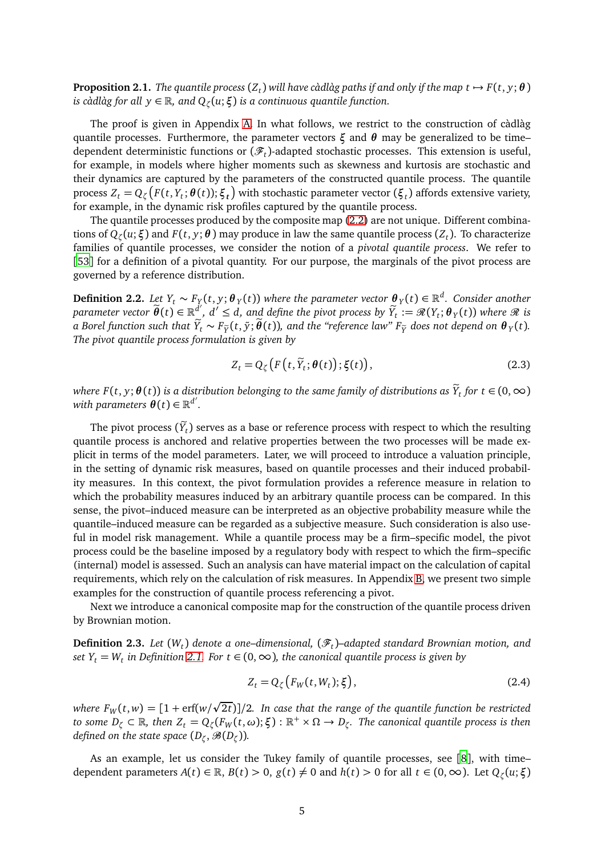<span id="page-4-1"></span>**Proposition 2.1.** The quantile process  $(Z_t)$  will have càdlàg paths if and only if the map  $t \mapsto F(t, y; \theta)$ *is càdlàg for all y* ∈ R*, and Q<sup>ζ</sup>* (*u*;*ξ*) *is a continuous quantile function.*

The proof is given in Appendix [A.](#page-24-0) In what follows, we restrict to the construction of càdlàg quantile processes. Furthermore, the parameter vectors *ξ* and *θ* may be generalized to be time– dependent deterministic functions or  $(\mathscr{F}_t)$ -adapted stochastic processes. This extension is useful, for example, in models where higher moments such as skewness and kurtosis are stochastic and their dynamics are captured by the parameters of the constructed quantile process. The quantile process  $Z_t = Q_\zeta \big(F(t, Y_t; \theta(t)); \xi_t\big)$  with stochastic parameter vector  $(\xi_t)$  affords extensive variety, for example, in the dynamic risk profiles captured by the quantile process.

The quantile processes produced by the composite map [\(2.2\)](#page-3-0) are not unique. Different combinations of *Q<sup>ζ</sup>* (*u*;*ξ*) and *F*(*t*, *y*;*θ* ) may produce in law the same quantile process (*Z<sup>t</sup>* ). To characterize families of quantile processes, we consider the notion of a *pivotal quantile process*. We refer to [[53](#page-23-11)] for a definition of a pivotal quantity. For our purpose, the marginals of the pivot process are governed by a reference distribution.

<span id="page-4-0"></span>**Definition 2.2.** Let  $Y_t$  ∼  $F_Y(t, y; \theta_Y(t))$  where the parameter vector  $\theta_Y(t) \in \mathbb{R}^d$ . Consider another  $p$ arameter vector  $\widetilde{\bm{\theta}}(t) \in \mathbb{R}_{\sim}^{d'},\ d'\leq d,$  and define the pivot process by  $\widetilde{Y}_t:=\mathscr{R}(Y_t;\bm{\theta}_Y(t))$  where  $\mathscr{R}$  is *a Borel function such that <sup>Y</sup>*e*<sup>t</sup>* <sup>∼</sup> *<sup>F</sup>Y*<sup>e</sup> (*t*, ˜*y*;*θ*e(*t*))*, and the "reference law" FY*<sup>e</sup> *does not depend on <sup>θ</sup> <sup>Y</sup>* (*t*)*. The pivot quantile process formulation is given by*

$$
Z_t = Q_{\zeta}\big(F\big(t,\widetilde{Y}_t;\theta(t)\big);\xi(t)\big),\tag{2.3}
$$

*where F*(*t*, *y*;  $\theta$ (*t*)) is a distribution belonging to the same family of distributions as  $\hat{Y}_t$  for  $t \in (0,\infty)$ *with parameters*  $\boldsymbol{\theta}(t) \in \mathbb{R}^{d'}$ .

The pivot process  $(Y_t)$  serves as a base or reference process with respect to which the resulting quantile process is anchored and relative properties between the two processes will be made explicit in terms of the model parameters. Later, we will proceed to introduce a valuation principle, in the setting of dynamic risk measures, based on quantile processes and their induced probability measures. In this context, the pivot formulation provides a reference measure in relation to which the probability measures induced by an arbitrary quantile process can be compared. In this sense, the pivot–induced measure can be interpreted as an objective probability measure while the quantile–induced measure can be regarded as a subjective measure. Such consideration is also useful in model risk management. While a quantile process may be a firm–specific model, the pivot process could be the baseline imposed by a regulatory body with respect to which the firm–specific (internal) model is assessed. Such an analysis can have material impact on the calculation of capital requirements, which rely on the calculation of risk measures. In Appendix [B,](#page-24-1) we present two simple examples for the construction of quantile process referencing a pivot.

Next we introduce a canonical composite map for the construction of the quantile process driven by Brownian motion.

**Definition 2.3.** *Let* (*W<sup>t</sup>* ) *denote a one–dimensional,* (F*<sup>t</sup>* )*–adapted standard Brownian motion, and*  $\mathit{set}\; Y_t = W_t$  in Definition [2.1.](#page-3-1) For  $t \in (0,\infty)$ , the canonical quantile process is given by

$$
Z_t = Q_{\zeta} \left( F_W(t, W_t); \xi \right), \tag{2.4}
$$

where  $F_W(t,w) = [1 + \text{erf}(w/\sqrt{2t})]/2$ . In case that the range of the quantile function be restricted *to some*  $D_\zeta \subset \mathbb{R}$ *, then*  $Z_t = Q_\zeta(F_W(t, \omega); \xi) : \mathbb{R}^+ \times \Omega \to D_\zeta$ *. The canonical quantile process is then defined on the state space*  $(D_{\zeta}, \mathscr{B}(D_{\zeta}))$ *.* 

As an example, let us consider the Tukey family of quantile processes, see [[8](#page-20-0)], with time– dependent parameters  $A(t) \in \mathbb{R}$ ,  $B(t) > 0$ ,  $g(t) \neq 0$  and  $h(t) > 0$  for all  $t \in (0, \infty)$ . Let  $Q_{\zeta}(u; \xi)$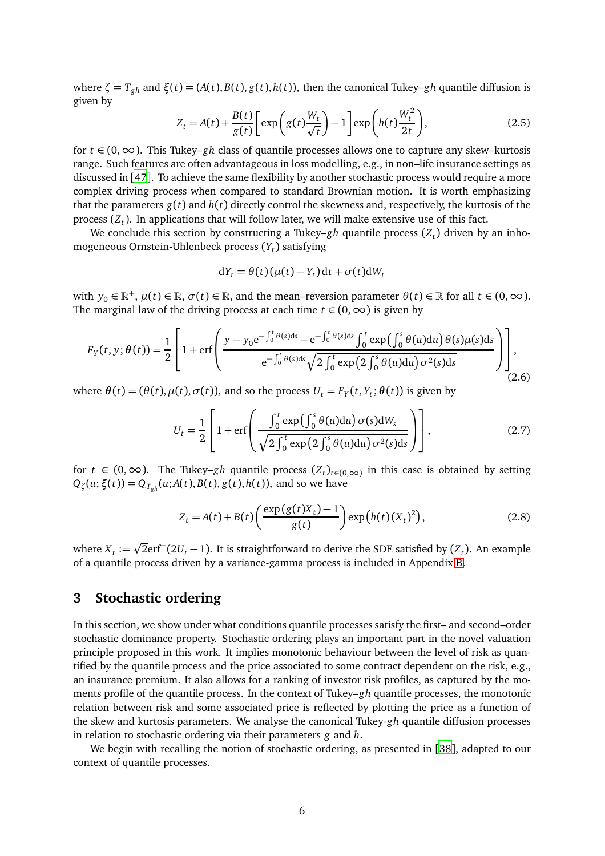where  $\zeta = T_{gh}$  and  $\xi(t) = (A(t), B(t), g(t), h(t))$ , then the canonical Tukey–*gh* quantile diffusion is given by

$$
Z_t = A(t) + \frac{B(t)}{g(t)} \left[ \exp\left(g(t)\frac{W_t}{\sqrt{t}}\right) - 1 \right] \exp\left(h(t)\frac{W_t^2}{2t}\right),\tag{2.5}
$$

for *t* ∈ (0,∞). This Tukey–*gh* class of quantile processes allows one to capture any skew–kurtosis range. Such features are often advantageous in loss modelling, e.g., in non–life insurance settings as discussed in [[47](#page-22-10)]. To achieve the same flexibility by another stochastic process would require a more complex driving process when compared to standard Brownian motion. It is worth emphasizing that the parameters  $g(t)$  and  $h(t)$  directly control the skewness and, respectively, the kurtosis of the process (*Z<sup>t</sup>* ). In applications that will follow later, we will make extensive use of this fact.

We conclude this section by constructing a Tukey–*gh* quantile process (*Z<sup>t</sup>* ) driven by an inhomogeneous Ornstein-Uhlenbeck process (*Y<sup>t</sup>* ) satisfying

$$
dY_t = \theta(t)(\mu(t) - Y_t) dt + \sigma(t) dW_t
$$

with  $y_0 \in \mathbb{R}^+, \mu(t) \in \mathbb{R}, \sigma(t) \in \mathbb{R}$ , and the mean–reversion parameter  $\theta(t) \in \mathbb{R}$  for all  $t \in (0, \infty)$ . The marginal law of the driving process at each time  $t \in (0, \infty)$  is given by

$$
F_Y(t, y; \theta(t)) = \frac{1}{2} \left[ 1 + \text{erf}\left( \frac{y - y_0 e^{-\int_0^t \theta(s) ds} - e^{-\int_0^t \theta(s) ds} \int_0^t \exp\left(\int_0^s \theta(u) du\right) \theta(s) \mu(s) ds}{e^{-\int_0^t \theta(s) ds} \sqrt{2 \int_0^t \exp\left(2 \int_0^s \theta(u) du\right) \sigma^2(s) ds}} \right) \right],
$$
\n(2.6)

where  $\theta(t) = (\theta(t), \mu(t), \sigma(t))$ , and so the process  $U_t = F_Y(t, Y_t; \theta(t))$  is given by

$$
U_t = \frac{1}{2} \left[ 1 + \text{erf}\left( \frac{\int_0^t \exp\left(\int_0^s \theta(u) \, \text{d}u\right) \sigma(s) \, \text{d}W_s}{\sqrt{2 \int_0^t \exp\left(2 \int_0^s \theta(u) \, \text{d}u\right) \sigma^2(s) \, \text{d}s}} \right) \right],\tag{2.7}
$$

for *t* ∈ (0, ∞). The Tukey–*gh* quantile process  $(Z_t)_{t \in (0,\infty)}$  in this case is obtained by setting  $Q_{\zeta}(u; \xi(t)) = Q_{T_{gh}}(u; A(t), B(t), g(t), h(t)),$  and so we have

$$
Z_t = A(t) + B(t) \left( \frac{\exp(g(t)X_t) - 1}{g(t)} \right) \exp\left(h(t) (X_t)^2\right), \tag{2.8}
$$

where  $X_t := \sqrt{2}$ erf<sup>--</sup> (2*U*<sub>*t*</sub> − 1). It is straightforward to derive the SDE satisfied by (*Z*<sub>*t*</sub>). An example of a quantile process driven by a variance-gamma process is included in Appendix [B.](#page-24-1)

### <span id="page-5-0"></span>**3 Stochastic ordering**

In this section, we show under what conditions quantile processes satisfy the first– and second–order stochastic dominance property. Stochastic ordering plays an important part in the novel valuation principle proposed in this work. It implies monotonic behaviour between the level of risk as quantified by the quantile process and the price associated to some contract dependent on the risk, e.g., an insurance premium. It also allows for a ranking of investor risk profiles, as captured by the moments profile of the quantile process. In the context of Tukey–*gh* quantile processes, the monotonic relation between risk and some associated price is reflected by plotting the price as a function of the skew and kurtosis parameters. We analyse the canonical Tukey-*gh* quantile diffusion processes in relation to stochastic ordering via their parameters *g* and *h*.

We begin with recalling the notion of stochastic ordering, as presented in [[38](#page-22-11)], adapted to our context of quantile processes.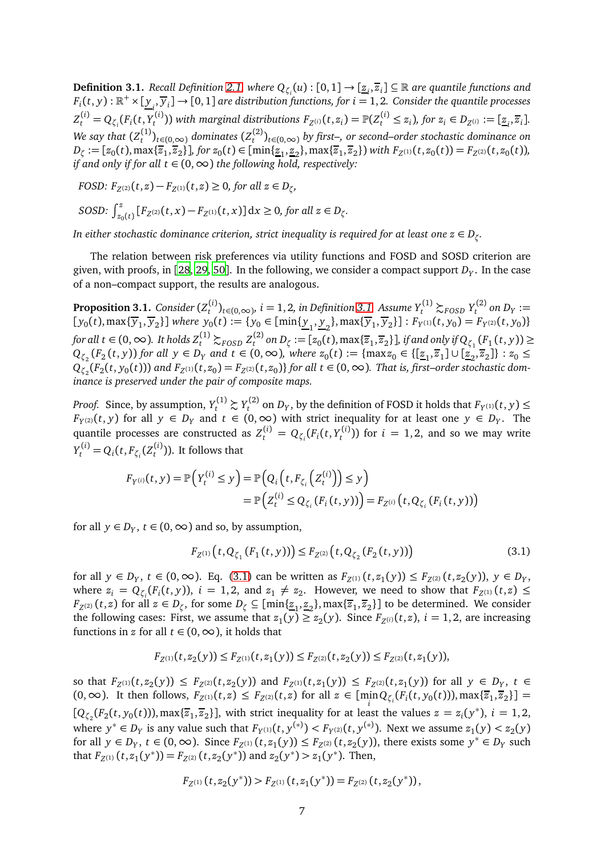<span id="page-6-0"></span> $\bf{Definition 3.1.}$  *Recall Definition [2.1,](#page-3-1) where*  $Q_{\zeta_i}(u):[0,1]\to[\underline{z}_i,\overline{z}_i]\subseteq\mathbb{R}$  *are quantile functions and*  $F_i(t,y): \mathbb{R}^+\times[\underline{y}_i,\overline{y}_i]\to[0,1]$  are distribution functions, for  $i=1,2$ . Consider the quantile processes *i*  $Z_t^{(i)} = Q_{\zeta_i}(F_i(t, Y_t^{(i)})$  $F_z^{(i)}$ )) with marginal distributions  $F_{Z^{(i)}}(t,z_i)=\mathbb{P}(Z_t^{(i)}\leq z_i)$ , for  $z_i\in D_{Z^{(i)}}:=[\underline{z}_i,\overline{z}_i]$ . We say that  $(Z^{(1)}_{t})$  $t_t^{(1)}$ <sub>*t*∈(0,∞)</sub> *dominates* ( $Z_t^{(2)}$ *t* )*t*∈(0,∞) *by first–, or second–order stochastic dominance on*  $D_{\zeta} := [z_0(t), \max\{\overline{z}_1, \overline{z}_2\}]$ , for  $z_0(t) \in [\min\{\underline{z}_1, \underline{z}_2\}, \max\{\overline{z}_1, \overline{z}_2\})$  with  $F_{Z^{(1)}}(t, z_0(t)) = F_{Z^{(2)}}(t, z_0(t))$ , *if and only if for all*  $t \in (0, \infty)$  *the following hold, respectively:* 

*,*

$$
\textit{FOSD: } F_{Z^{(2)}}(t,z) - F_{Z^{(1)}}(t,z) \geq 0 \textit{, for all } z \in D_\zeta
$$

SOSD: 
$$
\int_{z_0(t)}^z [F_{Z^{(2)}}(t,x) - F_{Z^{(1)}}(t,x)] dx \ge 0, \text{ for all } z \in D_{\zeta}.
$$

*In either stochastic dominance criterion, strict inequality is required for at least one*  $z \in D_\zeta.$ 

The relation between risk preferences via utility functions and FOSD and SOSD criterion are given, with proofs, in [[28,](#page-21-12) [29](#page-21-13), [50](#page-22-12)]. In the following, we consider a compact support  $D_Y.$  In the case of a non–compact support, the results are analogous.

<span id="page-6-2"></span>**Proposition 3.1.** *Consider* (*Z* (*i*) *t*<sup>(*i*</sup>)</sup> $<sup>t</sup>$   $\ge$  *t*∈(0,∞)*, i* = 1, 2*, in Definition* [3.1.](#page-6-0) Assume  $Y_t^{(1)} \succsim$  *FOSD*  $Y_t^{(2)}$ </sup>  $t^{(2)}$  on  $D_Y :=$  $[y_0(t), \max\{\overline{y}_1, \overline{y}_2\}]$  where  $y_0(t) := \{y_0 \in [\min\{\underline{y}_1, \underline{y}_2\}, \max\{\overline{y}_1, \overline{y}_2\}]: F_{Y^{(1)}}(t, y_0) = F_{Y^{(2)}}(t, y_0)\}$ *for all t* ∈ (0, ∞). *It holds*  $Z_t^{(1)}$   $\succsim$ <sub>*FOSD*</sub>  $Z_t^{(2)}$  $\mathcal{L}_t^{(2)}$  on  $D_\zeta := [z_0(t), \max\{\overline{z}_1, \overline{z}_2\}]$ , if and only if  $Q_{\zeta_1}(F_1(t, y)) \ge$  $Q_{\zeta_2}(F_2(t,y))$  for all  $y \in D_Y$  and  $t \in (0,\infty)$ , where  $z_0(t) := \{\max z_0 \in \{\[\underline{z}_1,\overline{z}_1\} \cup \[\underline{z}_2,\overline{z}_2\]\}: z_0 \leq$  $Q_{\zeta_2}(F_2(t, y_0(t)))$  and  $F_{Z^{(1)}}(t, z_0) = F_{Z^{(2)}}(t, z_0)$ } for all  $t \in (0, \infty)$ . That is, first–order stochastic dom*inance is preserved under the pair of composite maps.*

*Proof.* Since, by assumption,  $Y_t^{(1)} \succsim Y_t^{(2)}$  $T_t^{(2)}$  on  $D_Y$ , by the definition of FOSD it holds that  $F_{Y^{(1)}}(t, y) \leq$ *F*<sub>*Y*</sub>(2)(*t*, *y*) for all *y* ∈ *D*<sub>*Y*</sub> and *t* ∈ (0, ∞) with strict inequality for at least one *y* ∈ *D*<sub>*Y*</sub>. The quantile processes are constructed as  $Z_t^{(i)} = Q_{\zeta_i}(F_i(t,Y_t^{(i)})$  $t_t^{(l)}$ )) for  $i = 1, 2$ , and so we may write  $Y_t^{(i)} = Q_i(t, F_{\zeta_i}(Z_t^{(i)})$  $t^{(1)}$ ). It follows that

$$
F_{Y^{(i)}}(t, y) = \mathbb{P}\Big(Y_t^{(i)} \le y\Big) = \mathbb{P}\Big(Q_i\Big(t, F_{\zeta_i}\Big(Z_t^{(i)}\Big)\Big) \le y\Big) \\ = \mathbb{P}\Big(Z_t^{(i)} \le Q_{\zeta_i}\big(F_i(t, y)\big)\Big) = F_{Z^{(i)}}\Big(t, Q_{\zeta_i}\big(F_i(t, y)\big)\Big)
$$

for all  $y \in D_Y$ ,  $t \in (0, \infty)$  and so, by assumption,

<span id="page-6-1"></span>
$$
F_{Z^{(1)}}(t, Q_{\zeta_1}(F_1(t, y))) \le F_{Z^{(2)}}(t, Q_{\zeta_2}(F_2(t, y)))
$$
\n(3.1)

for all  $y \in D_Y$ ,  $t \in (0, \infty)$ . Eq. [\(3.1\)](#page-6-1) can be written as  $F_{Z^{(1)}}(t, z_1(y)) \le F_{Z^{(2)}}(t, z_2(y))$ ,  $y \in D_Y$ , where  $z_i = Q_{\zeta_i}(F_i(t, y))$ ,  $i = 1, 2$ , and  $z_1 \neq z_2$ . However, we need to show that  $F_{Z^{(1)}}(t, z) \leq$ *F*<sub>Z</sub>(2)</sub> (*t*, *z*) for all  $z \in D_\zeta$ , for some  $D_\zeta \subseteq [\min\{\underline{z}_1, \underline{z}_2\}$ ,  $\max\{\overline{z}_1, \overline{z}_2\}]$  to be determined. We consider the following cases: First, we assume that  $z_1(y) \ge z_2(y)$ . Since  $F_{Z^{(i)}}(t, z)$ ,  $i = 1, 2$ , are increasing functions in *z* for all  $t \in (0, \infty)$ , it holds that

$$
F_{Z^{(1)}}(t, z_2(y)) \leq F_{Z^{(1)}}(t, z_1(y)) \leq F_{Z^{(2)}}(t, z_2(y)) \leq F_{Z^{(2)}}(t, z_1(y)),
$$

so that  $F_{Z^{(1)}}(t, z_2(y)) \leq F_{Z^{(2)}}(t, z_2(y))$  and  $F_{Z^{(1)}}(t, z_1(y)) \leq F_{Z^{(2)}}(t, z_1(y))$  for all  $y \in D_Y$ ,  $t \in$  $(0,\infty)$ . It then follows,  $F_{Z^{(1)}}(t,z) \leq F_{Z^{(2)}}(t,z)$  for all  $z \in [\min_{i} Q_{\zeta_i}(F_i(t,y_0(t))), \max{\{\overline{z}_1,\overline{z}_2\}}] =$  $[Q_{\zeta_2}(F_2(t, y_0(t)))$ , max $\{\overline{z}_1, \overline{z}_2\}$ , with strict inequality for at least the values  $z = z_i(y^*)$ ,  $i = 1, 2$ , where  $y^* \in D_Y$  is any value such that  $F_{Y^{(1)}}(t, y^{(*)}) < F_{Y^{(2)}}(t, y^{(*)})$ . Next we assume  $z_1(y) < z_2(y)$ for all  $y \in D_Y$ ,  $t \in (0, \infty)$ . Since  $F_{Z^{(1)}}(t, z_1(y)) \leq F_{Z^{(2)}}(t, z_2(y))$ , there exists some  $y^* \in D_Y$  such that  $F_{Z^{(1)}}(t, z_1(y^*)) = F_{Z^{(2)}}(t, z_2(y^*))$  and  $z_2(y^*) > z_1(y^*)$ . Then,

$$
F_{Z^{(1)}}(t, z_2(y^*)) > F_{Z^{(1)}}(t, z_1(y^*)) = F_{Z^{(2)}}(t, z_2(y^*)),
$$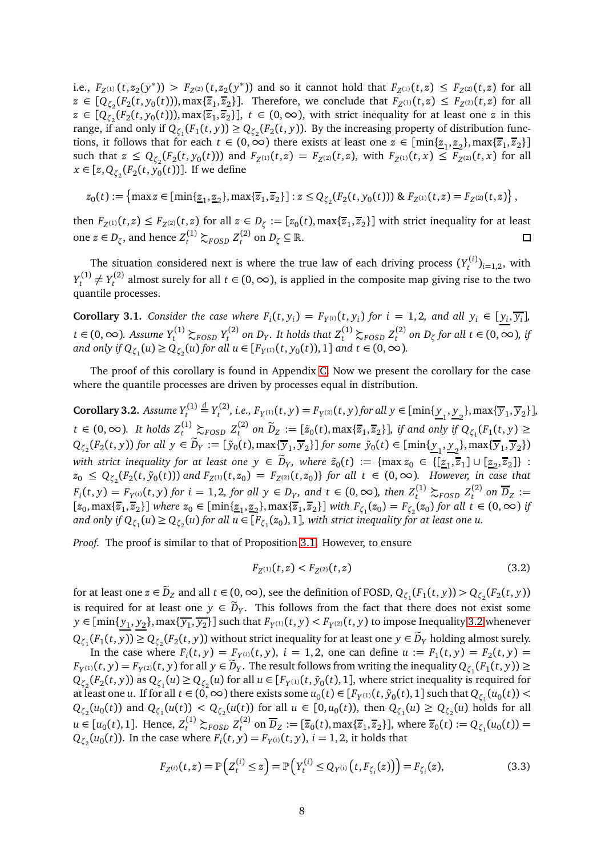i.e.,  $F_{Z^{(1)}}(t, z_2(y^*)) > F_{Z^{(2)}}(t, z_2(y^*))$  and so it cannot hold that  $F_{Z^{(1)}}(t, z) \leq F_{Z^{(2)}}(t, z)$  for all  $z \in [Q_{\zeta_2}(F_2(t, y_0(t))), \max\{\overline{z}_1, \overline{z}_2\}]$ . Therefore, we conclude that  $F_{Z^{(1)}}(t, z) \leq F_{Z^{(2)}}(t, z)$  for all  $z \in [Q_{\zeta_2}(F_2(t, y_0(t))), \max\{\overline{z}_1, \overline{z}_2\}], t \in (0, \infty)$ , with strict inequality for at least one *z* in this range, if and only if  $Q_{\zeta_1}(F_1(t,y)) \geq Q_{\zeta_2}(F_2(t,y))$ . By the increasing property of distribution functions, it follows that for each  $t \in (0, \infty)$  there exists at least one  $z \in [\min\{\underline{z}_1, \underline{z}_2\}, \max\{\overline{z}_1, \overline{z}_2\}]$ such that  $z \le Q_{\zeta_2}(F_2(t,y_0(t)))$  and  $F_{Z^{(1)}}(t,z) = F_{Z^{(2)}}(t,z)$ , with  $F_{Z^{(1)}}(t,x) \le F_{Z^{(2)}}(t,x)$  for all *x* ∈ [*z*, *Q*<sub> $\zeta_2$ </sub>(*F*<sub>2</sub>(*t*, *y*<sub>0</sub>(*t*))]. If we define

$$
z_0(t) := \left\{\max z \in [\min\{\underline{z}_1, \underline{z}_2\}, \max\{\overline{z}_1, \overline{z}_2\}]: z \leq Q_{\zeta_2}(F_2(t, y_0(t))) \& F_{Z^{(1)}}(t, z) = F_{Z^{(2)}}(t, z)\right\},\,
$$

then  $F_{Z^{(1)}}(t,z) \leq F_{Z^{(2)}}(t,z)$  for all  $z \in D_{\zeta} := [z_0(t), \max\{\overline{z}_1,\overline{z}_2\}]$  with strict inequality for at least one  $z \in D_{\zeta}$ , and hence  $Z_t^{(1)} \succsim_{FOSD} Z_t^{(2)}$  $L_t^{(2)}$  on  $D_\zeta \subseteq \mathbb{R}$ .  $\Box$ 

The situation considered next is where the true law of each driving process  $(Y^{(i)}_t$  $t^{(i)}_{t}$ <sub> $i=1,2$ </sub>, with  $Y_t^{(1)}$  $Y_t^{(1)} \neq Y_t^{(2)}$  $t_t^{(2)}$  almost surely for all *t* ∈ (0, ∞), is applied in the composite map giving rise to the two quantile processes.

<span id="page-7-2"></span>**Corollary 3.1.** Consider the case where  $F_i(t, y_i) = F_{Y^{(i)}}(t, y_i)$  for  $i = 1, 2$ , and all  $y_i \in [y_i, \overline{y_i}]$ , *t* ∈ (0, ∞). Assume  $Y_t^{(1)}$   $\gtrsim_{FOSD} Y_t^{(2)}$  $\mathcal{L}_t^{(2)}$  on  $D_Y$ . It holds that  $Z_t^{(1)} \succsim_{FOSD} Z_t^{(2)}$  $t_t$ <sup>(2)</sup> on D<sub>ζ</sub> for all  $t \in (0, ∞)$ , if and only if  $Q_{\zeta_1}(u) \geq Q_{\zeta_2}(u)$  for all  $u \in [F_{Y^{(1)}}(t, y_0(t)), 1]$  and  $t \in (0, \infty)$ .

The proof of this corollary is found in Appendix [C.](#page-27-0) Now we present the corollary for the case where the quantile processes are driven by processes equal in distribution.

<span id="page-7-1"></span> $\operatorname{\mathsf{Corollary}}\nolimits 3.2.$  *Assume*  $Y_t^{(1)}$  $\stackrel{d}{=} Y_t^{(2)}$  $f_t^{(2)}$ , *i.e.,*  $F_{Y^{(1)}}(t, y) = F_{Y^{(2)}}(t, y)$  for all  $y \in [\min\{\underline{y}_1, \underline{y}_2\}, \max\{\overline{y}_1, \overline{y}_2\}]$ , *t* ∈ (0, ∞). It holds  $Z_t^{(1)} \succeq_{FOSD} Z_t^{(2)}$  on  $\tilde{D}_Z := [\tilde{z}_0(t), \max{\{\overline{z}_1, \overline{z}_2\}}]$ , if and only if  $\theta$  $\mathcal{L}^{(2)}$  on  $D_Z := [\tilde{z}_0(t), \max\{\overline{z}_1, \overline{z}_2\}]$ *, if and only if*  $Q_{\zeta_1}(F_1(t, y) \geq 0$  $Q_{\zeta_2}(F_2(t,y))$  for all  $y \in D_Y := [\tilde{y}_0(t), \max\{\overline{y}_1,\overline{y}_2\}]$  for some  $\tilde{y}_0(t) \in [\min\{\underline{y}_1,\underline{y}_2\}, \max\{\overline{y}_1,\overline{y}_2\})$ with strict inequality for at least one  $y \in D_y$ , where  $\tilde{z}_0(t) := \{\max z_0 \in \{[\underline{z}_1,\overline{z}_1] \cup [\underline{z}_2,\overline{z}_2]\}$ :  $z_0 \le Q_{\zeta_2}(F_2(t, \tilde{y}_0(t)))$  and  $F_{Z^{(1)}}(t, z_0) = F_{Z^{(2)}}(t, z_0)$  for all  $t \in (0, \infty)$ . However, in case that *F*<sub>*i*</sub>(*t*, *y*) = *F*<sub>*Y*</sub>(*i*)(*t*, *y*) *for i* = 1, 2, *for all y* ∈ *D*<sub>*Y*</sub>, and *t* ∈ (0, ∞), *then*  $Z_t^{(1)} \succsim_{FOSD} Z_t^{(2)}$  $L_1^{(2)}$  on  $D_Z :=$  $[z_0, \max\{\overline{z}_1, \overline{z}_2\}]$  where  $z_0 \in [\min\{\underline{z}_1, \underline{z}_2\}, \max\{\overline{z}_1, \overline{z}_2\}]$  with  $F_{\zeta_1}(z_0) = F_{\zeta_2}(z_0)$  for all  $t \in (0, \infty)$  if and only if  $Q_{\zeta_1}(u) \geq Q_{\zeta_2}(u)$  for all  $u \in [F_{\zeta_1}(z_0),1]$ , with strict inequality for at least one  $u$ .

*Proof.* The proof is similar to that of Proposition [3.1.](#page-6-2) However, to ensure

<span id="page-7-0"></span>
$$
F_{Z^{(1)}}(t,z) < F_{Z^{(2)}}(t,z) \tag{3.2}
$$

for at least one  $z \in D_Z$  and all  $t \in (0, \infty)$ , see the definition of FOSD,  $Q_{\zeta_1}(F_1(t,y)) > Q_{\zeta_2}(F_2(t,y))$ is required for at least one  $y \in D_y$ . This follows from the fact that there does not exist some  $y \in [\min\{\underline{y_1},\underline{y_2}\},\max\{\overline{y_1},\overline{y_2}\}]$  such that  $F_{Y^{(1)}}(t,y) < F_{Y^{(2)}}(t,y)$  to impose Inequality [3.2](#page-7-0) whenever  $Q_{\zeta_1}(F_1(t, y)) \geq Q_{\zeta_2}(F_2(t, y))$  without strict inequality for at least one  $y \in D_Y$  holding almost surely.

In the case where  $F_i(t, y) = F_{Y^{(i)}}(t, y)$ ,  $i = 1, 2$ , one can define  $u := F_1(t, y) = F_2(t, y) =$  $F_{Y^{(1)}}(t, y) = F_{Y^{(2)}}(t, y)$  for all  $y \in D_Y$ . The result follows from writing the inequality  $Q_{\zeta_1}(F_1(t, y)) \ge$  $Q_{\zeta_2}(F_2(t,y))$  as  $Q_{\zeta_1}(u) \ge Q_{\zeta_2}(u)$  for all  $u \in [F_{Y^{(1)}}(t,\tilde{y}_0(t),1]$ , where strict inequality is required for at least one *u*. If for all  $t \in (0, \infty)$  there exists some  $u_0(t) \in [F_{Y^{(1)}}(t, \tilde{y}_0(t), 1]$  such that  $Q_{\zeta_1}(u_0(t)) <$  $Q_{\zeta_2}(u_0(t))$  and  $Q_{\zeta_1}(u(t)) < Q_{\zeta_2}(u(t))$  for all  $u \in [0, u_0(t))$ , then  $Q_{\zeta_1}(u) \geq Q_{\zeta_2}(u)$  holds for all  $u \in [u_0(t), 1]$ . Hence,  $Z_t^{(1)} \succsim_{FOSD} Z_t^{(2)}$  $\overline{z}_0(t)$  on  $D_Z := [\overline{z}_0(t), \max{\{\overline{z}_1, \overline{z}_2\}}\}$ , where  $\overline{z}_0(t) := Q_{\zeta_1}(u_0(t)) = 0$  $Q_{\zeta_2}(u_0(t))$ . In the case where  $F_i(t, y) = F_{Y^{(i)}}(t, y)$ ,  $i = 1, 2$ , it holds that

$$
F_{Z^{(i)}}(t,z) = \mathbb{P}\Big(Z_t^{(i)} \le z\Big) = \mathbb{P}\Big(Y_t^{(i)} \le Q_{Y^{(i)}}\big(t, F_{\zeta_i}(z)\big)\Big) = F_{\zeta_i}(z),\tag{3.3}
$$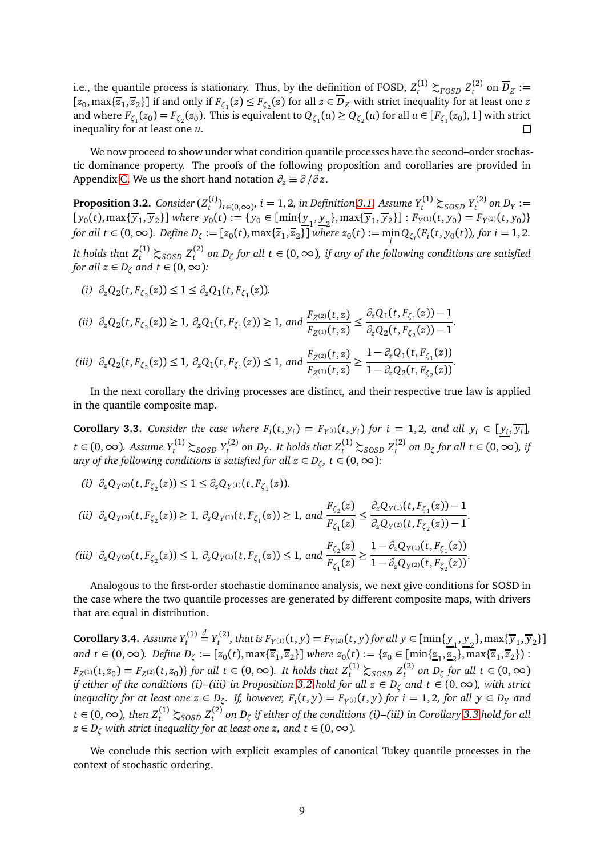i.e., the quantile process is stationary. Thus, by the definition of FOSD,  $Z_t^{(1)} \succsim_{FOSD} Z_t^{(2)}$  $L_z^{(2)}$  on  $D_Z :=$  $[z_0, \max\{\overline{z}_1, \overline{z}_2\}]$  if and only if  $F_{\zeta_1}(z) \leq F_{\zeta_2}(z)$  for all  $z \in D_Z$  with strict inequality for at least one  $z$ and where  $F_{\zeta_1}(z_0) = F_{\zeta_2}(z_0)$ . This is equivalent to  $Q_{\zeta_1}(u) \geq Q_{\zeta_2}(u)$  for all  $u \in [F_{\zeta_1}(z_0), 1]$  with strict inequality for at least one *u*.

We now proceed to show under what condition quantile processes have the second–order stochastic dominance property. The proofs of the following proposition and corollaries are provided in Appendix [C.](#page-27-0) We us the short-hand notation  $\partial_z \equiv \partial/\partial z$ .

<span id="page-8-0"></span>**Proposition 3.2.** *Consider* (*Z* (*i*) *t*<sup>(*i*)</sup><sub>*t*∈(0,∞)</sub>, *i* = 1, 2, *in Definition* [3.1.](#page-6-0) Assume  $Y_t^{(1)} \succsim$  *SOSD*  $Y_t^{(2)}$  $t^{(2)}$  on  $D_Y :=$  $[y_0(t), \max\{\overline{y}_1, \overline{y}_2\}]$  where  $y_0(t) := \{y_0 \in [\min\{\underline{y}_1, \underline{y}_2\}, \max\{\overline{y}_1, \overline{y}_2\}] : F_{Y^{(1)}}(t, y_0) = F_{Y^{(2)}}(t, y_0)\}$ for all  $t \in (0, \infty)$ . Define  $D_{\zeta} := [z_0(t), \max\{\overline{z}_1, \overline{z}_2\}]$  where  $z_0(t) := \min_i Q_{\zeta_i}(F_i(t, y_0(t)),$  for  $i = 1, 2$ .

It holds that  $Z_t^{(1)} \succsim_{SOSD} Z_t^{(2)}$ *t on D<sup>ζ</sup> for all t* ∈ (0,∞)*, if any of the following conditions are satisfied for all*  $z \in D_{\zeta}$  *and*  $t \in (0, \infty)$ :

$$
(i) \partial_z Q_2(t, F_{\zeta_2}(z)) \leq 1 \leq \partial_z Q_1(t, F_{\zeta_1}(z)).
$$

$$
\begin{aligned} \text{(ii)} \ \ \partial_z Q_2(t, F_{\zeta_2}(z)) &\ge 1, \ \partial_z Q_1(t, F_{\zeta_1}(z)) \ge 1, \ \text{and} \ \frac{F_{Z^{(2)}}(t, z)}{F_{Z^{(1)}}(t, z)} &\le \frac{\partial_z Q_1(t, F_{\zeta_1}(z)) - 1}{\partial_z Q_2(t, F_{\zeta_2}(z)) - 1}.\\ \text{(iii)} \ \ \partial_z Q_2(t, F_{\zeta_2}(z)) &\le 1, \ \partial_z Q_1(t, F_{\zeta_1}(z)) &\le 1, \ \text{and} \ \frac{F_{Z^{(2)}}(t, z)}{F_{Z^{(1)}}(t, z)} &\ge \frac{1 - \partial_z Q_1(t, F_{\zeta_1}(z))}{1 - \partial_z Q_2(t, F_{\zeta_2}(z))}. \end{aligned}
$$

In the next corollary the driving processes are distinct, and their respective true law is applied in the quantile composite map.

<span id="page-8-1"></span>**Corollary 3.3.** Consider the case where  $F_i(t, y_i) = F_{Y^{(i)}}(t, y_i)$  for  $i = 1, 2$ , and all  $y_i \in [y_i, \overline{y_i}]$ , *t* ∈ (0, ∞). Assume  $Y_t^{(1)}$   $\gtrsim$  *SOSD*  $Y_t^{(2)}$  $\mathcal{L}_t^{(2)}$  on  $D_Y$ . It holds that  $Z_t^{(1)} \succsim_{SOSD} Z_t^{(2)}$  $t_t^{(2)}$  on  $D_\zeta$  for all  $t \in (0, ∞)$ , if *any of the following conditions is satisfied for all*  $z \in D_{\zeta}$ *,*  $t \in (0, \infty)$ *:* 

- *(i)*  $\partial_z Q_{Y^{(2)}}(t, F_{\zeta_2}(z)) \leq 1 \leq \partial_z Q_{Y^{(1)}}(t, F_{\zeta_1}(z)).$
- *(ii)*  $\partial_z Q_{Y^{(2)}}(t, F_{\zeta_2}(z)) \geq 1$ ,  $\partial_z Q_{Y^{(1)}}(t, F_{\zeta_1}(z)) \geq 1$ , and  $F_{\zeta_2}(z)$  $\frac{F_{\zeta_1}(z)}{F_{\zeta_1}(z)} \leq$  $\partial_z Q_{Y^{(1)}}(t, F_{\zeta_1}(z)) - 1$  $\frac{1}{2}Q_{\gamma(2)}(t, F_{\zeta_2}(z)) - 1$ . *(iii)*  $\partial_z Q_{Y^{(2)}}(t, F_{\zeta_2}(z)) \leq 1$ ,  $\partial_z Q_{Y^{(1)}}(t, F_{\zeta_1}(z)) \leq 1$ , and  $F_{\zeta_2}(z)$  $\frac{F_{\zeta_1}(z)}{F_{\zeta_2}(z)}$  $1 - \partial_z Q_{Y^{(1)}}(t, F_{\zeta_1}(z))$  $\frac{1 - \partial_z Q_{Y^{(2)}}(t, F_{\zeta_2}(z))}{1 - \partial_z Q_{Y^{(2)}}(t, F_{\zeta_2}(z))}.$

Analogous to the first-order stochastic dominance analysis, we next give conditions for SOSD in the case where the two quantile processes are generated by different composite maps, with drivers that are equal in distribution.

<span id="page-8-2"></span>**Corollary 3.4.** Assume  $Y_t^{(1)}$  $\stackrel{d}{=} Y_t^{(2)}$ *t*<sup>(2)</sup>, that is  $F_{Y^{(1)}}(t, y) = F_{Y^{(2)}}(t, y)$  for all  $y \in [\min\{\underline{y}_1, \underline{y}_2\}, \max\{\overline{y}_1, \overline{y}_2\}]$  $\lim_{t \to \infty} f(x, y, z) = \lim_{t \to \infty} \left[ \lim_{t \to \infty} \frac{f(x, y, z)}{f(x, z)} \right]$  where  $z_0(t) := \{z_0 \in [\min\{\underline{z}_1, \underline{z}_2\}, \max\{\overline{z}_1, \overline{z}_2\}\}$ : *F*<sub>Z</sub>(1)</sub>(*t*, *z*<sub>0</sub>) = *F*<sub>Z</sub>(2)(*t*, *z*<sub>0</sub>)} *for all t* ∈ (0, ∞)*. It holds that*  $Z_t^{(1)}$   $\gtrsim$  *SOSD*  $Z_t^{(2)}$ *t*<sup>2*j*</sup> on D<sub>ζ</sub> for all  $t \in (0, ∞)$ *if either of the conditions (i)–(iii) in Proposition [3.2](#page-8-0) hold for all z* ∈ *D<sup>ζ</sup> and t* ∈ (0,∞)*, with strict* inequality for at least one  $z \in D_{\zeta}$ . If, however,  $F_i(t, y) = F_{Y^{(i)}}(t, y)$  for  $i = 1, 2$ , for all  $y \in D_Y$  and *t* ∈ (0, ∞), then  $Z_t^{(1)}$   $\gtrsim$  *SOSD*  $Z_t^{(2)}$ *t on D<sup>ζ</sup> if either of the conditions (i)–(iii) in Corollary [3.3](#page-8-1) hold for all*  $z \in D_\zeta$  *with strict inequality for at least one z, and t* ∈ (0,  $\infty$ ).

We conclude this section with explicit examples of canonical Tukey quantile processes in the context of stochastic ordering.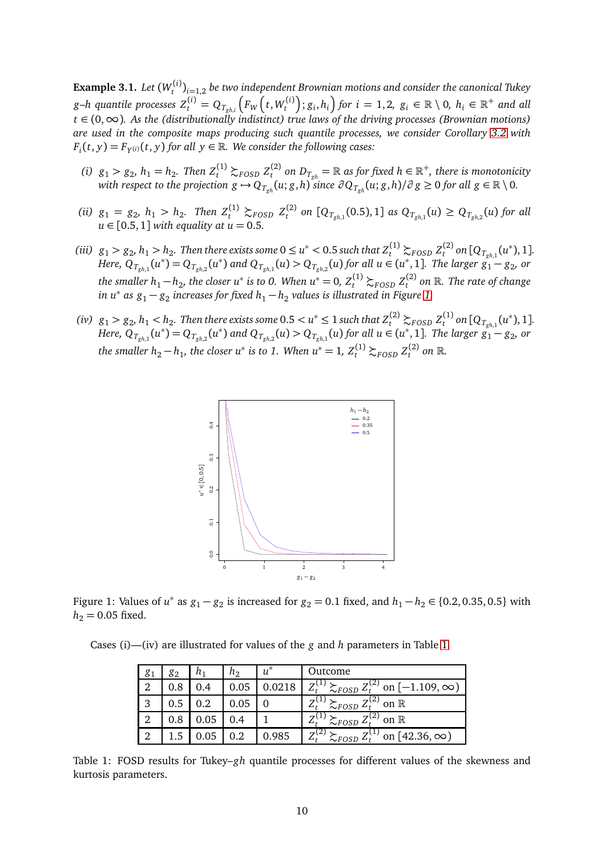<span id="page-9-2"></span>**Example 3.1.** *Let* (*W* (*i*) *t* )*i*=1,2 *be two independent Brownian motions and consider the canonical Tukey g–h quantile processes*  $Z_t^{(i)} = Q_{T_{gh,i}}\left(F_W\left(t,W_t^{(i)}\right)\right)$  $f_t^{(i)}$ ;  $g_i, h_i$ ) for  $i = 1, 2, g_i \in \mathbb{R} \setminus 0$ ,  $h_i \in \mathbb{R}^+$  and all *t* ∈ (0,∞)*. As the (distributionally indistinct) true laws of the driving processes (Brownian motions) are used in the composite maps producing such quantile processes, we consider Corollary [3.2](#page-7-1) with*  $F_i(t, y) = F_{Y^{(i)}}(t, y)$  for all  $y \in \mathbb{R}$ . We consider the following cases:

- *(i)*  $g_1 > g_2$ ,  $h_1 = h_2$ . Then  $Z_t^{(1)} \succsim_{FOSD} Z_t^{(2)}$  $L_t^{(2)}$  on  $D_{T_{gh}} = \mathbb{R}$  as for fixed  $h \in \mathbb{R}^+$ , there is monotonicity with respect to the projection  $g\mapsto Q_{T_{gh}}(u;g,h)$  since  $\partial Q_{T_{gh}}(u;g,h)/\partial\,g\geq 0$  for all  $g\in\mathbb{R}\setminus 0.$
- *(ii)*  $g_1 = g_2$ ,  $h_1 > h_2$ . Then  $Z_t^{(1)} \succsim_{FOSD} Z_t^{(2)}$  $Q_{T_{gh,1}}(0.5), 1]$  *as*  $Q_{T_{gh,1}}(u) \geq Q_{T_{gh,2}}(u)$  *for all*  $u \in [0.5, 1]$  *with equality at*  $u = 0.5$ .
- (iii)  $g_1 > g_2, h_1 > h_2$ . Then there exists some  $0 \le u^* < 0.5$  such that  $Z_t^{(1)} \succsim_{FOSD} Z_t^{(2)}$  $\int_{t}^{(2)}$  on  $[Q_{T_{gh,1}}(u^*),1]$ . Here,  $\mathrm{Q}_{T_{gh,1}}(u^*)$   $=$   $\mathrm{Q}_{T_{gh,2}}(u^*)$  and  $\mathrm{Q}_{T_{gh,1}}(u)$   $>$   $\mathrm{Q}_{T_{gh,2}}(u)$  for all  $u$   $\in$   $(u^*,1]$ . The larger  $g_1 g_2$ , or *the smaller*  $h_1 - h_2$ *, the closer*  $u^*$  *is to 0. When*  $u^* = 0$ *,*  $Z_t^{(1)} \succsim_{FOSD} Z_t^{(2)}$ *t on* R*. The rate of change in u* $^*$  as  $g_1$  −  $g_2$  increases for fixed  $h_1$  −  $h_2$  values is illustrated in Figure [1.](#page-9-0)
- <span id="page-9-0"></span>(iv)  $g_1 > g_2, h_1 < h_2$ . Then there exists some  $0.5 < u^* \leq 1$  such that  $Z_t^{(2)} \succsim_{FOSD} Z_t^{(1)}$  $\int_t^{(1)}$  on  $[Q_{T_{gh,1}}(u^*),1]$ . Here,  $\mathrm{Q}_{T_{gh,1}}(u^*)$   $=$   $\mathrm{Q}_{T_{gh,2}}(u^*)$  and  $\mathrm{Q}_{T_{gh,2}}(u)$   $>$   $\mathrm{Q}_{T_{gh,1}}(u)$  for all  $u$   $\in$   $(u^*,1]$ . The larger  $g_1 g_2$ , or *the smaller*  $h_2 - h_1$ *, the closer*  $u^*$  *is to 1. When*  $u^* = 1$ *,*  $Z_t^{(1)} \succsim_{FOSD} Z_t^{(2)}$  $t^{(2)}$  on  $\mathbb{R}$ .



Figure 1: Values of  $u^*$  as  $g_1 - g_2$  is increased for  $g_2 = 0.1$  fixed, and  $h_1 - h_2 \in \{0.2, 0.35, 0.5\}$  with  $h_2 = 0.05$  fixed.

<span id="page-9-1"></span>Cases (i)—(iv) are illustrated for values of the *g* and *h* parameters in Table [1.](#page-9-1)

| 81 | 82  | n,   | n <sub>2</sub> | $u^*$ | Outcome                                                                      |
|----|-----|------|----------------|-------|------------------------------------------------------------------------------|
| 2  | 0.8 |      |                |       | $\sum_{FOSD} \frac{Z_t^{(2)}}{Z_t^{(2)}}$ on $[-1.109, \infty)$<br>$7^{(1)}$ |
| 3  | 0.5 | 0.2  |                |       | $\overline{ }$<br>on $\mathbb R$<br>$\sim$ FOSD                              |
| າ  | 0.8 | 0.05 |                |       | 2)<br>7<br>on $\mathbb R$<br>$\sim$ FOSD                                     |
|    |     | 0.05 | $\rm 0.2$      | 0.985 | $\left( 2\right)$<br>on [42.36, $\infty$ )<br>$\overline{ }$<br>$\sim$ FOSD  |

Table 1: FOSD results for Tukey–*gh* quantile processes for different values of the skewness and kurtosis parameters.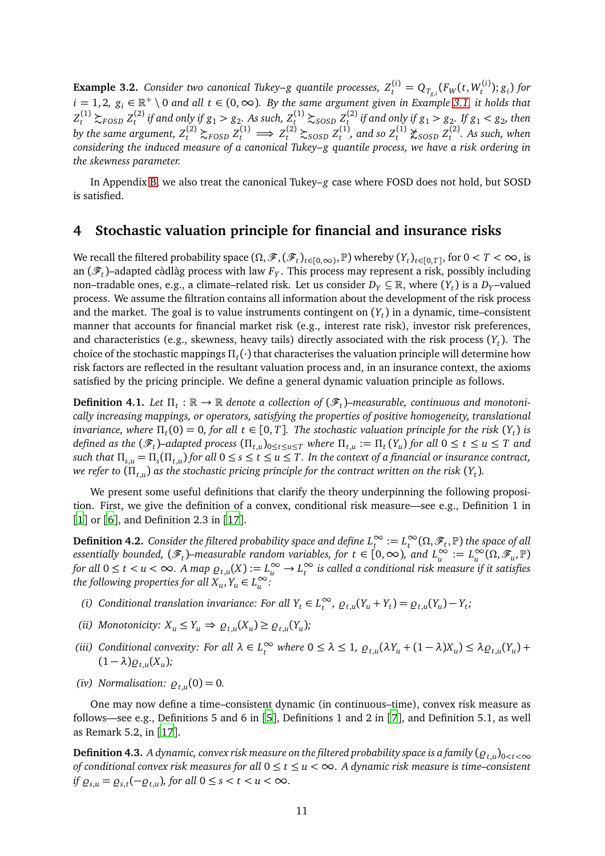<span id="page-10-4"></span>**Example 3.2.** Consider two canonical Tukey–g quantile processes,  $Z_t^{(i)} = Q_{T_{g,i}}(F_W(t,W_t^{(i)})$ *t* ); *g<sup>i</sup>* ) *for*  $i = 1, 2, g_i \in \mathbb{R}^+ \setminus 0$  and all  $t \in (0, \infty)$ . By the same argument given in Example [3.1,](#page-9-2) it holds that  $Z_t^{(1)} \succsim_{FOSD} Z_t^{(2)}$  $\sigma_t^{(2)}$  if and only if  $g_1 > g_2$ . As such,  $Z_t^{(1)} \succsim_{SOSD} Z_t^{(2)}$  $\int_{t}^{(2)}$  *if and only if*  $g_1 > g_2$ *. If*  $g_1 < g_2$ *, then by the same argument,*  $Z_t^{(2)} \succsim_{FOSD} Z_t^{(1)} \Longrightarrow Z_t^{(2)} \succsim_{SOSD} Z_t^{(1)}$  $Z_t^{(1)}$ , and so  $Z_t^{(1)}$   $\chi_{SOSD} Z_t^{(2)}$ *t . As such, when considering the induced measure of a canonical Tukey–g quantile process, we have a risk ordering in the skewness parameter.*

In Appendix [B,](#page-24-1) we also treat the canonical Tukey–*g* case where FOSD does not hold, but SOSD is satisfied.

### <span id="page-10-0"></span>**4 Stochastic valuation principle for financial and insurance risks**

We recall the filtered probability space  $(\Omega, \mathscr{F}, (\mathscr{F}_t)_{t \in [0,\infty)}, \mathbb{P})$  whereby  $(Y_t)_{t \in [0,T]}$ , for  $0 < T < \infty$ , is an (F*<sup>t</sup>* )–adapted càdlàg process with law *F<sup>Y</sup>* . This process may represent a risk, possibly including non–tradable ones, e.g., a climate–related risk. Let us consider  $D_Y\subseteq \mathbb{R},$  where  $(Y_t)$  is a  $D_Y$ –valued process. We assume the filtration contains all information about the development of the risk process and the market. The goal is to value instruments contingent on  $(Y_t)$  in a dynamic, time–consistent manner that accounts for financial market risk (e.g., interest rate risk), investor risk preferences, and characteristics (e.g., skewness, heavy tails) directly associated with the risk process (*Y<sup>t</sup>* ). The choice of the stochastic mappings *Π<sup>t</sup>* (·) that characterises the valuation principle will determine how risk factors are reflected in the resultant valuation process and, in an insurance context, the axioms satisfied by the pricing principle. We define a general dynamic valuation principle as follows.

<span id="page-10-1"></span> $\bf{Definition 4.1.}$  *Let*  $\Pi_t : \mathbb{R} \to \mathbb{R}$  denote a collection of  $(\mathscr{F}_t)$ –measurable, continuous and monotoni*cally increasing mappings, or operators, satisfying the properties of positive homogeneity, translational invariance, where*  $\Pi_t(0) = 0$ , for all  $t \in [0, T]$ . The stochastic valuation principle for the risk  $(Y_t)$  is defined as the  $(\mathscr{F}_t)$ –adapted process  $(\Pi_{t,u})_{0\leq t\leq u\leq T}$  where  $\Pi_{t,u}:=\Pi_t(Y_u)$  for all  $0\leq t\leq u\leq T$  and *such that*  $\Pi_{s,u} = \Pi_s(\Pi_{t,u})$  *for all*  $0 \le s \le t \le u \le T$ . In the context of a financial or insurance contract, *we refer to*  $(\Pi_{t,u})$  as the stochastic pricing principle for the contract written on the risk  $(Y_t)$ .

We present some useful definitions that clarify the theory underpinning the following proposition. First, we give the definition of a convex, conditional risk measure—see e.g., Definition 1 in [[1](#page-20-6)] or [[6](#page-20-8)], and Definition 2.3 in [[17](#page-21-9)].

<span id="page-10-2"></span> $\bf{Definition 4.2.}$  *Consider the filtered probability space and define*  $L_t^\infty:=L_t^\infty(\Omega,\mathscr{F}_t,\mathbb{P})$  *<i>the space of all*  $a$  essentially bounded,  $(\mathscr{F}_t)$ –measurable random variables, for  $t \in [0,\infty)$ , and  $L^\infty_u := L^\infty_u(\Omega,\mathscr{F}_u,\mathbb{P})$ *for all*  $0 \le t < u < \infty$ . A map  $\varrho_{t,u}(X) := L_u^\infty \to L_t^\infty$  is called a conditional risk measure if it satisfies *the following properties for all*  $X_u, Y_u \in L^\infty_u$ :

- (i) Conditional translation invariance: For all  $Y_t \in L_t^{\infty}$ ,  $\varrho_{t,u}(Y_u + Y_t) = \varrho_{t,u}(Y_u) Y_t$ ;
- *(ii) Monotonicity:*  $X_u \leq Y_u \Rightarrow \varrho_{t,u}(X_u) \geq \varrho_{t,u}(Y_u)$ ;
- (iii) Conditional convexity: For all  $\lambda \in L_t^{\infty}$  where  $0 \le \lambda \le 1$ ,  $\varrho_{t,u}(\lambda Y_u + (1 \lambda)X_u) \le \lambda \varrho_{t,u}(Y_u) +$  $(1 - \lambda) \rho_{t,u}(X_u);$
- *(iv)* Normalisation:  $\varrho_{t,u}(0) = 0$ .

One may now define a time–consistent dynamic (in continuous–time), convex risk measure as follows—see e.g., Definitions 5 and 6 in [[5](#page-20-7)], Definitions 1 and 2 in [[7](#page-20-9)], and Definition 5.1, as well as Remark 5.2, in [[17](#page-21-9)].

<span id="page-10-3"></span>**Definition 4.3.** A dynamic, convex risk measure on the filtered probability space is a family  $(\varrho_{t,u})_{0 < t < \infty}$ *of conditional convex risk measures for all* 0 ≤ *t* ≤ *u <* ∞*. A dynamic risk measure is time–consistent if*  $\varrho_{s,u} = \varrho_{s,t}(-\varrho_{t,u})$ *, for all*  $0 \leq s < t < u < \infty$ *.*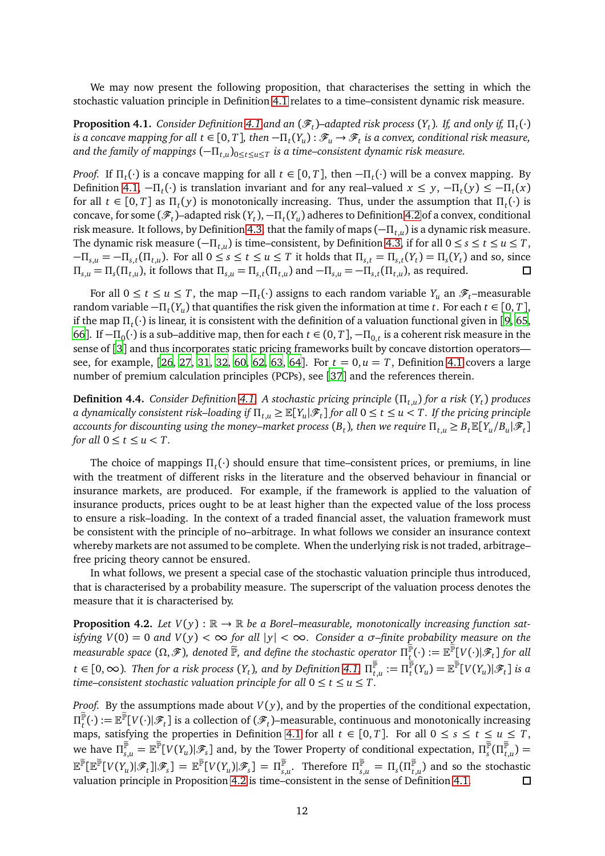We may now present the following proposition, that characterises the setting in which the stochastic valuation principle in Definition [4.1](#page-10-1) relates to a time–consistent dynamic risk measure.

**Proposition [4.1](#page-10-1).** Consider Definition 4.1 and an  $(\mathscr{F}_t)$ –adapted risk process  $(Y_t)$ . If, and only if,  $\Pi_t(\cdot)$ *is a concave mapping for all t*  $\in$  [0, *T*], then  $-\Pi_t(Y_u):\mathscr{F}_u\to\mathscr{F}_t$  is a convex, conditional risk measure, *and the family of mappings* (−*Πt*,*<sup>u</sup>* )0≤*t*≤*u*≤*<sup>T</sup> is a time–consistent dynamic risk measure.*

*Proof.* If  $\Pi_t(\cdot)$  is a concave mapping for all  $t \in [0, T]$ , then  $-\Pi_t(\cdot)$  will be a convex mapping. By Definition [4.1,](#page-10-1)  $-\Pi_t(\cdot)$  is translation invariant and for any real–valued  $x \leq y$ ,  $-\Pi_t(y) \leq -\Pi_t(x)$ for all  $t \in [0, T]$  as  $\Pi_t(y)$  is monotonically increasing. Thus, under the assumption that  $\Pi_t(\cdot)$  is concave, for some  $(\mathscr{F}_t)$ –adapted risk  $(Y_t)$ ,  $-\Pi_t(Y_u)$  adheres to Definition [4.2](#page-10-2) of a convex, conditional risk measure. It follows, by Definition [4.3,](#page-10-3) that the family of maps (−*Πt*,*<sup>u</sup>* ) is a dynamic risk measure. The dynamic risk measure  $(-\Pi_{t,u})$  is time–consistent, by Definition [4.3,](#page-10-3) if for all  $0 \le s \le t \le u \le T$ ,  $-\Pi_{s,u} = -\Pi_{s,t}(\Pi_{t,u})$ . For all  $0 \le s \le t \le u \le T$  it holds that  $\Pi_{s,t} = \Pi_{s,t}(Y_t) = \Pi_s(Y_t)$  and so, since  $\Pi_{s,u} = \Pi_s(\Pi_{t,u})$ , it follows that  $\Pi_{s,u} = \Pi_{s,t}(\Pi_{t,u})$  and  $-\Pi_{s,u} = -\Pi_{s,t}(\Pi_{t,u})$ , as required.  $\Box$ 

For all  $0 \le t \le u \le T$ , the map  $-\Pi_t(\cdot)$  assigns to each random variable  $Y_u$  an  $\mathscr{F}_t$ -measurable random variable  $-\Pi_t(Y_u)$  that quantifies the risk given the information at time *t*. For each  $t \in [0, T]$ , if the map *Π<sup>t</sup>* (·) is linear, it is consistent with the definition of a valuation functional given in [[9,](#page-20-13) [65](#page-23-12), [66](#page-23-13)]. If  $-\Pi_0(\cdot)$  is a sub–additive map, then for each  $t \in (0, T]$ ,  $-\Pi_{0,t}$  is a coherent risk measure in the sense of [[3](#page-20-11)] and thus incorporates static pricing frameworks built by concave distortion operators— see, for example, [[26](#page-21-4), [27](#page-21-5), [31](#page-21-14), [32](#page-21-6), [60](#page-23-6), [62](#page-23-4), [63](#page-23-5), [64](#page-23-14)]. For  $t = 0, u = T$ , Definition [4.1](#page-10-1) covers a large number of premium calculation principles (PCPs), see [[37](#page-22-5)] and the references therein.

<span id="page-11-1"></span>**Definition 4.4.** *Consider Definition [4.1.](#page-10-1) A stochastic pricing principle* (*Πt*,*<sup>u</sup>* ) *for a risk* (*Y<sup>t</sup>* ) *produces*  $a$  dynamically consistent risk–loading if  $\Pi_{t,u}\geq \mathbb{E}[Y_u|\mathscr{F}_t]$  for all  $0\leq t\leq u< T.$  If the pricing principle  $\alpha$  accounts for discounting using the money–market process  $(B_t)$ , then we require  $\Pi_{t,u}\geq B_t\mathbb{E}[Y_u/B_u|\mathscr{F}_t]$ *for all*  $0 \le t \le u \le T$ .

The choice of mappings *Π<sup>t</sup>* (·) should ensure that time–consistent prices, or premiums, in line with the treatment of different risks in the literature and the observed behaviour in financial or insurance markets, are produced. For example, if the framework is applied to the valuation of insurance products, prices ought to be at least higher than the expected value of the loss process to ensure a risk–loading. In the context of a traded financial asset, the valuation framework must be consistent with the principle of no–arbitrage. In what follows we consider an insurance context whereby markets are not assumed to be complete. When the underlying risk is not traded, arbitrage– free pricing theory cannot be ensured.

In what follows, we present a special case of the stochastic valuation principle thus introduced, that is characterised by a probability measure. The superscript of the valuation process denotes the measure that it is characterised by.

<span id="page-11-0"></span>**Proposition 4.2.** Let  $V(y)$ :  $\mathbb{R} \to \mathbb{R}$  be a Borel–measurable, monotonically increasing function sat*isfying*  $V(0) = 0$  *and*  $V(y) < \infty$  *for all*  $|y| < \infty$ *. Consider a*  $\sigma$ *-finite probability measure on the*  $m$ easurable space  $(\Omega, \mathscr{F})$ , denoted  $\widetilde{\mathbb{P}}$ , and define the stochastic operator  $\Pi^{\mathbb{P}}_t(\cdot):=\mathbb{E}^{\mathbb{P}}[V(\cdot)|\mathscr{F}_t]$  for all  $t\in[0,\infty).$  Then for a risk process  $(Y_t)$ , and by Definition [4.1,](#page-10-1)  $\Pi_{t,u}^{\mathbb P}:=\Pi_t^{\mathbb P}(Y_u)=\mathbb E^{\mathbb P}[V(Y_u)|{\mathscr F}_t]$  is a *time–consistent stochastic valuation principle for all*  $0 \le t \le u \le T$ .

*Proof.* By the assumptions made about  $V(y)$ , and by the properties of the conditional expectation,  $\Pi_t^{\mathbb P}(\cdot):=\mathbb E^{\mathbb P}[V(\cdot)|{\mathscr F}_t]$  is a collection of  $({\mathscr F}_t)$ –measurable, continuous and monotonically increasing  $\text{tr}_t(\cdot) := \mathbb{E}[\mathbf{v}(\cdot)|\mathcal{F}_t]$  is a concertion of  $(\mathcal{F}_t)$ -inclustantly, continuous and monotonically increasing maps, satisfying the properties in Definition [4.1](#page-10-1) for all  $t \in [0, T]$ . For all  $0 \le s \le t \le u \le T$ , we have  $\Pi_{s,u}^{\mathbb{P}} = \mathbb{E}^{\mathbb{P}}[V(Y_u)|\mathscr{F}_s]$  and, by the Tower Property of conditional expectation,  $\Pi_s^{\mathbb{P}}(\Pi_{t,u}^{\mathbb{P}}) = 0$  $\mathbb{E}^{\tilde{\mathbb{P}}}[\mathbb{E}^{\tilde{\mathbb{P}}} [V(Y_u) | \mathscr{F}_t] ] | \mathscr{F}_s] = \mathbb{E}^{\tilde{\mathbb{P}}} [V(Y_u) | \mathscr{F}_s] = \Pi_{s,u}^{\tilde{\mathbb{P}}} .$  Therefore  $\Pi_{s,u}^{\tilde{\mathbb{P}}} = \Pi_s(\Pi_{t,u}^{\tilde{\mathbb{P}}})$  and so the stochastic valuation principle in Proposition [4.2](#page-11-0) is time–consistent in the sense of Definition [4.1.](#page-10-1)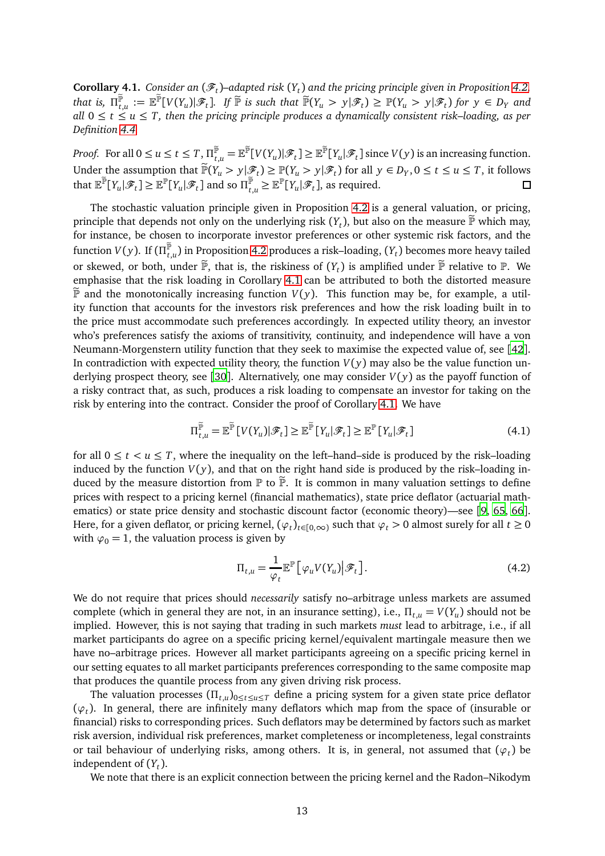<span id="page-12-0"></span>**Corollary 4.1.** *Consider an* ( $\mathscr{F}_t$ )–adapted risk ( $Y_t$ ) and the pricing principle given in Proposition [4.2,](#page-11-0) that is,  $\Pi_{t,u}^{\mathbb{P}} := \mathbb{E}^{\mathbb{P}}[V(Y_u)|\mathscr{F}_t]$ . If  $\mathbb{P}$  is such that  $\mathbb{P}(Y_u > y|\mathscr{F}_t) \geq \mathbb{P}(Y_u > y|\mathscr{F}_t)$  for  $y \in D_Y$  and *all* 0 ≤ *t* ≤ *u* ≤ *T, then the pricing principle produces a dynamically consistent risk–loading, as per Definition [4.4.](#page-11-1)*

*Proof.* For all  $0 \le u \le t \le T$ ,  $\Pi_{t,u}^{\mathbb{P}} = \mathbb{E}^{\mathbb{P}}[V(Y_u)|\mathscr{F}_t] \ge \mathbb{E}^{\mathbb{P}}[Y_u|\mathscr{F}_t]$  since  $V(y)$  is an increasing function. Under the assumption that  $\mathbb{P}(Y_u > y | \mathcal{F}_t) \geq \mathbb{P}(Y_u > y | \mathcal{F}_t)$  for all  $y \in D_Y, 0 \leq t \leq u \leq T$ , it follows that  $\mathbb{E}^{\mathbb{P}}[Y_u|\mathscr{F}_t] \geq \mathbb{E}^{\mathbb{P}}[Y_u|\mathscr{F}_t]$  and so  $\Pi_{t,u}^{\mathbb{P}} \geq \mathbb{E}^{\mathbb{P}}[Y_u|\mathscr{F}_t]$ , as required.

The stochastic valuation principle given in Proposition [4.2](#page-11-0) is a general valuation, or pricing, principle that depends not only on the underlying risk  $(Y_t)$ , but also on the measure  $\mathbb P$  which may, for instance, be chosen to incorporate investor preferences or other systemic risk factors, and the function  $V(y)$ . If  $(\Pi_{t,u}^{\mathbb P})$  in Proposition [4.2](#page-11-0) produces a risk–loading,  $(Y_t)$  becomes more heavy tailed or skewed, or both, under  $\mathbb{P}$ , that is, the riskiness of  $(Y_t)$  is amplified under  $\mathbb{P}$  relative to  $\mathbb{P}$ . We emphasise that the risk loading in Corollary [4.1](#page-12-0) can be attributed to both the distorted measure  $\widetilde{P}$  and the monotonically increasing function *V(y)*. This function may be, for example, a utility function that accounts for the investors risk preferences and how the risk loading built in to the price must accommodate such preferences accordingly. In expected utility theory, an investor who's preferences satisfy the axioms of transitivity, continuity, and independence will have a von Neumann-Morgenstern utility function that they seek to maximise the expected value of, see [[42](#page-22-6)]. In contradiction with expected utility theory, the function  $V(y)$  may also be the value function un-derlying prospect theory, see [[30](#page-21-10)]. Alternatively, one may consider  $V(y)$  as the payoff function of a risky contract that, as such, produces a risk loading to compensate an investor for taking on the risk by entering into the contract. Consider the proof of Corollary [4.1.](#page-12-0) We have

$$
\Pi_{t,u}^{\widetilde{\mathbb{P}}} = \mathbb{E}^{\widetilde{\mathbb{P}}}\left[V(Y_u)|\mathcal{F}_t\right] \ge \mathbb{E}^{\widetilde{\mathbb{P}}}\left[Y_u|\mathcal{F}_t\right] \ge \mathbb{E}^{\mathbb{P}}\left[Y_u|\mathcal{F}_t\right] \tag{4.1}
$$

for all  $0 \le t \le u \le T$ , where the inequality on the left–hand–side is produced by the risk–loading induced by the function  $V(y)$ , and that on the right hand side is produced by the risk–loading induced by the measure distortion from  $\mathbb P$  to  $\widetilde{\mathbb P}$ . It is common in many valuation settings to define prices with respect to a pricing kernel (financial mathematics), state price deflator (actuarial mathematics) or state price density and stochastic discount factor (economic theory)—see [[9,](#page-20-13) [65,](#page-23-12) [66](#page-23-13)]. Here, for a given deflator, or pricing kernel,  $(\varphi_t)_{t\in[0,\infty)}$  such that  $\varphi_t > 0$  almost surely for all  $t \ge 0$ with  $\varphi_0 = 1$ , the valuation process is given by

<span id="page-12-1"></span>
$$
\Pi_{t,u} = \frac{1}{\varphi_t} \mathbb{E}^{\mathbb{P}} \left[ \varphi_u V(Y_u) \middle| \mathcal{F}_t \right]. \tag{4.2}
$$

We do not require that prices should *necessarily* satisfy no–arbitrage unless markets are assumed complete (which in general they are not, in an insurance setting), i.e.,  $\Pi_{t,u} = V(Y_u)$  should not be implied. However, this is not saying that trading in such markets *must* lead to arbitrage, i.e., if all market participants do agree on a specific pricing kernel/equivalent martingale measure then we have no–arbitrage prices. However all market participants agreeing on a specific pricing kernel in our setting equates to all market participants preferences corresponding to the same composite map that produces the quantile process from any given driving risk process.

The valuation processes  $(\Pi_{t,u})_{0 \le t \le u \le T}$  define a pricing system for a given state price deflator (*ϕ<sup>t</sup>* ). In general, there are infinitely many deflators which map from the space of (insurable or financial) risks to corresponding prices. Such deflators may be determined by factors such as market risk aversion, individual risk preferences, market completeness or incompleteness, legal constraints or tail behaviour of underlying risks, among others. It is, in general, not assumed that  $(\varphi_t)$  be independent of (*Y<sup>t</sup>* ).

We note that there is an explicit connection between the pricing kernel and the Radon–Nikodym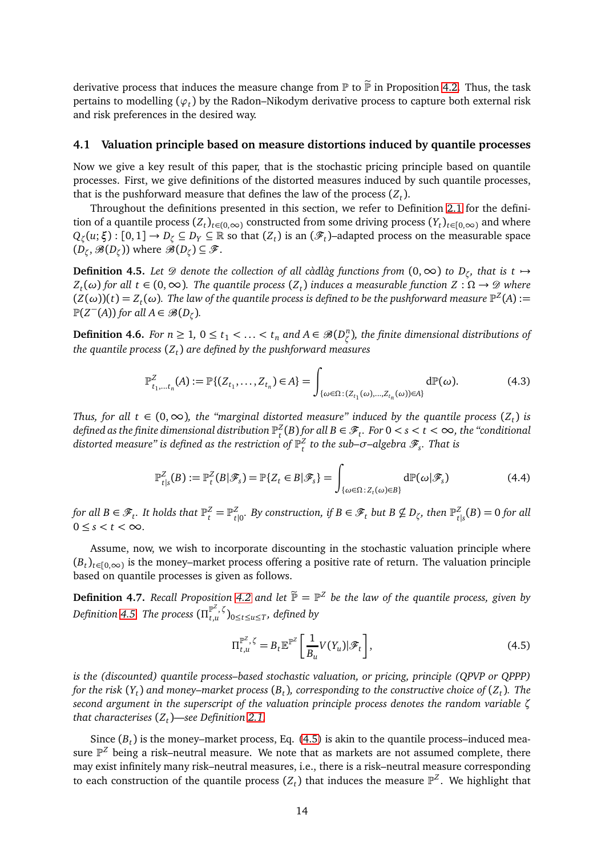derivative process that induces the measure change from  $\mathbb P$  to  $\widetilde{\mathbb P}$  in Proposition [4.2.](#page-11-0) Thus, the task pertains to modelling (*ϕ<sup>t</sup>* ) by the Radon–Nikodym derivative process to capture both external risk and risk preferences in the desired way.

### **4.1 Valuation principle based on measure distortions induced by quantile processes**

Now we give a key result of this paper, that is the stochastic pricing principle based on quantile processes. First, we give definitions of the distorted measures induced by such quantile processes, that is the pushforward measure that defines the law of the process  $(Z_t)$ .

Throughout the definitions presented in this section, we refer to Definition [2.1](#page-3-1) for the definition of a quantile process  $(Z_t)_{t \in (0,\infty)}$  constructed from some driving process  $(Y_t)_{t \in [0,\infty)}$  and where  $Q_\zeta(u;\xi):[0,1]\to D_\zeta\subseteq D_Y\subseteq\mathbb{R}$  so that  $(Z_t)$  is an  $(\mathscr{F}_t)$ –adapted process on the measurable space  $(D_{\zeta}, \mathscr{B}(D_{\zeta}))$  where  $\mathscr{B}(D_{\zeta}) \subseteq \mathscr{F}$ .

<span id="page-13-0"></span>**Definition 4.5.** Let  $\mathscr D$  denote the collection of all càdlàg functions from  $(0,\infty)$  to  $D_\zeta$ , that is t  $\mapsto$ *Z*<sub>*t*</sub>(ω) for all *t* ∈ (0, ∞). The quantile process (*Z*<sub>*t*</sub>) induces a measurable function *Z* :  $\Omega \to \mathcal{D}$  where  $(Z(\omega))(t) = Z_t(\omega)$ . The law of the quantile process is defined to be the pushforward measure  $\mathbb{P}^Z(A) :=$  $\mathbb{P}(Z^-(A))$  for all  $A \in \mathscr{B}(D_\zeta)$ .

<span id="page-13-3"></span>**Definition 4.6.** *For n*  $\geq 1$ ,  $0 \leq t_1 < \ldots < t_n$  *and*  $A \in \mathcal{B}(D_{\zeta}^n)$ *ζ* )*, the finite dimensional distributions of the quantile process* (*Z<sup>t</sup>* ) *are defined by the pushforward measures*

$$
\mathbb{P}^Z_{t_1,\dots,t_n}(A) := \mathbb{P}\{(Z_{t_1},\dots,Z_{t_n}) \in A\} = \int_{\{\omega \in \Omega : (Z_{t_1}(\omega),\dots,Z_{t_n}(\omega)) \in A\}} d\mathbb{P}(\omega). \tag{4.3}
$$

*Thus, for all t* ∈ (0, ∞), the "marginal distorted measure" induced by the quantile process (Z<sub>t</sub>) is defined as the finite dimensional distribution  $\mathbb{P}_t^Z(B)$  for all  $B\in\mathscr{F}_t.$  For  $0< s < t < \infty,$  the "conditional distorted measure" is defined as the restriction of  $\mathbb{P}^Z_t$  to the sub– $\sigma$ –algebra  $\mathscr{F}_s$ . That is

$$
\mathbb{P}^Z_{t|s}(B) := \mathbb{P}^Z_t(B|\mathscr{F}_s) = \mathbb{P}\{Z_t \in B|\mathscr{F}_s\} = \int_{\{\omega \in \Omega : Z_t(\omega) \in B\}} d\mathbb{P}(\omega|\mathscr{F}_s)
$$
(4.4)

for all  $B \in \mathscr{F}_t$ . It holds that  $\mathbb{P}_t^Z = \mathbb{P}_t^Z$  $\mathcal{Z}_{t|0}$ *. By construction, if B*  $\in \mathscr{F}_t$  *but B*  $\nsubseteq D_{\zeta}$ *, then*  $\mathbb{P}^Z_t$  $\frac{Z}{t|s}(B) = 0$  for all  $0 \leq s < t < \infty$ .

Assume, now, we wish to incorporate discounting in the stochastic valuation principle where  $(B_t)_{t\in [0,\infty)}$  is the money–market process offering a positive rate of return. The valuation principle based on quantile processes is given as follows.

<span id="page-13-2"></span>**Definition 4.7.** *Recall Proposition [4.2](#page-11-0) and let*  $\widetilde{\mathbb{P}} = \mathbb{P}^Z$  be the law of the quantile process, given by  $\emph{Definition 4.5. The process \left(\Pi_{t,u}^{\mathbb{P}^Z},\mathcal{G}\right)}$  $\emph{Definition 4.5. The process \left(\Pi_{t,u}^{\mathbb{P}^Z},\mathcal{G}\right)}$  $\emph{Definition 4.5. The process \left(\Pi_{t,u}^{\mathbb{P}^Z},\mathcal{G}\right)}$  $\int_{t,u}^{\mathbb{P}}$ ,  $\int$ <sub>0≤t≤u≤</sub> $\int$ , defined by

<span id="page-13-1"></span>
$$
\Pi_{t,u}^{\mathbb{P}^Z,\zeta} = B_t \mathbb{E}^{\mathbb{P}^Z} \left[ \frac{1}{B_u} V(Y_u) | \mathcal{F}_t \right],\tag{4.5}
$$

*is the (discounted) quantile process–based stochastic valuation, or pricing, principle (QPVP or QPPP) for the risk* (*Y<sup>t</sup>* ) *and money–market process* (*B<sup>t</sup>* )*, corresponding to the constructive choice of* (*Z<sup>t</sup>* )*. The second argument in the superscript of the valuation principle process denotes the random variable ζ that characterises* (*Z<sup>t</sup>* )*—see Definition [2.1.](#page-3-1)*

Since  $(B_t)$  is the money–market process, Eq.  $(4.5)$  is akin to the quantile process–induced measure  $\mathbb{P}^Z$  being a risk–neutral measure. We note that as markets are not assumed complete, there may exist infinitely many risk–neutral measures, i.e., there is a risk–neutral measure corresponding to each construction of the quantile process  $(Z_t)$  that induces the measure  $\mathbb{P}^Z.$  We highlight that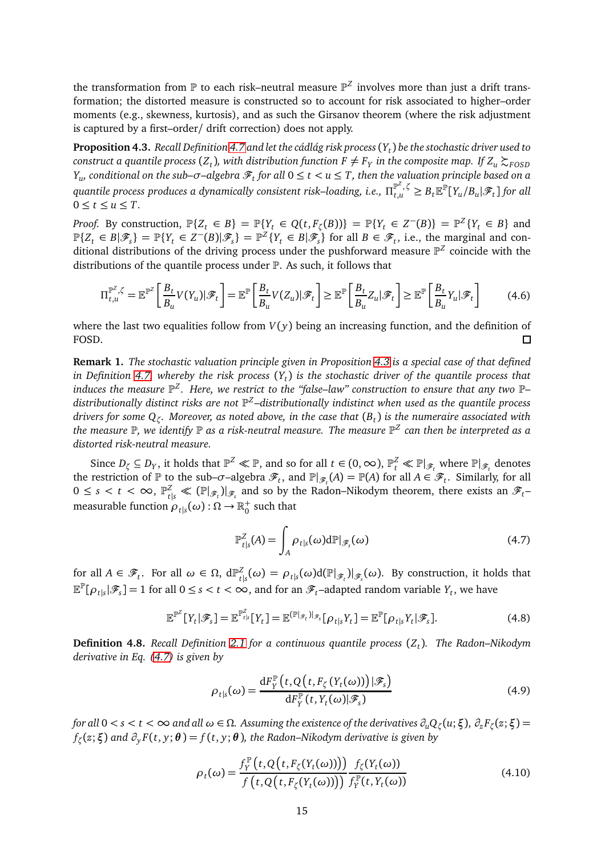the transformation from  ${\mathbb P}$  to each risk–neutral measure  ${\mathbb P}^Z$  involves more than just a drift transformation; the distorted measure is constructed so to account for risk associated to higher–order moments (e.g., skewness, kurtosis), and as such the Girsanov theorem (where the risk adjustment is captured by a first–order/ drift correction) does not apply.

<span id="page-14-0"></span>**Proposition 4.3.** *Recall Definition [4.7](#page-13-2) and let the cádlág risk process*(*Y<sup>t</sup>* ) *be the stochastic driver used to*  $c$ onstruct a quantile process ( $Z_t$ ), with distribution function  $F\neq F_Y$  in the composite map. If  $Z_u \succsim_{FOSD} P_Z$ *Y<sub>u</sub>, conditional on the sub–* $\sigma$ *–algebra*  $\mathscr{F}_t$  *for all*  $0 \leq t < u \leq T$ *, then the valuation principle based on a* quantile process produces a dynamically consistent risk–loading, i.e.,  $\Pi_{t,u}^{\mathbb P^Z,\,\zeta}\ge B_t\mathbb E^\mathbb P[Y_u/B_u|\mathscr F_t\,]$  for all  $0 \le t \le u \le T$ .

*Proof.* By construction,  $\mathbb{P}\{Z_t \in B\} = \mathbb{P}\{Y_t \in Q(t, F_\zeta(B))\} = \mathbb{P}\{Y_t \in Z^-(B)\} = \mathbb{P}^Z\{Y_t \in B\}$  and  $\mathbb{P}\{Z_t \in B | \mathscr{F}_s\} = \mathbb{P}\{Y_t \in Z^-(B) | \mathscr{F}_s\} = \mathbb{P}^Z \{Y_t \in B | \mathscr{F}_s\}$  for all  $B \in \mathscr{F}_t$ , i.e., the marginal and conditional distributions of the driving process under the pushforward measure  $\mathbb{P}^Z$  coincide with the distributions of the quantile process under P. As such, it follows that

$$
\Pi_{t,u}^{\mathbb{P}^Z,\zeta} = \mathbb{E}^{\mathbb{P}^Z} \left[ \frac{B_t}{B_u} V(Y_u) | \mathcal{F}_t \right] = \mathbb{E}^{\mathbb{P}} \left[ \frac{B_t}{B_u} V(Z_u) | \mathcal{F}_t \right] \ge \mathbb{E}^{\mathbb{P}} \left[ \frac{B_t}{B_u} Z_u | \mathcal{F}_t \right] \ge \mathbb{E}^{\mathbb{P}} \left[ \frac{B_t}{B_u} Y_u | \mathcal{F}_t \right] \tag{4.6}
$$

where the last two equalities follow from  $V(y)$  being an increasing function, and the definition of FOSD.  $\Box$ 

**Remark 1.** *The stochastic valuation principle given in Proposition [4.3](#page-14-0) is a special case of that defined in Definition [4.7,](#page-13-2) whereby the risk process* (*Y<sup>t</sup>* ) *is the stochastic driver of the quantile process that induces the measure* P *Z . Here, we restrict to the "false–law" construction to ensure that any two* P*–* distributionally distinct risks are not  $\mathbb{P}^Z$ –distributionally indistinct when used as the quantile process *drivers for some Q<sup>ζ</sup> . Moreover, as noted above, in the case that* (*B<sup>t</sup>* ) *is the numeraire associated with* the measure  $\mathbb P$ , we identify  $\mathbb P$  as a risk-neutral measure. The measure  $\mathbb P^Z$  can then be interpreted as a *distorted risk-neutral measure.*

Since  $D_\zeta \subseteq D_Y$ , it holds that  $\mathbb{P}^Z \ll \mathbb{P}$ , and so for all  $t \in (0, \infty)$ ,  $\mathbb{P}^Z_t \ll \mathbb{P}|_{\mathscr{F}_t}$  where  $\mathbb{P}|_{\mathscr{F}_t}$  denotes the restriction of  $\mathbb P$  to the sub– $\sigma$ –algebra  $\mathscr F_t$ , and  $\mathbb P|_{\mathscr F_t}(A) = \mathbb P(A)$  for all  $A \in \mathscr F_t$ . Similarly, for all  $0 \leq s < t < \infty$ ,  $\mathbb{P}_{t|s}^Z \ll (\mathbb{P}|\mathscr{F}_t)|_{\mathscr{F}_s}$  and so by the Radon–Nikodym theorem, there exists an  $\mathscr{F}_t$ – measurable function  $\rho_{t|s}(\omega)$  :  $\Omega \to \mathbb{R}^+_0$  $_0^+$  such that

<span id="page-14-1"></span>
$$
\mathbb{P}^Z_{t|s}(A) = \int_A \rho_{t|s}(\omega) d\mathbb{P}|_{\mathscr{F}_s}(\omega)
$$
\n(4.7)

for all  $A \in \mathscr{F}_t$ . For all  $\omega \in \Omega$ ,  $d\mathbb{P}_t^Z$  $\alpha_{t|s}^{Z}(\omega) = \rho_{t|s}(\omega) d(\mathbb{P}|_{\mathscr{F}_t})|_{\mathscr{F}_s}(\omega)$ . By construction, it holds that  $\mathbb{E}^{\mathbb{P}}[\rho_{t|s}|\mathscr{F}_s] = 1$  for all  $0 \le s < t < \infty$ , and for an  $\mathscr{F}_t$ –adapted random variable  $Y_t$ , we have

$$
\mathbb{E}^{\mathbb{P}^Z}[Y_t|\mathscr{F}_s] = \mathbb{E}^{\mathbb{P}^Z_{t|s}}[Y_t] = \mathbb{E}^{(\mathbb{P}|\mathscr{F}_t)|_{\mathscr{F}_s}}[\rho_{t|s}Y_t] = \mathbb{E}^{\mathbb{P}}[\rho_{t|s}Y_t|\mathscr{F}_s].
$$
\n(4.8)

**Definition 4.8.** *Recall Definition [2.1](#page-3-1) for a continuous quantile process* (*Z<sup>t</sup>* )*. The Radon–Nikodym derivative in Eq. [\(4.7\)](#page-14-1) is given by*

$$
\rho_{t|s}(\omega) = \frac{\mathrm{d}F_Y^{\mathbb{P}}\left(t, Q\left(t, F_\zeta\left(Y_t(\omega)\right)\right)|\mathcal{F}_s\right)}{\mathrm{d}F_Y^{\mathbb{P}}\left(t, Y_t(\omega)\right|\mathcal{F}_s)}
$$
(4.9)

for all  $0 < s < t < \infty$  and all  $\omega \in \Omega$ . Assuming the existence of the derivatives  $\partial_u Q_\zeta(u;\xi)$ ,  $\partial_z F_\zeta(z;\xi)$  = *fζ* (*z*;*ξ*) *and ∂<sup>y</sup> F*(*t*, *y*;*θ* ) = *f* (*t*, *y*;*θ* )*, the Radon–Nikodym derivative is given by*

$$
\rho_t(\omega) = \frac{f_Y^{\mathbb{P}}\big(t, Q\big(t, F_\zeta(Y_t(\omega))\big)\big)}{f\big(t, Q\big(t, F_\zeta(Y_t(\omega))\big)\big)} \frac{f_\zeta(Y_t(\omega))}{f_Y^{\mathbb{P}}(t, Y_t(\omega))}
$$
(4.10)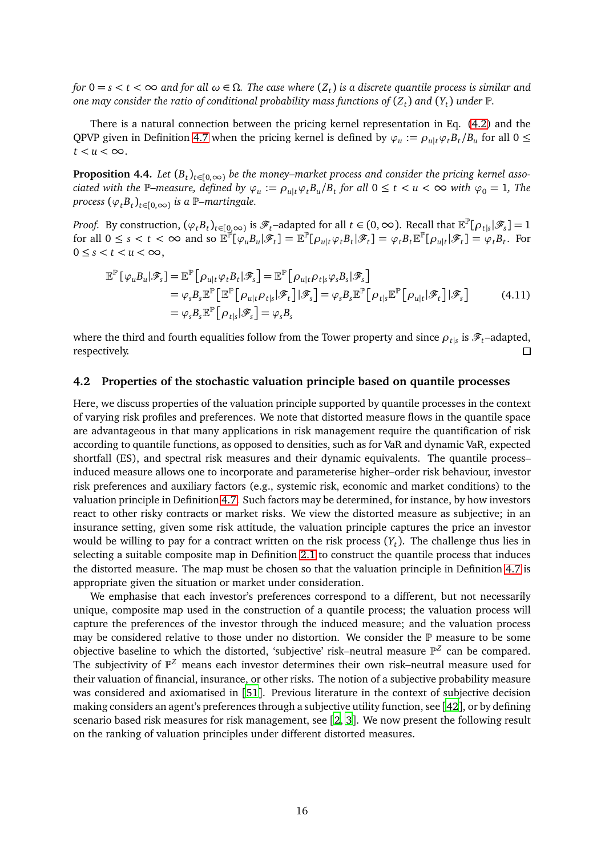*for*  $0 = s < t < \infty$  and for all  $\omega \in \Omega$ . The case where  $(Z_t)$  is a discrete quantile process is similar and *one may consider the ratio of conditional probability mass functions of* (*Z<sup>t</sup>* ) *and* (*Y<sup>t</sup>* ) *under* P*.*

There is a natural connection between the pricing kernel representation in Eq. [\(4.2\)](#page-12-1) and the QPVP given in Definition [4.7](#page-13-2) when the pricing kernel is defined by  $\varphi_u := \rho_{u|t} \varphi_t B_t/B_u$  for all  $0 \le$  $t < u < \infty$ .

**Proposition 4.4.** Let  $(B_t)_{t\in [0,\infty)}$  be the money–market process and consider the pricing kernel associated with the P–measure, defined by  $\varphi_u := \rho_{u|t} \varphi_t B_u/B_t$  for all  $0 \le t < u < \infty$  with  $\varphi_0 = 1$ , The  $\text{process } (\varphi_t B_t)_{t \in [0,\infty)}$  *is a* P–martingale.

*Proof.* By construction,  $(\varphi_t B_t)_{t \in [\![0,\infty])}$  is  $\mathscr{F}_t$ –adapted for all  $t \in (0,\infty)$ . Recall that  $\mathbb{E}^{\mathbb{P}}[\rho_{t|s}|\mathscr{F}_s] = 1$ for all  $0 \le s < t < \infty$  and so  $\mathbb{E}^{\mathbb{P}}[\varphi_{u}B_{u}|\mathcal{F}_{t}] = \mathbb{E}^{\mathbb{P}}[\rho_{u|t}\varphi_{t}B_{t}|\mathcal{F}_{t}] = \varphi_{t}B_{t}\mathbb{E}^{\mathbb{P}}[\rho_{u|t}|\mathcal{F}_{t}] = \varphi_{t}B_{t}$ . For  $0 \leq s < t < u < \infty$ ,

$$
\mathbb{E}^{\mathbb{P}}[\varphi_{u}B_{u}|\mathscr{F}_{s}] = \mathbb{E}^{\mathbb{P}}[\rho_{u|t}\varphi_{t}B_{t}|\mathscr{F}_{s}] = \mathbb{E}^{\mathbb{P}}[\rho_{u|t}\rho_{t|s}\varphi_{s}B_{s}|\mathscr{F}_{s}]
$$
  
\n
$$
= \varphi_{s}B_{s}\mathbb{E}^{\mathbb{P}}[\mathbb{E}^{\mathbb{P}}[\rho_{u|t}\rho_{t|s}|\mathscr{F}_{t}]|\mathscr{F}_{s}] = \varphi_{s}B_{s}\mathbb{E}^{\mathbb{P}}[\rho_{t|s}\mathbb{E}^{\mathbb{P}}[\rho_{u|t}|\mathscr{F}_{t}]\mathscr{F}_{s}]
$$
  
\n
$$
= \varphi_{s}B_{s}\mathbb{E}^{\mathbb{P}}[\rho_{t|s}|\mathscr{F}_{s}] = \varphi_{s}B_{s}
$$
 (4.11)

where the third and fourth equalities follow from the Tower property and since  $\rho_{t|s}$  is  $\mathscr{F}_{t}$ –adapted, respectively.

#### **4.2 Properties of the stochastic valuation principle based on quantile processes**

Here, we discuss properties of the valuation principle supported by quantile processes in the context of varying risk profiles and preferences. We note that distorted measure flows in the quantile space are advantageous in that many applications in risk management require the quantification of risk according to quantile functions, as opposed to densities, such as for VaR and dynamic VaR, expected shortfall (ES), and spectral risk measures and their dynamic equivalents. The quantile process– induced measure allows one to incorporate and parameterise higher–order risk behaviour, investor risk preferences and auxiliary factors (e.g., systemic risk, economic and market conditions) to the valuation principle in Definition [4.7.](#page-13-2) Such factors may be determined, for instance, by how investors react to other risky contracts or market risks. We view the distorted measure as subjective; in an insurance setting, given some risk attitude, the valuation principle captures the price an investor would be willing to pay for a contract written on the risk process (*Y<sup>t</sup>* ). The challenge thus lies in selecting a suitable composite map in Definition [2.1](#page-3-1) to construct the quantile process that induces the distorted measure. The map must be chosen so that the valuation principle in Definition [4.7](#page-13-2) is appropriate given the situation or market under consideration.

We emphasise that each investor's preferences correspond to a different, but not necessarily unique, composite map used in the construction of a quantile process; the valuation process will capture the preferences of the investor through the induced measure; and the valuation process may be considered relative to those under no distortion. We consider the  $\mathbb P$  measure to be some objective baseline to which the distorted, 'subjective' risk–neutral measure  $\mathbb{P}^Z$  can be compared. The subjectivity of  $\mathbb{P}^Z$  means each investor determines their own risk–neutral measure used for their valuation of financial, insurance, or other risks. The notion of a subjective probability measure was considered and axiomatised in [[51](#page-22-7)]. Previous literature in the context of subjective decision making considers an agent's preferences through a subjective utility function, see [[42](#page-22-6)], or by defining scenario based risk measures for risk management, see [[2,](#page-20-10) [3](#page-20-11)]. We now present the following result on the ranking of valuation principles under different distorted measures.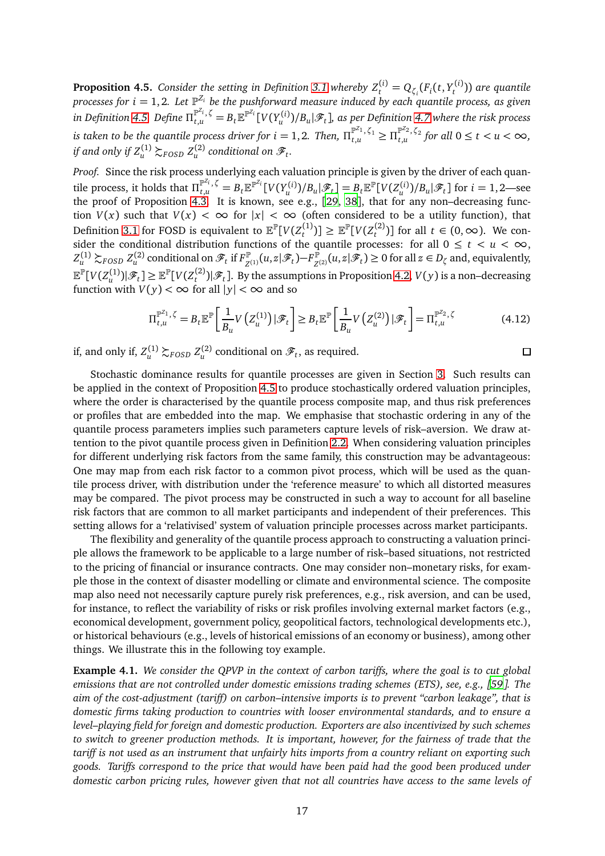<span id="page-16-0"></span>**Proposition 4.5.** *Consider the setting in Definition [3.1](#page-6-0) whereby*  $Z_t^{(i)} = Q_{\zeta_i}(F_i(t, Y_t^{(i)})$ *t* )) *are quantile* processes for  $i = 1, 2$ . Let  $\mathbb{P}^{Z_i}$  be the pushforward measure induced by each quantile process, as given in Definition [4.5.](#page-13-0) Define  $\Pi_{t,u}^{\mathbb{P}^{Z_i},\zeta}=B_t\mathbb{E}^{\mathbb{P}^{Z_i}}[V(Y_u^{(i)})/B_u|\mathscr{F}_t]$ , as per Definition [4.7](#page-13-2) where the risk process is taken to be the quantile process driver for  $i=1,2$ . Then,  $\Pi_{t,u}^{\mathbb{P}^{Z_1},\zeta_1}\geq\Pi_{t,u}^{\mathbb{P}^{Z_2},\zeta_2}$  for all  $0\leq t< u<\infty,$ if and only if  $Z_u^{(1)} \succsim_{FOSD} Z_u^{(2)}$  conditional on  $\mathscr{F}_t$ .

*Proof.* Since the risk process underlying each valuation principle is given by the driver of each quantile process, it holds that  $\Pi_{t,u}^{\mathbb{P}^{Z_i},\zeta} = B_t \mathbb{E}^{\mathbb{P}^{Z_i}}[V(Y_u^{(i)})/B_u|\mathscr{F}_t] = B_t \mathbb{E}^{\mathbb{P}}[V(Z_u^{(i)})/B_u|\mathscr{F}_t]$  for  $i=1,2$ —see the proof of Proposition [4.3.](#page-14-0) It is known, see e.g., [[29,](#page-21-13) [38](#page-22-11)], that for any non–decreasing function  $V(x)$  such that  $V(x) < \infty$  for  $|x| < \infty$  (often considered to be a utility function), that Definition [3.1](#page-6-0) for FOSD is equivalent to  $\mathbb{E}^{\mathbb{P}}[V(Z^{(1)}_t)]$  $\mathbb{E}^{\mathbb{P}}[V(Z_t^{(2)})] \geq \mathbb{E}^{\mathbb{P}}[V(Z_t^{(2)})]$  $t_t^{(2)}$ ] for all  $t \in (0, \infty)$ . We consider the conditional distribution functions of the quantile processes: for all  $0 \le t < u < \infty$ ,  $Z_u^{(1)} \succsim_{FOSD} Z_u^{(2)}$  conditional on  $\mathscr{F}_t$  if  $F_{Z^0}^{\mathbb{P}^1}$ <sup>*P***</sup><sub>***Z***<sup>(1)</sup></sub>** $(u, z | \mathscr{F}_t)$ **−F<sup>***P***</sup><sub>***Z***</sub><sup>** $\vert$ **</sup></sup>**  $Z_{Z^{(2)}}^{\mathbb{P}}(u,z|\mathscr{F}_t) \geq 0$  for all  $z \in D_{\zeta}$  and, equivalently,  $\mathbb{E}^{\mathbb{P}}[V(Z^{(1)}_u)|\mathscr{F}_t] \geq \mathbb{E}^{\mathbb{P}}[V(Z^{(2)}_t)]$  $\left(\frac{L}{t}\right)$   $\left(\mathscr{F}_t\right]$ . By the assumptions in Proposition [4.2,](#page-11-0)  $V(y)$  is a non–decreasing function with  $V(y) < \infty$  for all  $|y| < \infty$  and so

$$
\Pi_{t,u}^{\mathbb{P}^{Z_1},\zeta} = B_t \mathbb{E}^{\mathbb{P}} \bigg[ \frac{1}{B_u} V\left( Z_u^{(1)} \right) \big| \mathcal{F}_t \bigg] \geq B_t \mathbb{E}^{\mathbb{P}} \bigg[ \frac{1}{B_u} V\left( Z_u^{(2)} \right) \big| \mathcal{F}_t \bigg] = \Pi_{t,u}^{\mathbb{P}^{Z_2},\zeta} \tag{4.12}
$$

 $\Box$ 

if, and only if,  $Z_u^{(1)} \succsim_{FOSD} Z_u^{(2)}$  conditional on  $\mathscr{F}_t$ , as required.

Stochastic dominance results for quantile processes are given in Section [3.](#page-5-0) Such results can be applied in the context of Proposition [4.5](#page-16-0) to produce stochastically ordered valuation principles, where the order is characterised by the quantile process composite map, and thus risk preferences or profiles that are embedded into the map. We emphasise that stochastic ordering in any of the quantile process parameters implies such parameters capture levels of risk–aversion. We draw attention to the pivot quantile process given in Definition [2.2.](#page-4-0) When considering valuation principles for different underlying risk factors from the same family, this construction may be advantageous: One may map from each risk factor to a common pivot process, which will be used as the quantile process driver, with distribution under the 'reference measure' to which all distorted measures may be compared. The pivot process may be constructed in such a way to account for all baseline risk factors that are common to all market participants and independent of their preferences. This setting allows for a 'relativised' system of valuation principle processes across market participants.

The flexibility and generality of the quantile process approach to constructing a valuation principle allows the framework to be applicable to a large number of risk–based situations, not restricted to the pricing of financial or insurance contracts. One may consider non–monetary risks, for example those in the context of disaster modelling or climate and environmental science. The composite map also need not necessarily capture purely risk preferences, e.g., risk aversion, and can be used, for instance, to reflect the variability of risks or risk profiles involving external market factors (e.g., economical development, government policy, geopolitical factors, technological developments etc.), or historical behaviours (e.g., levels of historical emissions of an economy or business), among other things. We illustrate this in the following toy example.

<span id="page-16-1"></span>**Example 4.1.** *We consider the QPVP in the context of carbon tariffs, where the goal is to cut global emissions that are not controlled under domestic emissions trading schemes (ETS), see, e.g., [[59](#page-23-15)]. The aim of the cost-adjustment (tariff) on carbon–intensive imports is to prevent "carbon leakage", that is domestic firms taking production to countries with looser environmental standards, and to ensure a level–playing field for foreign and domestic production. Exporters are also incentivized by such schemes to switch to greener production methods. It is important, however, for the fairness of trade that the tariff is not used as an instrument that unfairly hits imports from a country reliant on exporting such goods. Tariffs correspond to the price that would have been paid had the good been produced under domestic carbon pricing rules, however given that not all countries have access to the same levels of*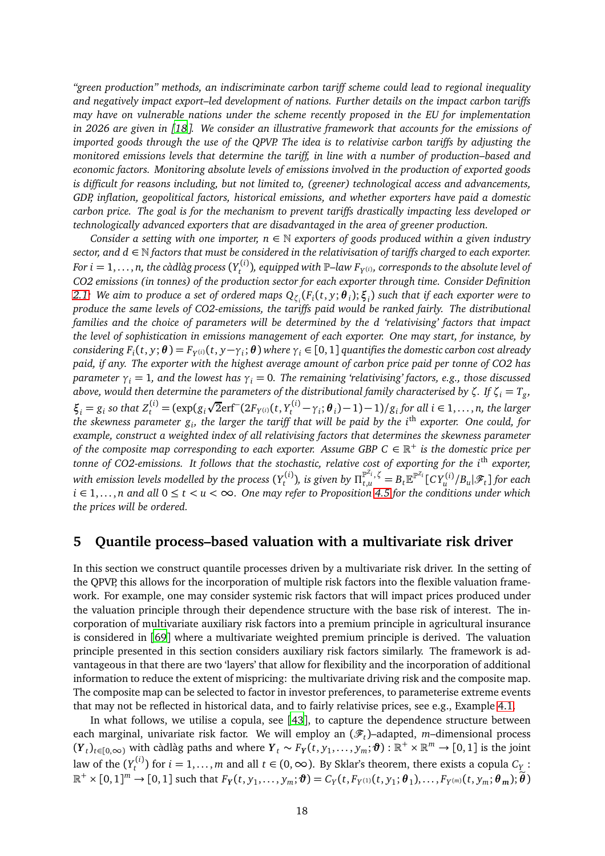*"green production" methods, an indiscriminate carbon tariff scheme could lead to regional inequality and negatively impact export–led development of nations. Further details on the impact carbon tariffs may have on vulnerable nations under the scheme recently proposed in the EU for implementation in 2026 are given in [[18](#page-21-15)]. We consider an illustrative framework that accounts for the emissions of imported goods through the use of the QPVP. The idea is to relativise carbon tariffs by adjusting the monitored emissions levels that determine the tariff, in line with a number of production–based and economic factors. Monitoring absolute levels of emissions involved in the production of exported goods is difficult for reasons including, but not limited to, (greener) technological access and advancements, GDP, inflation, geopolitical factors, historical emissions, and whether exporters have paid a domestic carbon price. The goal is for the mechanism to prevent tariffs drastically impacting less developed or technologically advanced exporters that are disadvantaged in the area of greener production.*

*Consider a setting with one importer, n*  $\in \mathbb{N}$  *exporters of goods produced within a given industry sector, and d* ∈ N *factors that must be considered in the relativisation of tariffs charged to each exporter.*  $\emph{For i = 1, \ldots, n, the c\`{a}dl\`{a}g\;process}\left(Y_{t}^{(i)}\right)$ *t* )*, equipped with* P*–law F<sup>Y</sup>* (*i*)*, corresponds to the absolute level of CO2 emissions (in tonnes) of the production sector for each exporter through time. Consider Definition [2.1:](#page-3-1) We aim to produce a set of ordered maps Qζ<sup>i</sup>* (*Fi* (*t*, *y*;*θ <sup>i</sup>* );*ξ<sup>i</sup>* ) *such that if each exporter were to produce the same levels of CO2-emissions, the tariffs paid would be ranked fairly. The distributional families and the choice of parameters will be determined by the d 'relativising' factors that impact the level of sophistication in emissions management of each exporter. One may start, for instance, by* considering  $F_i(t,y;\bm{\theta})=F_{Y^{(i)}}(t,y-\gamma_i;\bm{\theta})$  where  $\gamma_i\in[0,1]$  quantifies the domestic carbon cost already *paid, if any. The exporter with the highest average amount of carbon price paid per tonne of CO2 has parameter*  $\gamma_i = 1$ , and the lowest has  $\gamma_i = 0$ . The remaining 'relativising' factors, e.g., those discussed *above, would then determine the parameters of the distributional family characterised by ζ. If ζ<sup>i</sup>* = *T<sup>g</sup> ,*  $\xi_i = g_i$  so that  $Z_t^{(i)} = (\exp(g_i\sqrt{2} \text{erf}^-(2F_{Y^{(i)}}(t, Y_t^{(i)} - \gamma_i; \theta_i) - 1) - 1)/g_i$  for all  $i \in 1, ..., n$ , the larger *the skewness parameter g<sup>i</sup> , the larger the tariff that will be paid by the i*th *exporter. One could, for example, construct a weighted index of all relativising factors that determines the skewness parameter of the composite map corresponding to each exporter. Assume GBP C*  $\in \mathbb{R}^+$  *is the domestic price per tonne of CO2-emissions. It follows that the stochastic, relative cost of exporting for the i*th *exporter,* with emission levels modelled by the process  $(Y^{(i)}_t)$  $\int_t^{(i)}$ ), is given by  $\Pi_{t,u}^{\mathbb{P}^{Z_i},\zeta} = B_t \mathbb{E}^{\mathbb{P}^{Z_i}}[\,C\,Y_u^{(i)}/B_u|\mathscr{F}_t\,]$  for each *i* ∈ 1,... , *n and all* 0 ≤ *t < u <* ∞*. One may refer to Proposition [4.5](#page-16-0) for the conditions under which the prices will be ordered.*

### <span id="page-17-0"></span>**5 Quantile process–based valuation with a multivariate risk driver**

In this section we construct quantile processes driven by a multivariate risk driver. In the setting of the QPVP, this allows for the incorporation of multiple risk factors into the flexible valuation framework. For example, one may consider systemic risk factors that will impact prices produced under the valuation principle through their dependence structure with the base risk of interest. The incorporation of multivariate auxiliary risk factors into a premium principle in agricultural insurance is considered in [[69](#page-23-10)] where a multivariate weighted premium principle is derived. The valuation principle presented in this section considers auxiliary risk factors similarly. The framework is advantageous in that there are two 'layers' that allow for flexibility and the incorporation of additional information to reduce the extent of mispricing: the multivariate driving risk and the composite map. The composite map can be selected to factor in investor preferences, to parameterise extreme events that may not be reflected in historical data, and to fairly relativise prices, see e.g., Example [4.1.](#page-16-1)

In what follows, we utilise a copula, see [[43](#page-22-13)], to capture the dependence structure between each marginal, univariate risk factor. We will employ an (F*<sup>t</sup>* )–adapted, *m*–dimensional process  $(Y_t)_{t \in [0,\infty)}$  with càdlàg paths and where  $Y_t \sim F_Y(t, y_1, \ldots, y_m; \boldsymbol{\vartheta}) : \mathbb{R}^+ \times \mathbb{R}^m \to [0,1]$  is the joint law of the  $(Y_t^{(i)}$ *t*<sup>(*t*</sup>) for *i* = 1,...,*m* and all *t* ∈ (0, ∞). By Sklar's theorem, there exists a copula  $C_{\text{Y}}$  :  $\mathbb{R}^+\times[0,1]^m\to[0,1]$  such that  $F_Y(t,y_1,\ldots,y_m;\boldsymbol{\vartheta})=C_Y(t,F_{Y^{(1)}}(t,y_1;\boldsymbol{\theta}_1),\ldots,F_{Y^{(m)}}(t,y_m;\boldsymbol{\theta}_m);\widetilde{\boldsymbol{\theta}})$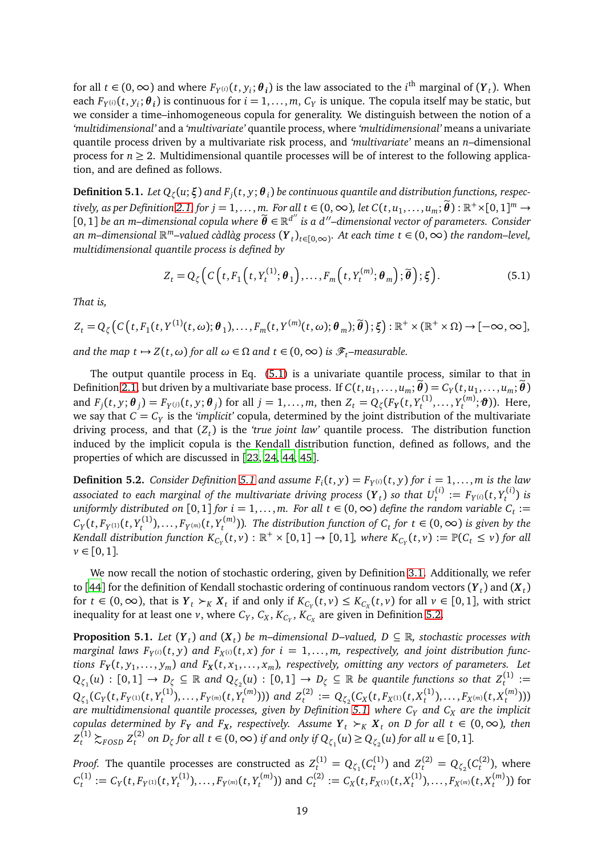for all  $t \in (0, \infty)$  and where  $F_{Y^{(i)}}(t, y_i; \theta_i)$  is the law associated to the *i*<sup>th</sup> marginal of  $(Y_t)$ . When each  $F_{Y^{(i)}}(t, y_i; \theta_i)$  is continuous for  $i = 1, \ldots, m$ ,  $C_Y$  is unique. The copula itself may be static, but we consider a time–inhomogeneous copula for generality. We distinguish between the notion of a *'multidimensional'* and a *'multivariate'* quantile process, where *'multidimensional'* means a univariate quantile process driven by a multivariate risk process, and *'multivariate'* means an *n*–dimensional process for  $n \geq 2$ . Multidimensional quantile processes will be of interest to the following application, and are defined as follows.

<span id="page-18-1"></span> ${\bf Definition~5.1.}$   $Let$   $Q_\zeta(u;\boldsymbol{\xi})$  and  $F_j(t,y;\boldsymbol{\theta}_i)$  be continuous quantile and distribution functions, respec- $\mathcal{F}_1^{\text{trivial}}$  *t* = 1,..., *m*. For all  $t \in (0, \infty)$ , let  $C(t, u_1, \ldots, u_m; \widetilde{\boldsymbol{\theta}}): \mathbb{R}^+ \times [0, 1]^m \rightarrow \mathbb{R}^+$  $[0,1]$  *be an m–dimensional copula where*  $\widetilde{\bm{\theta}} \in \mathbb{R}^{d''}$  *is a d′′–dimensional vector of parameters. Consider an m–dimensional*  $\mathbb{R}^m$ –valued càdlàg process  $(Y_t)_{t \in [0,\infty)}$ . At each time  $t \in (0,\infty)$  the random–level, *multidimensional quantile process is defined by*

<span id="page-18-0"></span>
$$
Z_t = Q_{\zeta}\Big(C\Big(t, F_1\Big(t, Y_t^{(1)}; \boldsymbol{\theta}_1\Big), \dots, F_m\Big(t, Y_t^{(m)}; \boldsymbol{\theta}_m\Big); \widetilde{\boldsymbol{\theta}}\Big); \xi\Big). \tag{5.1}
$$

*That is,*

$$
Z_t = Q_{\zeta}\big(C\big(t, F_1(t, Y^{(1)}(t,\omega); \boldsymbol{\theta}_1), \ldots, F_m(t, Y^{(m)}(t,\omega); \boldsymbol{\theta}_m); \widetilde{\boldsymbol{\theta}}\big); \xi\big): \mathbb{R}^+ \times (\mathbb{R}^+ \times \Omega) \to [-\infty, \infty],
$$

*and the map t*  $\mapsto Z(t, \omega)$  *for all*  $\omega \in \Omega$  *and*  $t \in (0, \infty)$  *is*  $\mathscr{F}_t$ *–measurable.* 

The output quantile process in Eq. [\(5.1\)](#page-18-0) is a univariate quantile process, similar to that in Definition [2.1,](#page-3-1) but driven by a multivariate base process. If  $C(t, u_1, \ldots, u_m; \theta) = C_Y(t, u_1, \ldots, u_m; \theta)$ and  $F_j(t,y;\bm{\theta}_j)=F_{Y^{(j)}}(t,y;\bm{\theta}_j)$  for all  $j=1,\ldots,m,$  then  $Z_t=Q_{\zeta}(F_Y(t,Y^{(1)}_t)$  $Y_t^{(1)}, \ldots, Y_t^{(m)}$ *t*<sup>*(m)*</sup>; **∂**)). Here, we say that  $C = C_Y$  is the *'implicit'* copula, determined by the joint distribution of the multivariate driving process, and that (*Z<sup>t</sup>* ) is the *'true joint law'* quantile process. The distribution function induced by the implicit copula is the Kendall distribution function, defined as follows, and the properties of which are discussed in [[23,](#page-21-16) [24,](#page-21-17) [44,](#page-22-14) [45](#page-22-15)].

<span id="page-18-2"></span>**Definition 5.2.** *Consider Definition [5.1](#page-18-1) and assume*  $F_i(t, y) = F_{Y^{(i)}}(t, y)$  *for*  $i = 1, \ldots, m$  *is the law* associated to each marginal of the multivariate driving process  $(\pmb{Y}_t)$  so that  $U_t^{(i)}:=F_{Y^{(i)}}(t,Y_t^{(i)})$ *t* ) *is uniformly distributed on*  $[0,1]$  *for*  $i = 1,...,m$ . *For all*  $t \in (0,\infty)$  *define the random variable*  $C_t :=$  $C_Y(t, F_{Y^{(1)}}(t, Y_t^{(1)})$  $F_t^{(1)}$ ),..., $F_{Y^{(m)}}(t, Y_t^{(m)})$ *<sup><i>t*(m)</sup>). The distribution function of  $C_t$  for  $t \in (0, ∞)$  *is given by the Kendall distribution function*  $K_{C_Y}(t,v): \mathbb{R}^+\times[0,1]\to[0,1]$ *, where*  $K_{C_Y}(t,v):=\mathbb{P}(C_t\leq v)$  *for all*  $\nu \in [0, 1].$ 

We now recall the notion of stochastic ordering, given by Definition [3.1.](#page-6-0) Additionally, we refer to [[44](#page-22-14)] for the definition of Kendall stochastic ordering of continuous random vectors  $(Y_t)$  and  $(X_t)$ for  $t \in (0, \infty)$ , that is  $Y_t \succ_K X_t$  if and only if  $K_{C_Y}(t, v) \le K_{C_X}(t, v)$  for all  $v \in [0, 1]$ , with strict inequality for at least one *v*, where  $C_Y$ ,  $C_X$ ,  $K_{C_Y}$ ,  $K_{C_X}$  are given in Definition [5.2.](#page-18-2)

**Proposition 5.1.** *Let*  $(Y_t)$  and  $(X_t)$  be m–dimensional D–valued,  $D \subseteq \mathbb{R}$ , stochastic processes with marginal laws  $F_{Y^{(i)}}(t, y)$  and  $F_{X^{(i)}}(t, x)$  for  $i = 1, \ldots, m$ , respectively, and joint distribution functions  $F_Y(t, y_1, \ldots, y_m)$  and  $F_X(t, x_1, \ldots, x_m)$ , respectively, omitting any vectors of parameters. Let  $Q_{\zeta_1}(u): [0,1] \to D_\zeta \subseteq \mathbb{R}$  and  $Q_{\zeta_2}(u): [0,1] \to D_\zeta \subseteq \mathbb{R}$  be quantile functions so that  $Z_t^{(1)}:=$  $Q_{\zeta_1}$ (*Cy*(*t*, *F*<sub>*Y*</sub>(1)(*t*, *Y*<sub>*t*</sub><sup>(1)</sup>)  $F_t^{(1)}$ ),  $\dots,$   $F_{Y^{(m)}}(t, Y^{(m)}_t)$  $I_t^{(m)}$ ))) and  $Z_t^{(2)} := Q_{\zeta_2}(C_X(t, F_{X^{(1)}}(t, X_t^{(1)})))$  $F_X^{(1)}$ ),  $\dots,$   $F_{X^{(m)}}(t,$   $X^{(m)}_t)$ *t* ))) *are multidimensional quantile processes, given by Definition [5.1,](#page-18-1) where C<sup>Y</sup> and C<sup>X</sup> are the implicit copulas determined by*  $F_Y$  *and*  $F_X$ *, respectively. Assume*  $Y_t \succ_K X_t$  *on D* for all  $t \in (0, \infty)$ *, then*  $Z_t^{(1)} \succsim_{FOSD} Z_t^{(2)}$  $t^{(2)}$  on *D*<sub>ζ</sub> for all t ∈ (0, ∞) if and only if  $Q_{\zeta_1}(u) ≥ Q_{\zeta_2}(u)$  for all  $u ∈ [0, 1]$ *.* 

*Proof.* The quantile processes are constructed as  $Z_t^{(1)} = Q_{\zeta_1}(C_t^{(1)})$  $Z_t^{(1)}$ ) and  $Z_t^{(2)} = Q_{\zeta_2}(C_t^{(2)})$  $t^{(2)}$ ), where  $C_t^{(1)}$  $C_t^{(1)} := C_Y(t, F_{Y^{(1)}}(t, Y_t^{(1)})$ *t* ),... , *F<sup>Y</sup>* (*m*)(*t*, *Y* (*m*)  $t_t^{(m)}$ )) and  $C_t^{(2)}$  $f_t^{(2)} := C_X(t, F_{X^{(1)}}(t, X_t^{(1)})$  $F_{t}^{(1)}),\ldots,F_{X^{(m)}}(t,X^{(m)}_t)$ *t* )) for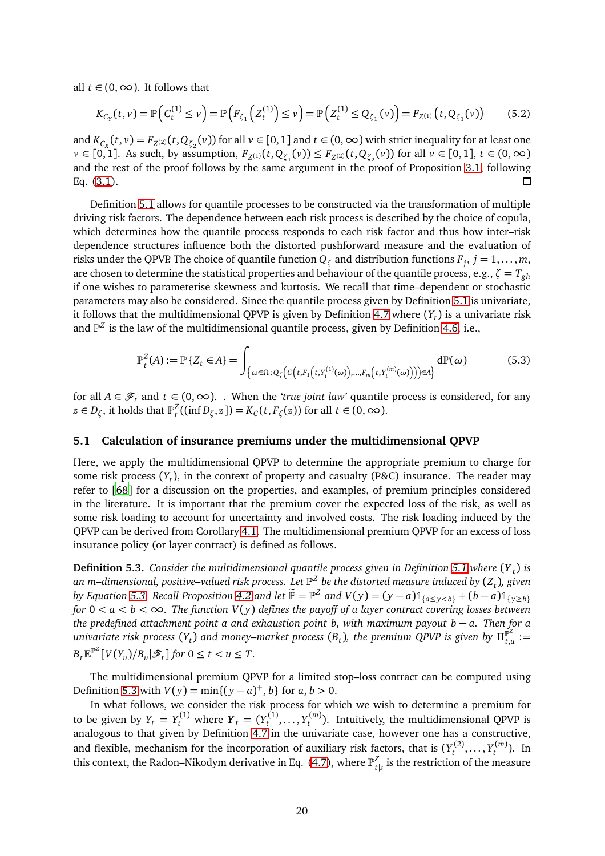all  $t \in (0, \infty)$ . It follows that

$$
K_{C_Y}(t,\nu) = \mathbb{P}\left(C_t^{(1)} \le \nu\right) = \mathbb{P}\left(F_{\zeta_1}\left(Z_t^{(1)}\right) \le \nu\right) = \mathbb{P}\left(Z_t^{(1)} \le Q_{\zeta_1}(\nu)\right) = F_{Z^{(1)}}\left(t, Q_{\zeta_1}(\nu)\right) \tag{5.2}
$$

and  $K_{C_X}(t,v) = F_{Z^{(2)}}(t,Q_{\zeta_2}(v))$  for all  $v \in [0,1]$  and  $t \in (0,\infty)$  with strict inequality for at least one *v* ∈ [0, 1]. As such, by assumption,  $F_{Z^{(1)}}(t, Q_{\zeta_1}(v)) \le F_{Z^{(2)}}(t, Q_{\zeta_2}(v))$  for all  $v \in [0, 1]$ ,  $t \in (0, \infty)$ and the rest of the proof follows by the same argument in the proof of Proposition [3.1,](#page-6-2) following Eq. [\(3.1\)](#page-6-1).  $\Box$ 

Definition [5.1](#page-18-1) allows for quantile processes to be constructed via the transformation of multiple driving risk factors. The dependence between each risk process is described by the choice of copula, which determines how the quantile process responds to each risk factor and thus how inter–risk dependence structures influence both the distorted pushforward measure and the evaluation of risks under the QPVP. The choice of quantile function  $Q_\zeta$  and distribution functions  $F_j, j = 1, \ldots, m$ , are chosen to determine the statistical properties and behaviour of the quantile process, e.g.,  $\zeta = T_{gh}$ if one wishes to parameterise skewness and kurtosis. We recall that time–dependent or stochastic parameters may also be considered. Since the quantile process given by Definition [5.1](#page-18-1) is univariate, it follows that the multidimensional QPVP is given by Definition [4.7](#page-13-2) where  $(Y_t)$  is a univariate risk and  $\mathbb{P}^Z$  is the law of the multidimensional quantile process, given by Definition [4.6,](#page-13-3) i.e.,

<span id="page-19-0"></span>
$$
\mathbb{P}_t^Z(A) := \mathbb{P}\left\{Z_t \in A\right\} = \int_{\{\omega \in \Omega : Q_{\zeta}\left(c\left(t, F_1\left(t, Y_t^{(1)}(\omega)\right), \dots, F_m\left(t, Y_t^{(m)}(\omega)\right)\right)\right) \in A\}} d\mathbb{P}(\omega) \tag{5.3}
$$

for all  $A \in \mathscr{F}_t$  and  $t \in (0, \infty)$ . When the *'true joint law'* quantile process is considered, for any  $z \in D_{\zeta}$ , it holds that  $\mathbb{P}_{t}^{Z}((\inf D_{\zeta}, z]) = K_{C}(t, F_{\zeta}(z))$  for all  $t \in (0, \infty)$ .

#### **5.1 Calculation of insurance premiums under the multidimensional QPVP**

Here, we apply the multidimensional QPVP to determine the appropriate premium to charge for some risk process (*Y<sup>t</sup>* ), in the context of property and casualty (P&C) insurance. The reader may refer to [[68](#page-23-16)] for a discussion on the properties, and examples, of premium principles considered in the literature. It is important that the premium cover the expected loss of the risk, as well as some risk loading to account for uncertainty and involved costs. The risk loading induced by the QPVP can be derived from Corollary [4.1.](#page-12-0) The multidimensional premium QPVP for an excess of loss insurance policy (or layer contract) is defined as follows.

<span id="page-19-1"></span>**Definition 5.3.** *Consider the multidimensional quantile process given in Definition [5.1](#page-18-1) where* (*Y <sup>t</sup>* ) *is an m–dimensional, positive–valued risk process. Let* P *Z be the distorted measure induced by* (*Z<sup>t</sup>* )*, given* by Equation [5.3.](#page-19-0) Recall Proposition [4.2](#page-11-0) and let  $\widetilde{P} = P^Z$  and  $V(y) = (y - a)1_{\{a \le y < b\}} + (b - a)1_{\{y \ge b\}}$ *for*  $0 < a < b < \infty$ . The function  $V(y)$  defines the payoff of a layer contract covering losses between *the predefined attachment point a and exhaustion point b, with maximum payout b* − *a. Then for a univariate risk process*  $(Y_t)$  and money–market process  $(B_t)$ , the premium QPVP is given by  $\Pi_{t,i}^{\mathbb{P}^2}$  $f^{\mathbb{P}^{\mathbb{Z}}}_{t,u}:=$  $B_t \mathbb{E}^{\mathbb{P}^Z}[V(Y_u)/B_u | \mathcal{F}_t]$  for  $0 \le t < u \le T$ .

The multidimensional premium QPVP for a limited stop–loss contract can be computed using Definition [5.3](#page-19-1) with  $V(y) = min\{(y - a)^+, b\}$  for  $a, b > 0$ .

In what follows, we consider the risk process for which we wish to determine a premium for to be given by  $Y_t = Y_t^{(1)}$  where  $Y_t = (Y_t^{(1)}$  $Y_t^{(1)}, \ldots, Y_t^{(m)}$ *t* ). Intuitively, the multidimensional QPVP is analogous to that given by Definition [4.7](#page-13-2) in the univariate case, however one has a constructive, and flexible, mechanism for the incorporation of auxiliary risk factors, that is  $(Y_t^{(2)}$  $Y_t^{(2)}, \ldots, Y_t^{(m)}$ *t* ). In this context, the Radon–Nikodym derivative in Eq. [\(4.7\)](#page-14-1), where  $\mathbb{P}^Z_\epsilon$  $\frac{z}{t|s}$  is the restriction of the measure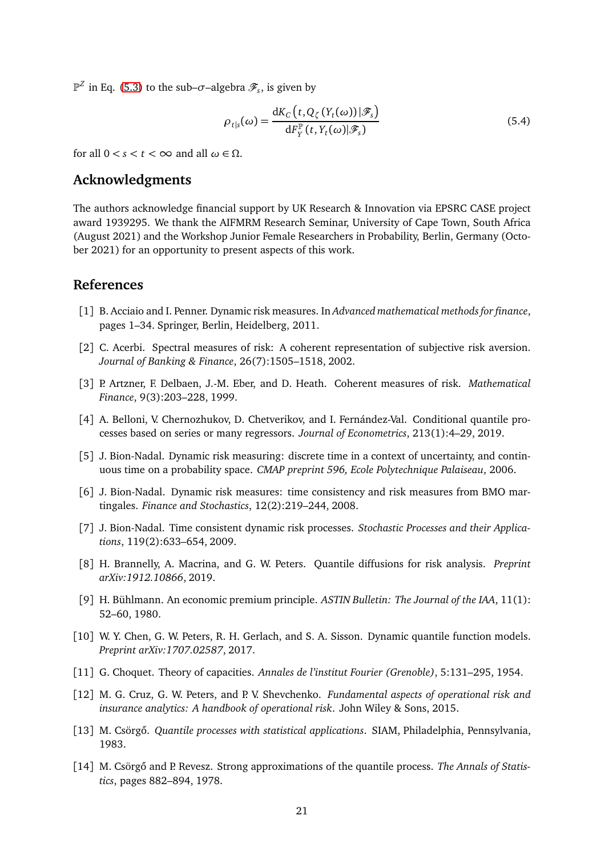$\mathbb{P}^Z$  in Eq. [\(5.3\)](#page-19-0) to the sub– $\sigma$ –algebra  $\mathscr{F}_s$ , is given by

$$
\rho_{t|s}(\omega) = \frac{dK_C(t, Q_{\zeta}(Y_t(\omega))|\mathcal{F}_s)}{dF_Y^{\mathbb{P}}(t, Y_t(\omega)|\mathcal{F}_s)}
$$
(5.4)

for all  $0 < s < t < \infty$  and all  $\omega \in \Omega$ .

### **Acknowledgments**

The authors acknowledge financial support by UK Research & Innovation via EPSRC CASE project award 1939295. We thank the AIFMRM Research Seminar, University of Cape Town, South Africa (August 2021) and the Workshop Junior Female Researchers in Probability, Berlin, Germany (October 2021) for an opportunity to present aspects of this work.

### **References**

- <span id="page-20-6"></span>[1] B. Acciaio and I. Penner. Dynamic risk measures. In *Advanced mathematical methods for finance*, pages 1–34. Springer, Berlin, Heidelberg, 2011.
- <span id="page-20-10"></span>[2] C. Acerbi. Spectral measures of risk: A coherent representation of subjective risk aversion. *Journal of Banking & Finance*, 26(7):1505–1518, 2002.
- <span id="page-20-11"></span>[3] P. Artzner, F. Delbaen, J.-M. Eber, and D. Heath. Coherent measures of risk. *Mathematical Finance*, 9(3):203–228, 1999.
- <span id="page-20-1"></span>[4] A. Belloni, V. Chernozhukov, D. Chetverikov, and I. Fernández-Val. Conditional quantile processes based on series or many regressors. *Journal of Econometrics*, 213(1):4–29, 2019.
- <span id="page-20-7"></span>[5] J. Bion-Nadal. Dynamic risk measuring: discrete time in a context of uncertainty, and continuous time on a probability space. *CMAP preprint 596, Ecole Polytechnique Palaiseau*, 2006.
- <span id="page-20-8"></span>[6] J. Bion-Nadal. Dynamic risk measures: time consistency and risk measures from BMO martingales. *Finance and Stochastics*, 12(2):219–244, 2008.
- <span id="page-20-9"></span>[7] J. Bion-Nadal. Time consistent dynamic risk processes. *Stochastic Processes and their Applications*, 119(2):633–654, 2009.
- <span id="page-20-0"></span>[8] H. Brannelly, A. Macrina, and G. W. Peters. Quantile diffusions for risk analysis. *Preprint arXiv:1912.10866*, 2019.
- <span id="page-20-13"></span>[9] H. Bühlmann. An economic premium principle. *ASTIN Bulletin: The Journal of the IAA*, 11(1): 52–60, 1980.
- <span id="page-20-2"></span>[10] W. Y. Chen, G. W. Peters, R. H. Gerlach, and S. A. Sisson. Dynamic quantile function models. *Preprint arXiv:1707.02587*, 2017.
- <span id="page-20-12"></span>[11] G. Choquet. Theory of capacities. *Annales de l'institut Fourier (Grenoble)*, 5:131–295, 1954.
- <span id="page-20-5"></span>[12] M. G. Cruz, G. W. Peters, and P. V. Shevchenko. *Fundamental aspects of operational risk and insurance analytics: A handbook of operational risk*. John Wiley & Sons, 2015.
- <span id="page-20-3"></span>[13] M. Csörgő. *Quantile processes with statistical applications*. SIAM, Philadelphia, Pennsylvania, 1983.
- <span id="page-20-4"></span>[14] M. Csörgő and P. Revesz. Strong approximations of the quantile process. *The Annals of Statistics*, pages 882–894, 1978.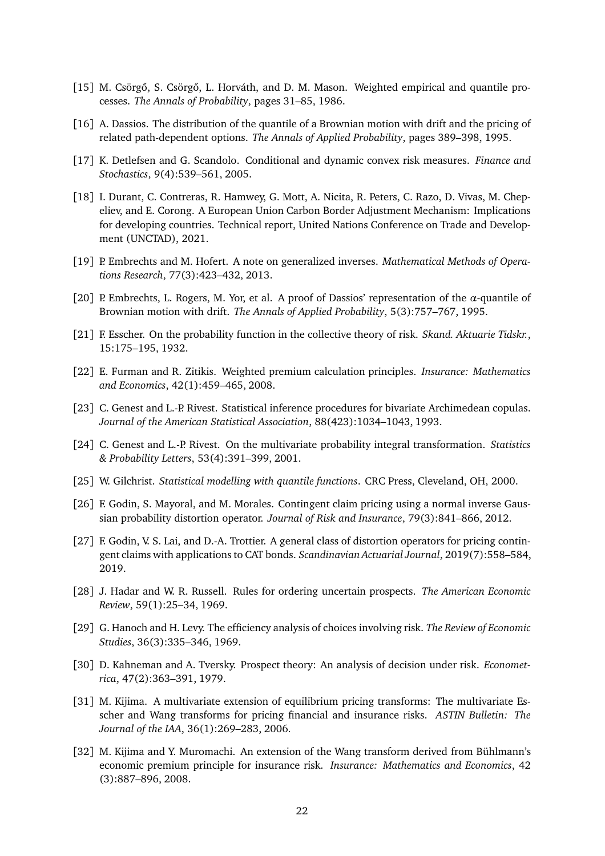- <span id="page-21-1"></span>[15] M. Csörgő, S. Csörgő, L. Horváth, and D. M. Mason. Weighted empirical and quantile processes. *The Annals of Probability*, pages 31–85, 1986.
- <span id="page-21-2"></span>[16] A. Dassios. The distribution of the quantile of a Brownian motion with drift and the pricing of related path-dependent options. *The Annals of Applied Probability*, pages 389–398, 1995.
- <span id="page-21-9"></span>[17] K. Detlefsen and G. Scandolo. Conditional and dynamic convex risk measures. *Finance and Stochastics*, 9(4):539–561, 2005.
- <span id="page-21-15"></span>[18] I. Durant, C. Contreras, R. Hamwey, G. Mott, A. Nicita, R. Peters, C. Razo, D. Vivas, M. Chepeliev, and E. Corong. A European Union Carbon Border Adjustment Mechanism: Implications for developing countries. Technical report, United Nations Conference on Trade and Development (UNCTAD), 2021.
- <span id="page-21-11"></span>[19] P. Embrechts and M. Hofert. A note on generalized inverses. *Mathematical Methods of Operations Research*, 77(3):423–432, 2013.
- <span id="page-21-3"></span>[20] P. Embrechts, L. Rogers, M. Yor, et al. A proof of Dassios' representation of the *α*-quantile of Brownian motion with drift. *The Annals of Applied Probability*, 5(3):757–767, 1995.
- <span id="page-21-7"></span>[21] F. Esscher. On the probability function in the collective theory of risk. *Skand. Aktuarie Tidskr.*, 15:175–195, 1932.
- <span id="page-21-8"></span>[22] E. Furman and R. Zitikis. Weighted premium calculation principles. *Insurance: Mathematics and Economics*, 42(1):459–465, 2008.
- <span id="page-21-16"></span>[23] C. Genest and L.-P. Rivest. Statistical inference procedures for bivariate Archimedean copulas. *Journal of the American Statistical Association*, 88(423):1034–1043, 1993.
- <span id="page-21-17"></span>[24] C. Genest and L.-P. Rivest. On the multivariate probability integral transformation. *Statistics & Probability Letters*, 53(4):391–399, 2001.
- <span id="page-21-0"></span>[25] W. Gilchrist. *Statistical modelling with quantile functions*. CRC Press, Cleveland, OH, 2000.
- <span id="page-21-4"></span>[26] F. Godin, S. Mayoral, and M. Morales. Contingent claim pricing using a normal inverse Gaussian probability distortion operator. *Journal of Risk and Insurance*, 79(3):841–866, 2012.
- <span id="page-21-5"></span>[27] F. Godin, V. S. Lai, and D.-A. Trottier. A general class of distortion operators for pricing contingent claims with applications to CAT bonds. *Scandinavian Actuarial Journal*, 2019(7):558–584, 2019.
- <span id="page-21-12"></span>[28] J. Hadar and W. R. Russell. Rules for ordering uncertain prospects. *The American Economic Review*, 59(1):25–34, 1969.
- <span id="page-21-13"></span>[29] G. Hanoch and H. Levy. The efficiency analysis of choices involving risk. *The Review of Economic Studies*, 36(3):335–346, 1969.
- <span id="page-21-10"></span>[30] D. Kahneman and A. Tversky. Prospect theory: An analysis of decision under risk. *Econometrica*, 47(2):363–391, 1979.
- <span id="page-21-14"></span>[31] M. Kijima. A multivariate extension of equilibrium pricing transforms: The multivariate Esscher and Wang transforms for pricing financial and insurance risks. *ASTIN Bulletin: The Journal of the IAA*, 36(1):269–283, 2006.
- <span id="page-21-6"></span>[32] M. Kijima and Y. Muromachi. An extension of the Wang transform derived from Bühlmann's economic premium principle for insurance risk. *Insurance: Mathematics and Economics*, 42 (3):887–896, 2008.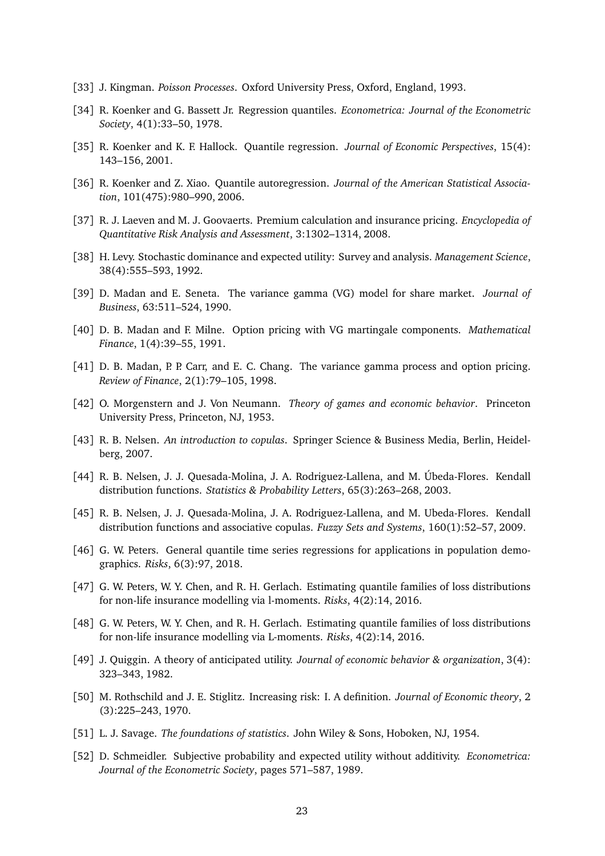- <span id="page-22-16"></span>[33] J. Kingman. *Poisson Processes*. Oxford University Press, Oxford, England, 1993.
- <span id="page-22-2"></span>[34] R. Koenker and G. Bassett Jr. Regression quantiles. *Econometrica: Journal of the Econometric Society*, 4(1):33–50, 1978.
- <span id="page-22-3"></span>[35] R. Koenker and K. F. Hallock. Quantile regression. *Journal of Economic Perspectives*, 15(4): 143–156, 2001.
- <span id="page-22-4"></span>[36] R. Koenker and Z. Xiao. Quantile autoregression. *Journal of the American Statistical Association*, 101(475):980–990, 2006.
- <span id="page-22-5"></span>[37] R. J. Laeven and M. J. Goovaerts. Premium calculation and insurance pricing. *Encyclopedia of Quantitative Risk Analysis and Assessment*, 3:1302–1314, 2008.
- <span id="page-22-11"></span>[38] H. Levy. Stochastic dominance and expected utility: Survey and analysis. *Management Science*, 38(4):555–593, 1992.
- <span id="page-22-17"></span>[39] D. Madan and E. Seneta. The variance gamma (VG) model for share market. *Journal of Business*, 63:511–524, 1990.
- <span id="page-22-18"></span>[40] D. B. Madan and F. Milne. Option pricing with VG martingale components. *Mathematical Finance*, 1(4):39–55, 1991.
- <span id="page-22-19"></span>[41] D. B. Madan, P. P. Carr, and E. C. Chang. The variance gamma process and option pricing. *Review of Finance*, 2(1):79–105, 1998.
- <span id="page-22-6"></span>[42] O. Morgenstern and J. Von Neumann. *Theory of games and economic behavior*. Princeton University Press, Princeton, NJ, 1953.
- <span id="page-22-13"></span>[43] R. B. Nelsen. *An introduction to copulas*. Springer Science & Business Media, Berlin, Heidelberg, 2007.
- <span id="page-22-14"></span>[44] R. B. Nelsen, J. J. Quesada-Molina, J. A. Rodriguez-Lallena, and M. Úbeda-Flores. Kendall distribution functions. *Statistics & Probability Letters*, 65(3):263–268, 2003.
- <span id="page-22-15"></span>[45] R. B. Nelsen, J. J. Quesada-Molina, J. A. Rodriguez-Lallena, and M. Ubeda-Flores. Kendall distribution functions and associative copulas. *Fuzzy Sets and Systems*, 160(1):52–57, 2009.
- <span id="page-22-1"></span>[46] G. W. Peters. General quantile time series regressions for applications in population demographics. *Risks*, 6(3):97, 2018.
- <span id="page-22-10"></span>[47] G. W. Peters, W. Y. Chen, and R. H. Gerlach. Estimating quantile families of loss distributions for non-life insurance modelling via l-moments. *Risks*, 4(2):14, 2016.
- <span id="page-22-0"></span>[48] G. W. Peters, W. Y. Chen, and R. H. Gerlach. Estimating quantile families of loss distributions for non-life insurance modelling via L-moments. *Risks*, 4(2):14, 2016.
- <span id="page-22-8"></span>[49] J. Quiggin. A theory of anticipated utility. *Journal of economic behavior & organization*, 3(4): 323–343, 1982.
- <span id="page-22-12"></span>[50] M. Rothschild and J. E. Stiglitz. Increasing risk: I. A definition. *Journal of Economic theory*, 2 (3):225–243, 1970.
- <span id="page-22-7"></span>[51] L. J. Savage. *The foundations of statistics*. John Wiley & Sons, Hoboken, NJ, 1954.
- <span id="page-22-9"></span>[52] D. Schmeidler. Subjective probability and expected utility without additivity. *Econometrica: Journal of the Econometric Society*, pages 571–587, 1989.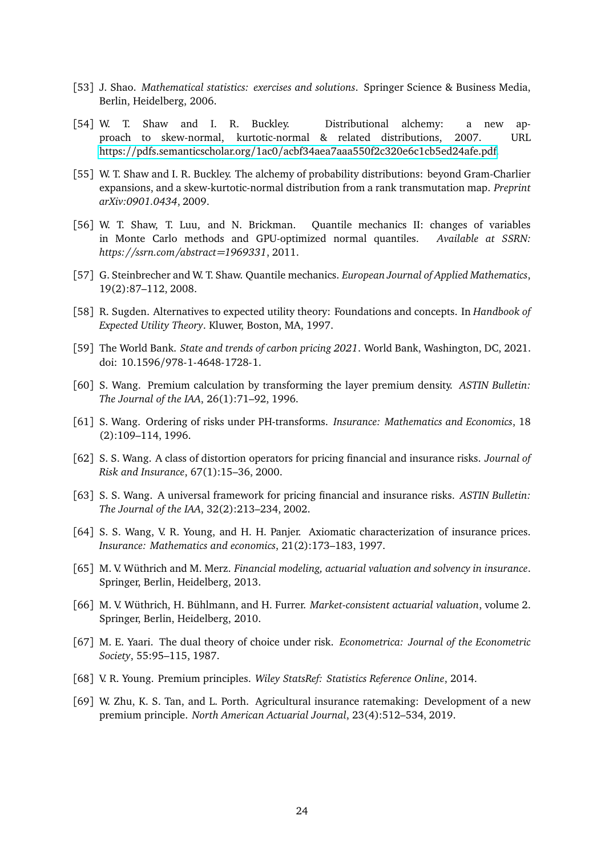- <span id="page-23-11"></span>[53] J. Shao. *Mathematical statistics: exercises and solutions*. Springer Science & Business Media, Berlin, Heidelberg, 2006.
- <span id="page-23-0"></span>[54] W. T. Shaw and I. R. Buckley. Distributional alchemy: a new approach to skew-normal, kurtotic-normal & related distributions, 2007. URL https://pdfs.semanticscholar.org/1ac0/[acbf34aea7aaa550f2c320e6c1cb5ed24afe.pdf.](https://pdfs.semanticscholar.org/1ac0/acbf34aea7aaa550f2c320e6c1cb5ed24afe.pdf)
- <span id="page-23-1"></span>[55] W. T. Shaw and I. R. Buckley. The alchemy of probability distributions: beyond Gram-Charlier expansions, and a skew-kurtotic-normal distribution from a rank transmutation map. *Preprint arXiv:0901.0434*, 2009.
- <span id="page-23-2"></span>[56] W. T. Shaw, T. Luu, and N. Brickman. Quantile mechanics II: changes of variables in Monte Carlo methods and GPU-optimized normal quantiles. *Available at SSRN: https://ssrn.com/abstract=1969331*, 2011.
- <span id="page-23-3"></span>[57] G. Steinbrecher and W. T. Shaw. Quantile mechanics. *European Journal of Applied Mathematics*, 19(2):87–112, 2008.
- <span id="page-23-9"></span>[58] R. Sugden. Alternatives to expected utility theory: Foundations and concepts. In *Handbook of Expected Utility Theory*. Kluwer, Boston, MA, 1997.
- <span id="page-23-15"></span>[59] The World Bank. *State and trends of carbon pricing 2021*. World Bank, Washington, DC, 2021. doi: 10.1596/978-1-4648-1728-1.
- <span id="page-23-6"></span>[60] S. Wang. Premium calculation by transforming the layer premium density. *ASTIN Bulletin: The Journal of the IAA*, 26(1):71–92, 1996.
- <span id="page-23-7"></span>[61] S. Wang. Ordering of risks under PH-transforms. *Insurance: Mathematics and Economics*, 18 (2):109–114, 1996.
- <span id="page-23-4"></span>[62] S. S. Wang. A class of distortion operators for pricing financial and insurance risks. *Journal of Risk and Insurance*, 67(1):15–36, 2000.
- <span id="page-23-5"></span>[63] S. S. Wang. A universal framework for pricing financial and insurance risks. *ASTIN Bulletin: The Journal of the IAA*, 32(2):213–234, 2002.
- <span id="page-23-14"></span>[64] S. S. Wang, V. R. Young, and H. H. Panjer. Axiomatic characterization of insurance prices. *Insurance: Mathematics and economics*, 21(2):173–183, 1997.
- <span id="page-23-12"></span>[65] M. V. Wüthrich and M. Merz. *Financial modeling, actuarial valuation and solvency in insurance*. Springer, Berlin, Heidelberg, 2013.
- <span id="page-23-13"></span>[66] M. V. Wüthrich, H. Bühlmann, and H. Furrer. *Market-consistent actuarial valuation*, volume 2. Springer, Berlin, Heidelberg, 2010.
- <span id="page-23-8"></span>[67] M. E. Yaari. The dual theory of choice under risk. *Econometrica: Journal of the Econometric Society*, 55:95–115, 1987.
- <span id="page-23-16"></span>[68] V. R. Young. Premium principles. *Wiley StatsRef: Statistics Reference Online*, 2014.
- <span id="page-23-10"></span>[69] W. Zhu, K. S. Tan, and L. Porth. Agricultural insurance ratemaking: Development of a new premium principle. *North American Actuarial Journal*, 23(4):512–534, 2019.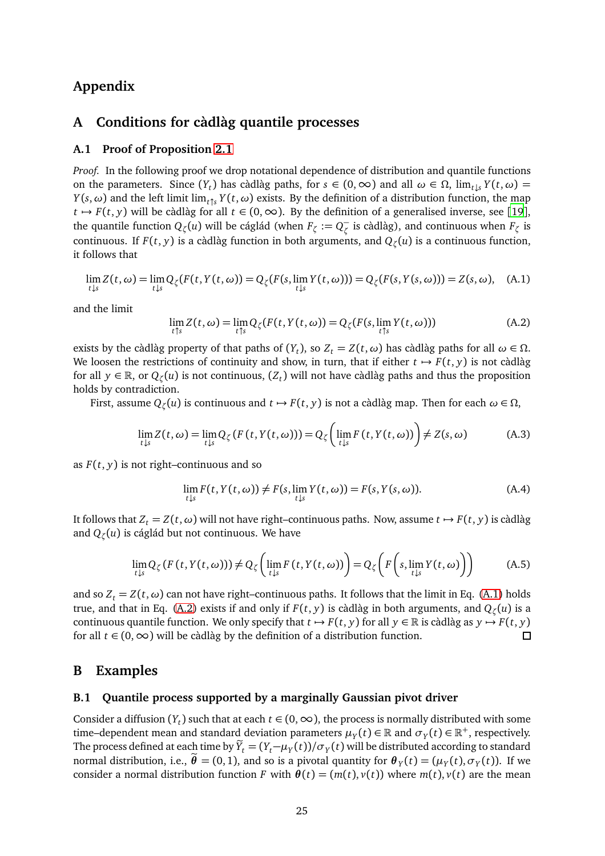### **Appendix**

### <span id="page-24-0"></span>**A Conditions for càdlàg quantile processes**

### **A.1 Proof of Proposition [2.1](#page-4-1)**

*Proof.* In the following proof we drop notational dependence of distribution and quantile functions on the parameters. Since  $(Y_t)$  has càdlàg paths, for  $s \in (0, \infty)$  and all  $\omega \in \Omega$ ,  $\lim_{t \downarrow s} Y(t, \omega) =$ *Y*(*s*,  $\omega$ ) and the left limit lim<sub>*t*↑</sub> *Y*(*t*,  $\omega$ ) exists. By the definition of a distribution function, the map *t*  $\rightarrow$  *F*(*t*, *y*) will be càdlàg for all *t* ∈ (0, ∞). By the definition of a generalised inverse, see [[19](#page-21-11)], the quantile function  $Q_\zeta(u)$  will be cáglád (when  $F_\zeta := Q_\zeta^-$  is càdlàg), and continuous when  $F_\zeta$  is continuous. If *F*(*t*, *y*) is a càdlàg function in both arguments, and *Q<sup>ζ</sup>* (*u*) is a continuous function, it follows that

<span id="page-24-2"></span>
$$
\lim_{t \downarrow s} Z(t, \omega) = \lim_{t \downarrow s} Q_{\zeta}(F(t, Y(t, \omega))) = Q_{\zeta}(F(s, \lim_{t \downarrow s} Y(t, \omega))) = Q_{\zeta}(F(s, Y(s, \omega))) = Z(s, \omega), \quad (A.1)
$$

and the limit

<span id="page-24-3"></span>
$$
\lim_{t \uparrow s} Z(t, \omega) = \lim_{t \uparrow s} Q_{\zeta}(F(t, Y(t, \omega))) = Q_{\zeta}(F(s, \lim_{t \uparrow s} Y(t, \omega)))
$$
\n(A.2)

exists by the càdlàg property of that paths of  $(Y_t)$ , so  $Z_t = Z(t, \omega)$  has càdlàg paths for all  $\omega \in \Omega$ . We loosen the restrictions of continuity and show, in turn, that if either  $t \mapsto F(t, y)$  is not càdlàg for all  $y \in \mathbb{R}$ , or  $Q_{\zeta}(u)$  is not continuous,  $(Z_t)$  will not have càdlàg paths and thus the proposition holds by contradiction.

First, assume  $Q_{\zeta}(u)$  is continuous and  $t \mapsto F(t, y)$  is not a càdlàg map. Then for each  $\omega \in \Omega$ ,

$$
\lim_{t \downarrow s} Z(t, \omega) = \lim_{t \downarrow s} Q_{\zeta}(F(t, Y(t, \omega))) = Q_{\zeta}\left(\lim_{t \downarrow s} F(t, Y(t, \omega))\right) \neq Z(s, \omega)
$$
\n(A.3)

as *F*(*t*, *y*) is not right–continuous and so

$$
\lim_{t \downarrow s} F(t, Y(t, \omega)) \neq F(s, \lim_{t \downarrow s} Y(t, \omega)) = F(s, Y(s, \omega)).
$$
\n(A.4)

It follows that  $Z_t = Z(t, \omega)$  will not have right–continuous paths. Now, assume  $t \mapsto F(t, y)$  is càdlàg and *Q<sup>ζ</sup>* (*u*) is cáglád but not continuous. We have

$$
\lim_{t \downarrow s} Q_{\zeta}(F(t, Y(t, \omega))) \neq Q_{\zeta}\left(\lim_{t \downarrow s} F(t, Y(t, \omega))\right) = Q_{\zeta}\left(F\left(s, \lim_{t \downarrow s} Y(t, \omega)\right)\right) \tag{A.5}
$$

and so  $Z_t = Z(t, \omega)$  can not have right–continuous paths. It follows that the limit in Eq. [\(A.1\)](#page-24-2) holds true, and that in Eq. [\(A.2\)](#page-24-3) exists if and only if  $F(t, y)$  is càdlàg in both arguments, and  $Q_\zeta(u)$  is a continuous quantile function. We only specify that  $t \mapsto F(t, y)$  for all  $y \in \mathbb{R}$  is càdlàg as  $y \mapsto F(t, y)$  for all  $t \in (0, \infty)$  will be càdlàg by the definition of a distribution function. for all  $t \in (0, ∞)$  will be càdlàg by the definition of a distribution function.

### <span id="page-24-1"></span>**B Examples**

### **B.1 Quantile process supported by a marginally Gaussian pivot driver**

Consider a diffusion ( $Y_t$ ) such that at each  $t \in (0, \infty)$ , the process is normally distributed with some time–dependent mean and standard deviation parameters  $\mu_Y(t) \in \mathbb{R}$  and  $\sigma_Y(t) \in \mathbb{R}^+$ , respectively. The process defined at each time by  $Y_t = (Y_t - \mu_Y(t))/\sigma_Y(t)$  will be distributed according to standard normal distribution, i.e.,  $\theta = (0,1)$ , and so is a pivotal quantity for  $\theta_Y(t) = (\mu_Y(t), \sigma_Y(t))$ . If we consider a normal distribution function *F* with  $\theta(t) = (m(t), v(t))$  where  $m(t), v(t)$  are the mean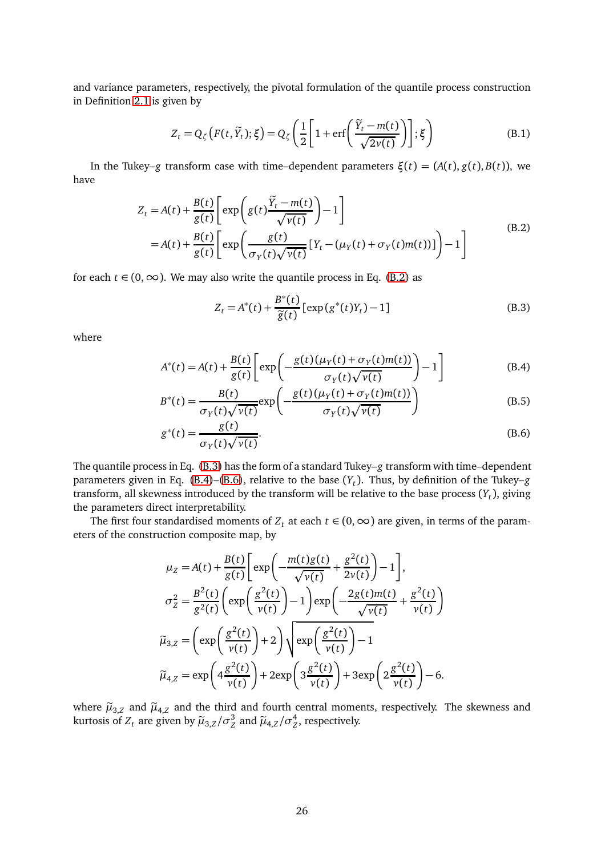and variance parameters, respectively, the pivotal formulation of the quantile process construction in Definition [2.1](#page-3-1) is given by

$$
Z_t = Q_{\zeta}\left(F(t, \widetilde{Y}_t); \xi\right) = Q_{\zeta}\left(\frac{1}{2}\left[1 + \text{erf}\left(\frac{\widetilde{Y}_t - m(t)}{\sqrt{2\nu(t)}}\right)\right]; \xi\right)
$$
(B.1)

In the Tukey–*g* transform case with time–dependent parameters *ξ*(*t*) = (*A*(*t*), *g*(*t*), *B*(*t*)), we have

$$
Z_{t} = A(t) + \frac{B(t)}{g(t)} \left[ \exp\left(g(t)\frac{\tilde{Y}_{t} - m(t)}{\sqrt{v(t)}}\right) - 1\right]
$$
  
=  $A(t) + \frac{B(t)}{g(t)} \left[ \exp\left(\frac{g(t)}{\sigma_{Y}(t)\sqrt{v(t)}} [Y_{t} - (\mu_{Y}(t) + \sigma_{Y}(t)m(t))] \right) - 1\right]$  (B.2)

<span id="page-25-0"></span>for each  $t \in (0, \infty)$ . We may also write the quantile process in Eq. [\(B.2\)](#page-25-0) as

<span id="page-25-3"></span><span id="page-25-2"></span><span id="page-25-1"></span>
$$
Z_{t} = A^{*}(t) + \frac{B^{*}(t)}{\tilde{g}(t)} [\exp(g^{*}(t)Y_{t}) - 1]
$$
 (B.3)

where

$$
A^*(t) = A(t) + \frac{B(t)}{g(t)} \left[ \exp\left(-\frac{g(t)(\mu_Y(t) + \sigma_Y(t)m(t))}{\sigma_Y(t)\sqrt{\nu(t)}}\right) - 1\right]
$$
(B.4)

$$
B^*(t) = \frac{B(t)}{\sigma_Y(t)\sqrt{\nu(t)}} \exp\left(-\frac{g(t)(\mu_Y(t) + \sigma_Y(t)m(t))}{\sigma_Y(t)\sqrt{\nu(t)}}\right)
$$
(B.5)

$$
g^*(t) = \frac{g(t)}{\sigma_Y(t)\sqrt{\nu(t)}}.\tag{B.6}
$$

The quantile process in Eq. [\(B.3\)](#page-25-1) has the form of a standard Tukey–*g* transform with time–dependent parameters given in Eq. [\(B.4\)](#page-25-2)–[\(B.6\)](#page-25-3), relative to the base (*Y<sup>t</sup>* ). Thus, by definition of the Tukey–*g* transform, all skewness introduced by the transform will be relative to the base process (*Y<sup>t</sup>* ), giving the parameters direct interpretability.

The first four standardised moments of  $Z_t$  at each  $t \in (0, \infty)$  are given, in terms of the parameters of the construction composite map, by

$$
\mu_Z = A(t) + \frac{B(t)}{g(t)} \left[ \exp\left(-\frac{m(t)g(t)}{\sqrt{v(t)}} + \frac{g^2(t)}{2v(t)}\right) - 1\right],
$$
  
\n
$$
\sigma_Z^2 = \frac{B^2(t)}{g^2(t)} \left( \exp\left(\frac{g^2(t)}{v(t)}\right) - 1\right) \exp\left(-\frac{2g(t)m(t)}{\sqrt{v(t)}} + \frac{g^2(t)}{v(t)}\right)
$$
  
\n
$$
\tilde{\mu}_{3,Z} = \left( \exp\left(\frac{g^2(t)}{v(t)}\right) + 2\right) \sqrt{\exp\left(\frac{g^2(t)}{v(t)}\right) - 1}
$$
  
\n
$$
\tilde{\mu}_{4,Z} = \exp\left(4\frac{g^2(t)}{v(t)}\right) + 2\exp\left(3\frac{g^2(t)}{v(t)}\right) + 3\exp\left(2\frac{g^2(t)}{v(t)}\right) - 6.
$$

where  $\tilde{\mu}_{3,Z}$  and  $\tilde{\mu}_{4,Z}$  and the third and fourth central moments, respectively. The skewness and kurtosis of  $Z_t$  are given by  $\widetilde{\mu}_{3,Z}/\sigma_Z^3$  and  $\widetilde{\mu}_{4,Z}/\sigma_Z^4$ , respectively.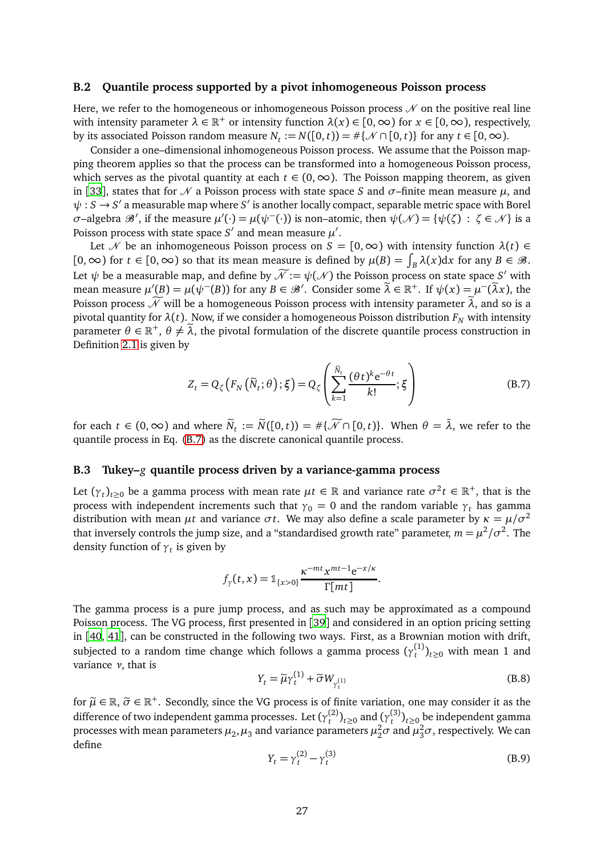#### **B.2 Quantile process supported by a pivot inhomogeneous Poisson process**

Here, we refer to the homogeneous or inhomogeneous Poisson process  $\mathcal N$  on the positive real line with intensity parameter  $\lambda \in \mathbb{R}^+$  or intensity function  $\lambda(x) \in [0,\infty)$  for  $x \in [0,\infty)$ , respectively, by its associated Poisson random measure  $N_t := N([0, t)) = #\{\mathcal{N} \cap [0, t)\}$  for any  $t \in [0, \infty)$ .

Consider a one–dimensional inhomogeneous Poisson process. We assume that the Poisson mapping theorem applies so that the process can be transformed into a homogeneous Poisson process, which serves as the pivotal quantity at each  $t \in (0, \infty)$ . The Poisson mapping theorem, as given in [[33](#page-22-16)], states that for  $\mathcal N$  a Poisson process with state space *S* and  $\sigma$ –finite mean measure  $\mu$ , and  $\psi: S \to S'$  a measurable map where  $S'$  is another locally compact, separable metric space with Borel *σ*−algebra  $\mathscr{B}'$ , if the measure  $\mu'(\cdot) = \mu(\psi^{-}(\cdot))$  is non–atomic, then  $\psi(\mathscr{N}) = {\psi(\zeta) : \zeta \in \mathscr{N}}$  is a Poisson process with state space  $S'$  and mean measure  $\mu'.$ 

Let N be an inhomogeneous Poisson process on  $S = [0, \infty)$  with intensity function  $\lambda(t) \in$  $[0, \infty)$  for  $t \in [0, \infty)$  so that its mean measure is defined by  $\mu(B) = \int_B \lambda(x) dx$  for any  $B \in \mathcal{B}$ . Let  $\psi$  be a measurable map, and define by  $\mathcal{N} := \psi(\mathcal{N})$  the Poisson process on state space *S'* with mean measure  $\mu'(B) = \mu(\psi^-(B))$  for any  $B \in \mathcal{B}'$ . Consider some  $\tilde{\lambda} \in \mathbb{R}^+$ . If  $\psi(x) = \mu^-(\tilde{\lambda}x)$ , the Poisson process  $\widetilde{\mathcal{N}}$  will be a homogeneous Poisson process with intensity parameter  $\lambda$ , and so is a pivotal quantity for  $\lambda(t)$ . Now, if we consider a homogeneous Poisson distribution  $F_N$  with intensity parameter  $\theta \in \mathbb{R}^+$ ,  $\theta \neq \tilde{\lambda}$ , the pivotal formulation of the discrete quantile process construction in Definition [2.1](#page-3-1) is given by

<span id="page-26-0"></span>
$$
Z_t = Q_{\zeta}\left(F_N\left(\widetilde{N}_t; \theta\right); \xi\right) = Q_{\zeta}\left(\sum_{k=1}^{\widetilde{N}_t} \frac{(\theta t)^k e^{-\theta t}}{k!}; \xi\right)
$$
(B.7)

for each  $t \in (0, \infty)$  and where  $\widetilde{N}_t := \widetilde{N}([0, t)) = \# \{ \widetilde{\mathcal{N}} \cap [0, t) \}$ . When  $\theta = \widetilde{\lambda}$ , we refer to the quantile process in Eq. [\(B.7\)](#page-26-0) as the discrete canonical quantile process.

#### **B.3 Tukey–***g* **quantile process driven by a variance-gamma process**

Let  $(\gamma_t)_{t\geq0}$  be a gamma process with mean rate  $\mu t \in \mathbb{R}$  and variance rate  $\sigma^2 t \in \mathbb{R}^+$ , that is the process with independent increments such that  $\gamma_0 = 0$  and the random variable  $\gamma_t$  has gamma distribution with mean  $\mu t$  and variance  $\sigma t$ . We may also define a scale parameter by  $\kappa = \mu/\sigma^2$ that inversely controls the jump size, and a "standardised growth rate" parameter,  $m = \mu^2/\sigma^2.$  The density function of *γ<sup>t</sup>* is given by

$$
f_{\gamma}(t,x) = \mathbb{1}_{\{x>0\}} \frac{\kappa^{-mt} x^{mt-1} e^{-x/\kappa}}{\Gamma[mt]}.
$$

The gamma process is a pure jump process, and as such may be approximated as a compound Poisson process. The VG process, first presented in [[39](#page-22-17)] and considered in an option pricing setting in [[40,](#page-22-18) [41](#page-22-19)], can be constructed in the following two ways. First, as a Brownian motion with drift, subjected to a random time change which follows a gamma process  $(\gamma_t^{(1)}$  $\binom{1}{t}$ <sub> $t \ge 0$ </sub> with mean 1 and variance *ν*, that is

$$
Y_t = \widetilde{\mu}\gamma_t^{(1)} + \widetilde{\sigma}W_{\gamma_t^{(1)}}
$$
\n(B.8)

for  $\tilde{\mu} \in \mathbb{R}$ ,  $\tilde{\sigma} \in \mathbb{R}^+$ . Secondly, since the VG process is of finite variation, one may consider it as the difference of two independent gamma processes. Let ( $\gamma_t^{(2)}$  $(t<sup>(2)</sup>)<sub>t≥0</sub>$  and  $(y<sup>(3)</sup><sub>t</sub>$  $(t^{(3)})_{t\geq0}$  be independent gamma processes with mean parameters  $\mu_2$ ,  $\mu_3$  and variance parameters  $\mu_2^2 \sigma$  and  $\mu_3^2 \sigma$ , respectively. We can define

$$
Y_t = \gamma_t^{(2)} - \gamma_t^{(3)}
$$
 (B.9)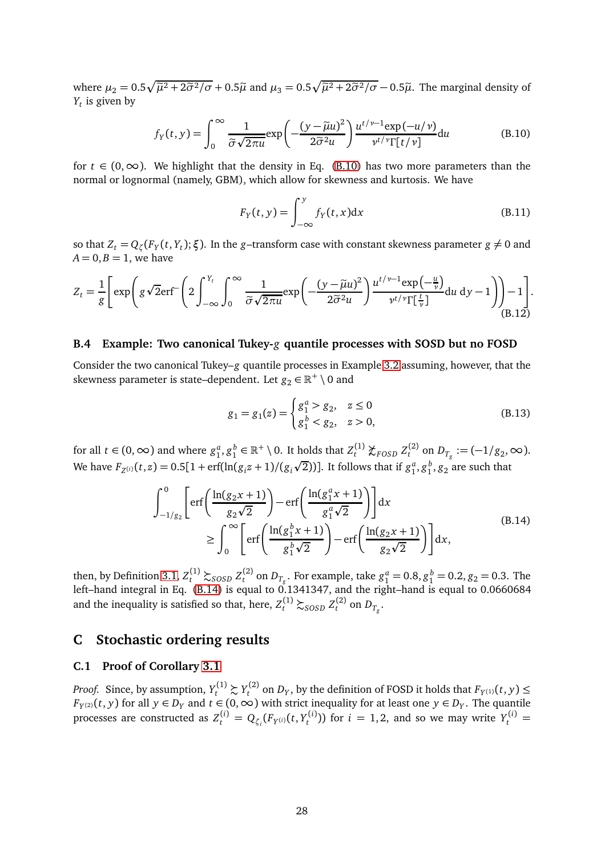where  $\mu_2 = 0.5\sqrt{\tilde{\mu}^2 + 2\tilde{\sigma}^2/\sigma} + 0.5\tilde{\mu}$  and  $\mu_3 = 0.5\sqrt{\tilde{\mu}^2 + 2\tilde{\sigma}^2/\sigma} - 0.5\tilde{\mu}$ . The marginal density of *Yt* is given by

<span id="page-27-1"></span>
$$
f_Y(t, y) = \int_0^\infty \frac{1}{\tilde{\sigma}\sqrt{2\pi u}} \exp\left(-\frac{(y - \tilde{\mu}u)^2}{2\tilde{\sigma}^2 u}\right) \frac{u^{t/\nu - 1} \exp(-u/\nu)}{\nu^{t/\nu} \Gamma[t/\nu]} du
$$
(B.10)

for  $t \in (0, \infty)$ . We highlight that the density in Eq. [\(B.10\)](#page-27-1) has two more parameters than the normal or lognormal (namely, GBM), which allow for skewness and kurtosis. We have

$$
F_Y(t, y) = \int_{-\infty}^{y} f_Y(t, x) dx
$$
 (B.11)

so that  $Z_t = Q_\zeta(F_Y(t,Y_t);\xi)$ . In the *g*–transform case with constant skewness parameter  $g \neq 0$  and  $A = 0, B = 1$ , we have

$$
Z_{t} = \frac{1}{g} \left[ \exp \left( g \sqrt{2} \text{erf}^{-} \left( 2 \int_{-\infty}^{Y_{t}} \int_{0}^{\infty} \frac{1}{\tilde{\sigma} \sqrt{2 \pi u}} \exp \left( -\frac{(y - \tilde{\mu} u)^{2}}{2 \tilde{\sigma}^{2} u} \right) \frac{u^{t/\nu - 1} \exp \left( -\frac{u}{\nu} \right)}{v^{t/\nu} \Gamma[\frac{t}{\nu}]} du \ dy - 1 \right) \right) - 1 \right].
$$
\n(B.12)

### **B.4 Example: Two canonical Tukey-***g* **quantile processes with SOSD but no FOSD**

Consider the two canonical Tukey–*g* quantile processes in Example [3.2](#page-10-4) assuming, however, that the skewness parameter is state–dependent. Let  $g_2 \in \mathbb{R}^+ \setminus 0$  and

$$
g_1 = g_1(z) = \begin{cases} g_1^a > g_2, & z \le 0\\ g_1^b < g_2, & z > 0, \end{cases}
$$
 (B.13)

for all  $t \in (0, \infty)$  and where  $g_1^a, g_1^b \in \mathbb{R}^+ \setminus 0$ . It holds that  $Z_t^{(1)}$  $Z_t^{(1)}$   $\chi$ <sub>FOSD</sub>  $Z_t^{(2)}$  $D_{T_g} := (-1/g_2, \infty).$ We have  $F_{Z^{(i)}}(t, z) = 0.5[1 + \text{erf}(\ln(g_i z + 1)/(g_i \sqrt{2}))]$ . It follows that if  $g_1^a, g_1^b, g_2^b$  are such that

$$
\int_{-1/g_2}^{0} \left[ \text{erf}\left(\frac{\ln(g_2 x + 1)}{g_2 \sqrt{2}}\right) - \text{erf}\left(\frac{\ln(g_1^a x + 1)}{g_1^a \sqrt{2}}\right) \right] dx
$$
\n
$$
\geq \int_{0}^{\infty} \left[ \text{erf}\left(\frac{\ln(g_1^b x + 1)}{g_1^b \sqrt{2}}\right) - \text{erf}\left(\frac{\ln(g_2 x + 1)}{g_2 \sqrt{2}}\right) \right] dx,
$$
\n(B.14)

<span id="page-27-2"></span>then, by Definition [3.1,](#page-6-0)  $Z_t^{(1)} \succsim_{SOSD} Z_t^{(2)}$  $g_t^{(2)}$  on  $D_{T_g}$ . For example, take  $g_1^a = 0.8, g_1^b = 0.2, g_2 = 0.3$ . The left–hand integral in Eq. [\(B.14\)](#page-27-2) is equal to 0.1341347, and the right–hand is equal to 0.0660684 and the inequality is satisfied so that, here,  $Z_t^{(1)} \succsim_{SOSD} Z_t^{(2)}$  $L_t^{(2)}$  on  $D_{T_g}$ .

### <span id="page-27-0"></span>**C Stochastic ordering results**

### **C.1 Proof of Corollary [3.1](#page-7-2)**

*Proof.* Since, by assumption,  $Y_t^{(1)} \succsim Y_t^{(2)}$  $T_t^{(2)}$  on  $D_y$ , by the definition of FOSD it holds that  $F_{Y^{(1)}}(t, y) \leq$ *F*<sub>*Y*</sub> $(x)$ (*t*, *y*) for all *y* ∈ *D*<sub>*Y*</sub> and *t* ∈ (0, ∞) with strict inequality for at least one *y* ∈ *D*<sub>*Y*</sub>. The quantile processes are constructed as  $Z_t^{(i)} = Q_{\zeta_i}(F_{Y^{(i)}}(t, Y_t^{(i)}))$  $Y_t^{(i)}$ )) for  $i = 1, 2$ , and so we may write  $Y_t^{(i)} =$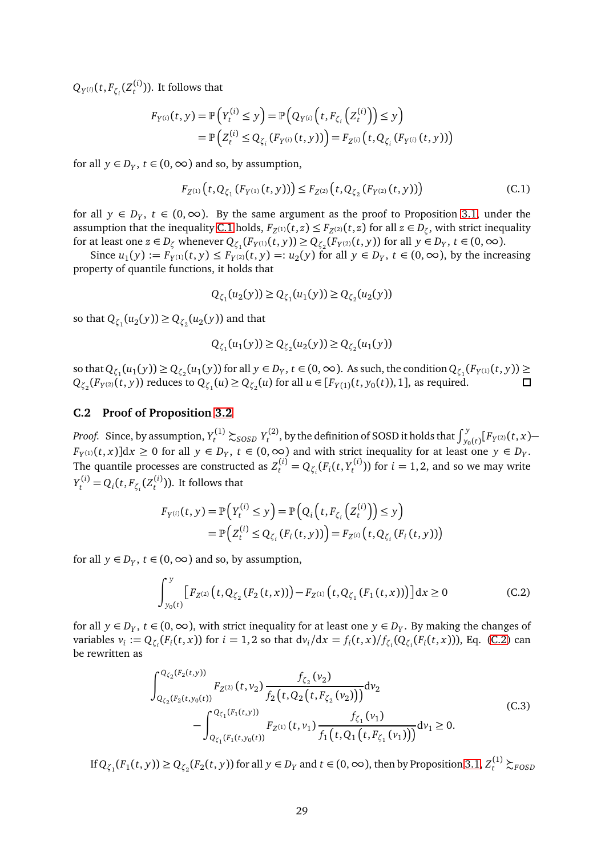$Q_{Y^{(i)}}(t, F_{\zeta_i}(Z_t^{(i)})$  $t^{(1)}_t$ )). It follows that

$$
F_{Y^{(i)}}(t, y) = \mathbb{P}\Big(Y_t^{(i)} \le y\Big) = \mathbb{P}\Big(Q_{Y^{(i)}}\Big(t, F_{\zeta_i}\Big(Z_t^{(i)}\Big)\Big) \le y\Big) = \mathbb{P}\Big(Z_t^{(i)} \le Q_{\zeta_i}\big(F_{Y^{(i)}}(t, y)\big)\Big) = F_{Z^{(i)}}\Big(t, Q_{\zeta_i}\big(F_{Y^{(i)}}(t, y)\big)\Big)
$$

for all  $y \in D_Y$ ,  $t \in (0, \infty)$  and so, by assumption,

<span id="page-28-0"></span>
$$
F_{Z^{(1)}}(t, Q_{\zeta_1}(F_{Y^{(1)}}(t, y))) \le F_{Z^{(2)}}(t, Q_{\zeta_2}(F_{Y^{(2)}}(t, y)))
$$
\n(C.1)

for all  $y \in D_Y$ ,  $t \in (0,\infty)$ . By the same argument as the proof to Proposition [3.1,](#page-6-2) under the assumption that the inequality [C.1](#page-28-0) holds,  $F_{Z^{(1)}}(t,z) \leq F_{Z^{(2)}}(t,z)$  for all  $z \in D_{\zeta}$ , with strict inequality for at least one  $z \in D_\zeta$  whenever  $Q_{\zeta_1}(F_{Y^{(1)}}(t,y)) \geq Q_{\zeta_2}(F_{Y^{(2)}}(t,y))$  for all  $y \in D_Y$ ,  $t \in (0,\infty)$ .

Since  $u_1(y) := F_{Y^{(1)}}(t, y) \le F_{Y^{(2)}}(t, y) =: u_2(y)$  for all  $y \in D_Y$ ,  $t \in (0, \infty)$ , by the increasing property of quantile functions, it holds that

$$
Q_{\zeta_1}(u_2(y)) \ge Q_{\zeta_1}(u_1(y)) \ge Q_{\zeta_2}(u_2(y))
$$

so that  $Q_{\zeta_1}(u_2(y)) \geq Q_{\zeta_2}(u_2(y))$  and that

$$
Q_{\zeta_1}(u_1(y)) \ge Q_{\zeta_2}(u_2(y)) \ge Q_{\zeta_2}(u_1(y))
$$

so that  $Q_{\zeta_1}(u_1(y)) \geq Q_{\zeta_2}(u_1(y))$  for all  $y \in D_Y$ ,  $t \in (0, \infty)$ . As such, the condition  $Q_{\zeta_1}(F_{Y^{(1)}}(t, y)) \geq$  $Q_{\zeta_2}(F_{Y^{(2)}}(t, y))$  reduces to  $Q_{\zeta_1}(u) \geq Q_{\zeta_2}(u)$  for all  $u \in [F_{Y(1)}(t, y_0(t)), 1]$ , as required.

### <span id="page-28-2"></span>**C.2 Proof of Proposition [3.2](#page-8-0)**

*Proof.* Since, by assumption,  $Y_t^{(1)} \succsim_{SOSD} Y_t^{(2)}$ *t*<sup>(2)</sup>, by the definition of SOSD it holds that  $\int_{y_0(t)}^y [F_{Y^{(2)}}(t,x) F_{Y^{(1)}}(t, x)$ ]d $x \ge 0$  for all  $y \in D_Y$ ,  $t \in (0, \infty)$  and with strict inequality for at least one  $y \in D_Y$ . The quantile processes are constructed as  $Z_t^{(i)} = Q_{\zeta_i}(F_i(t, Y_t^{(i)})$  $t_t^{(1)}$ )) for  $i = 1, 2$ , and so we may write  $Y_t^{(i)} = Q_i(t, F_{\zeta_i}(Z_t^{(i)})$  $t^{(1)}(t)$ ). It follows that

$$
F_{Y^{(i)}}(t, y) = \mathbb{P}\Big(Y_t^{(i)} \le y\Big) = \mathbb{P}\Big(Q_i\Big(t, F_{\zeta_i}\Big(Z_t^{(i)}\Big)\Big) \le y\Big) = \mathbb{P}\Big(Z_t^{(i)} \le Q_{\zeta_i}\big(F_i(t, y)\big)\Big) = F_{Z^{(i)}}\Big(t, Q_{\zeta_i}\big(F_i(t, y)\big)\Big)
$$

for all  $y \in D_Y$ ,  $t \in (0, \infty)$  and so, by assumption,

<span id="page-28-1"></span>
$$
\int_{y_0(t)}^{y} \left[ F_{Z^{(2)}}(t, Q_{\zeta_2}(F_2(t, x))) - F_{Z^{(1)}}(t, Q_{\zeta_1}(F_1(t, x))) \right] dx \ge 0
$$
 (C.2)

for all  $y \in D_Y$ ,  $t \in (0, \infty)$ , with strict inequality for at least one  $y \in D_Y$ . By making the changes of variables  $v_i := Q_{\zeta_i}(F_i(t,x))$  for  $i = 1,2$  so that  $dv_i/dx = f_i(t,x)/f_{\zeta_i}(Q_{\zeta_i}(F_i(t,x)))$ , Eq. [\(C.2\)](#page-28-1) can be rewritten as

$$
\int_{Q_{\zeta_2}(F_2(t,y_0(t)))}^{Q_{\zeta_2}(F_2(t,y_0))} F_{Z^{(2)}}(t,v_2) \frac{f_{\zeta_2}(v_2)}{f_2(t,Q_2(t,F_{\zeta_2}(v_2)))} dv_2
$$
\n
$$
-\int_{Q_{\zeta_1}(F_1(t,y_0(t)))}^{Q_{\zeta_1}(F_1(t,y))} F_{Z^{(1)}}(t,v_1) \frac{f_{\zeta_1}(v_1)}{f_1(t,Q_1(t,F_{\zeta_1}(v_1)))} dv_1 \ge 0.
$$
\n(C.3)

If  $Q_{\zeta_1}(F_1(t,y)) \geq Q_{\zeta_2}(F_2(t,y))$  for all  $y \in D_Y$  and  $t \in (0,\infty)$ , then by Proposition [3.1,](#page-6-2)  $Z_t^{(1)} \succsim_{FOSD}$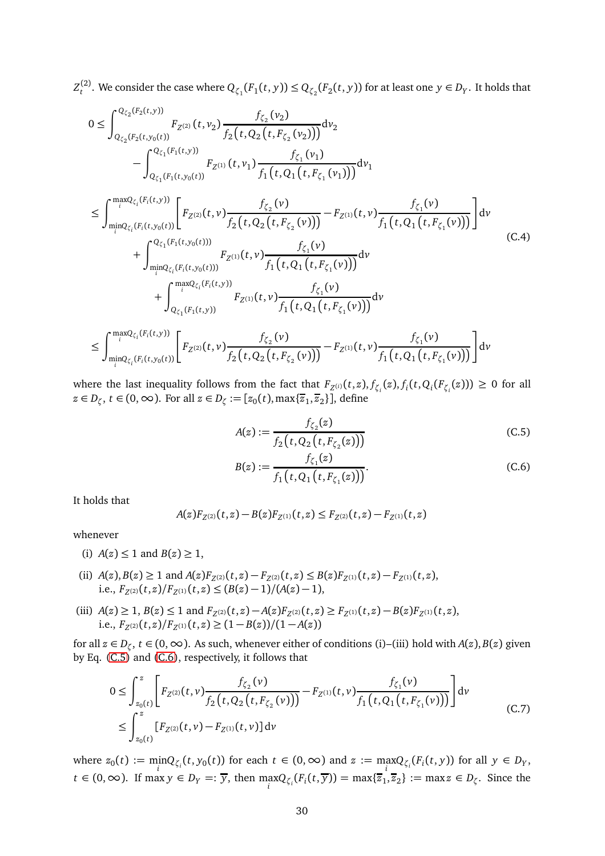$Z_t^{(2)}$  $Q_{\zeta_1}(F_1(t,y)) \leq Q_{\zeta_2}(F_2(t,y))$  for at least one  $y \in D_Y$ . It holds that

$$
0 \leq \int_{Q_{\zeta_2}(F_2(t,y))}^{Q_{\zeta_2}(F_2(t,y))} F_{Z^{(2)}}(t,v_2) \frac{f_{\zeta_2}(v_2)}{f_2(t,Q_2(t,F_{\zeta_2}(v_2)))} dv_2
$$
  
\n
$$
- \int_{Q_{\zeta_1}(F_1(t,y_0(t))}^{Q_{\zeta_1}(F_1(t,y_0))} F_{Z^{(1)}}(t,v_1) \frac{f_{\zeta_1}(v_1)}{f_1(t,Q_1(t,F_{\zeta_1}(v_1)))} dv_1
$$
  
\n
$$
\leq \int_{\min_{i}Q_{\zeta_i}(F_i(t,y_0(t)))}^{\max_{i}Q_{\zeta_i}(F_i(t,y_0(t))} \left[ F_{Z^{(2)}}(t,v) \frac{f_{\zeta_2}(v)}{f_2(t,Q_2(t,F_{\zeta_2}(v)))} - F_{Z^{(1)}}(t,v) \frac{f_{\zeta_1}(v)}{f_1(t,Q_1(t,F_{\zeta_1}(v)))} \right] dv
$$
  
\n
$$
+ \int_{\min_{i}Q_{\zeta_i}(F_i(t,y_0(t)))}^{Q_{\zeta_1}(F_i(t,y_0(t)))} F_{Z^{(1)}}(t,v) \frac{f_{\zeta_1}(v)}{f_1(t,Q_1(t,F_{\zeta_1}(v)))} dv
$$
  
\n
$$
+ \int_{Q_{\zeta_1}(F_1(t,y))}^{\max_{i}Q_{\zeta_i}(F_i(t,y_0))} F_{Z^{(1)}}(t,v) \frac{f_{\zeta_1}(v)}{f_1(t,Q_1(t,F_{\zeta_1}(v)))} dv
$$
  
\n
$$
\leq \int_{\min_{i}Q_{\zeta_i}(F_i(t,y_0(t)))}^{\max_{i}Q_{\zeta_i}(F_i(t,y))} \left[ F_{Z^{(2)}}(t,v) \frac{f_{\zeta_2}(v)}{f_2(t,Q_2(t,F_{\zeta_2}(v)))} - F_{Z^{(1)}}(t,v) \frac{f_{\zeta_1}(v)}{f_1(t,Q_1(t,F_{\zeta_1}(v)))} \right] dv
$$
  
\n(C.4)

where the last inequality follows from the fact that  $F_{Z^{(i)}}(t,z),f_{\zeta_i}(z),f_i(t,Q_i(F_{\zeta_i}(z)))\geq 0$  for all *z* ∈ *D*<sub> $\zeta$ </sub>, *t* ∈ (0, ∞). For all *z* ∈ *D*<sub> $\zeta$ </sub> := [ $z_0(t)$ , max $\{\overline{z}_1, \overline{z}_2\}$ ], define

<span id="page-29-0"></span>
$$
A(z) := \frac{f_{\zeta_2}(z)}{f_2(t, Q_2(t, F_{\zeta_2}(z)))}
$$
 (C.5)

<span id="page-29-1"></span>
$$
B(z) := \frac{f_{\zeta_1}(z)}{f_1(t, Q_1(t, F_{\zeta_1}(z)))}.
$$
 (C.6)

It holds that

$$
A(z)F_{Z^{(2)}}(t,z)-B(z)F_{Z^{(1)}}(t,z)\leq F_{Z^{(2)}}(t,z)-F_{Z^{(1)}}(t,z)
$$

whenever

- (i)  $A(z) \leq 1$  and  $B(z) \geq 1$ ,
- (ii)  $A(z), B(z) \ge 1$  and  $A(z)F_{Z^{(2)}}(t, z) F_{Z^{(2)}}(t, z) \le B(z)F_{Z^{(1)}}(t, z) F_{Z^{(1)}}(t, z)$ , i.e.,  $F_{Z^{(2)}}(t, z)/F_{Z^{(1)}}(t, z)$  ≤  $(B(z) - 1)/(A(z) - 1)$ ,
- (iii)  $A(z) \ge 1$ ,  $B(z) \le 1$  and  $F_{Z^{(2)}}(t, z) A(z)F_{Z^{(2)}}(t, z) \ge F_{Z^{(1)}}(t, z) B(z)F_{Z^{(1)}}(t, z)$ ,  $i.e., F_{Z^{(2)}}(t, z)/F_{Z^{(1)}}(t, z) \ge (1 - B(z))/(1 - A(z))$

for all  $z \in D_{\zeta}$ ,  $t \in (0, \infty)$ . As such, whenever either of conditions (i)–(iii) hold with  $A(z)$ ,  $B(z)$  given by Eq. [\(C.5\)](#page-29-0) and [\(C.6\)](#page-29-1), respectively, it follows that

<span id="page-29-2"></span>
$$
0 \leq \int_{z_0(t)}^{z} \left[ F_{Z^{(2)}}(t, v) \frac{f_{\zeta_2}(v)}{f_2(t, Q_2(t, F_{\zeta_2}(v)))} - F_{Z^{(1)}}(t, v) \frac{f_{\zeta_1}(v)}{f_1(t, Q_1(t, F_{\zeta_1}(v)))} \right] dv
$$
  
\n
$$
\leq \int_{z_0(t)}^{z} \left[ F_{Z^{(2)}}(t, v) - F_{Z^{(1)}}(t, v) \right] dv
$$
\n(C.7)

where  $z_0(t) := \min_i Q_{\zeta_i}(t, y_0(t))$  for each  $t \in (0, \infty)$  and  $z := \max_i Q_{\zeta_i}(F_i(t, y))$  for all  $y \in D_Y$ , *t* ∈ (0, ∞). If max *y* ∈ *D*<sub>*Y*</sub> =:  $\overline{y}$ , then  $\max_i Q_{\zeta_i}(F_i(t, \overline{y})) = \max\{\overline{z}_1, \overline{z}_2\} := \max z \in D_{\zeta}$ . Since the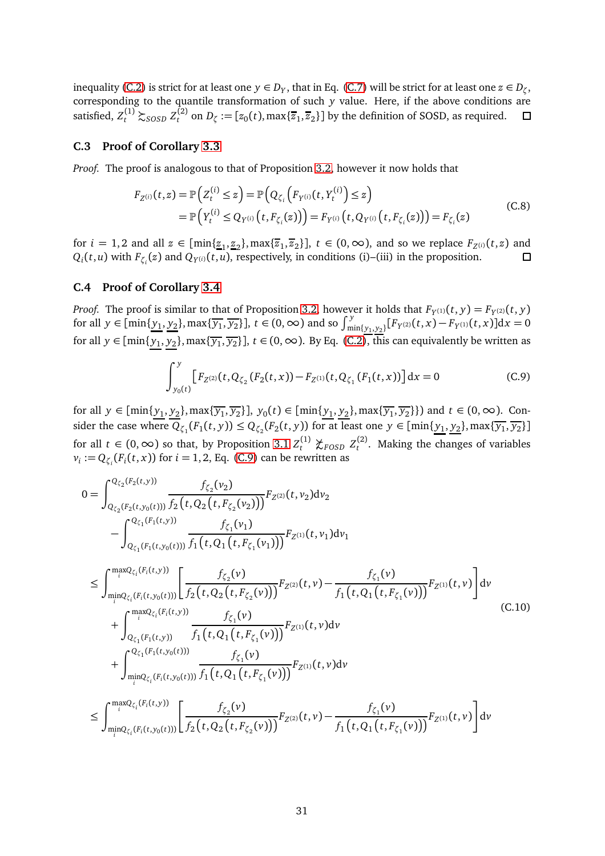inequality [\(C.2\)](#page-28-1) is strict for at least one  $y \in D_Y$ , that in Eq. [\(C.7\)](#page-29-2) will be strict for at least one  $z \in D_\zeta$ , corresponding to the quantile transformation of such *y* value. Here, if the above conditions are satisfied,  $Z_t^{(1)} \succsim_{SOSD} Z_t^{(2)}$  $t^{(2)}$  on  $D_{\zeta} := [z_0(t), \max\{\overline{z}_1, \overline{z}_2\}]$  by the definition of SOSD, as required.

#### **C.3 Proof of Corollary [3.3](#page-8-1)**

*Proof.* The proof is analogous to that of Proposition [3.2,](#page-8-0) however it now holds that

$$
F_{Z^{(i)}}(t,z) = \mathbb{P}\Big(Z_t^{(i)} \le z\Big) = \mathbb{P}\Big(Q_{\zeta_i}\Big(F_{Y^{(i)}}(t,Y_t^{(i)}) \le z\Big) \\ = \mathbb{P}\Big(Y_t^{(i)} \le Q_{Y^{(i)}}\Big(t,F_{\zeta_i}(z)\Big)\Big) = F_{Y^{(i)}}\Big(t,Q_{Y^{(i)}}\Big(t,F_{\zeta_i}(z)\Big)\Big) = F_{\zeta_i}(z)
$$
\n(C.8)

for  $i = 1, 2$  and all  $z \in [\min\{\underline{z}_1, \underline{z}_2\}, \max\{\overline{z}_1, \overline{z}_2\}]$ ,  $t \in (0, \infty)$ , and so we replace  $F_{Z^{(i)}}(t, z)$  and  $Q_i(t, u)$  with  $F_{\zeta_i}(z)$  and  $Q_{Y^{(i)}}(t, u)$ , respectively, in conditions (i)–(iii) in the proposition.

#### **C.4 Proof of Corollary [3.4](#page-8-2)**

*Proof.* The proof is similar to that of Proposition [3.2,](#page-8-0) however it holds that  $F_{Y^{(1)}}(t, y) = F_{Y^{(2)}}(t, y)$ for all  $y \in [\min\{\underline{y_1}, \underline{y_2}\}, \max\{\overline{y_1}, \overline{y_2}\}]$ ,  $t \in (0, \infty)$  and so  $\int_{\min\{\underline{y_1}, \underline{y_2}\}}^y [F_{Y^{(2)}}(t, x) - F_{Y^{(1)}}(t, x)] dx = 0$ for all  $y \in [\min\{\underline{y_1},\underline{y_2}\},\max\{\overline{y_1},\overline{y_2}\}]$ ,  $t \in (0,\infty)$ . By Eq. [\(C.2\)](#page-28-2), this can equivalently be written as

<span id="page-30-0"></span>
$$
\int_{y_0(t)}^y \left[ F_{Z^{(2)}}(t, Q_{\zeta_2}(F_2(t, x)) - F_{Z^{(1)}}(t, Q_{\zeta_1}(F_1(t, x))) \right] dx = 0
$$
\n(C.9)

for all *y* ∈ [min{ $y_1, y_2$ }, max{ $\overline{y_1}, \overline{y_2}$ },  $y_0(t)$  ∈ [min{ $y_1, y_2$ }, max{ $\overline{y_1}, \overline{y_2}$ }) and *t* ∈ (0, ∞). Consider the case where  $Q_{\zeta_1}(F_1(t,y)) \leq Q_{\zeta_2}(F_2(t,y))$  for at least one  $y \in [\min\{\underline{y_1},\underline{y_2}\},\max\{\overline{y_1},\overline{y_2}\}]$ for all  $t \in (0, \infty)$  so that, by Proposition [3.1](#page-6-2)  $Z_t^{(1)}$  $Z_t^{(1)}$   $\chi_{FOSD}$   $Z_t^{(2)}$  $t<sup>(2)</sup>$ . Making the changes of variables  $v_i := Q_{\zeta_i}(F_i(t,x))$  for  $i = 1, 2$ , Eq. [\(C.9\)](#page-30-0) can be rewritten as

$$
0 = \int_{Q_{\zeta_{2}}(F_{2}(t,y))}^{Q_{\zeta_{2}}(F_{2}(t,y))} \frac{f_{\zeta_{2}}(v_{2})}{f_{2}(t,Q_{2}(t,F_{\zeta_{2}}(v_{2})))} F_{Z^{(2)}}(t,v_{2}) dv_{2} - \int_{Q_{\zeta_{1}}(F_{1}(t,y_{0}(t)))}^{Q_{\zeta_{1}}(F_{1}(t,y))} \frac{f_{\zeta_{1}}(v_{1})}{f_{1}(t,Q_{1}(t,F_{\zeta_{1}}(v_{1})))} F_{Z^{(1)}}(t,v_{1}) dv_{1} \n\leq \int_{\min_{i}Q_{\zeta_{i}}(F_{i}(t,y))}^{\maxQ_{\zeta_{i}}(F_{i}(t,y))} \left[ \frac{f_{\zeta_{2}}(v)}{f_{2}(t,Q_{2}(t,F_{\zeta_{2}}(v)))} F_{Z^{(2)}}(t,v) - \frac{f_{\zeta_{1}}(v)}{f_{1}(t,Q_{1}(t,F_{\zeta_{1}}(v)))} F_{Z^{(1)}}(t,v) \right] dv + \int_{Q_{\zeta_{1}}(F_{1}(t,y))}^{\maxQ_{\zeta_{i}}(F_{i}(t,y))} \frac{f_{\zeta_{1}}(v)}{f_{1}(t,Q_{1}(t,F_{\zeta_{1}}(v)))} F_{Z^{(1)}}(t,v) dv + \int_{\min_{i}Q_{\zeta_{i}}(F_{i}(t,y_{0}(t)))}^{\maxQ_{\zeta_{i}}(F_{i}(t,y_{0}(t)))} \frac{f_{\zeta_{1}}(v)}{f_{1}(t,Q_{1}(t,F_{\zeta_{1}}(v)))} F_{Z^{(1)}}(t,v) dv \n\leq \int_{\min_{i}Q_{\zeta_{i}}(F_{i}(t,y_{0}(t)))}^{\maxQ_{\zeta_{i}}(F_{i}(t,y_{0}(t)))} \left[ \frac{f_{\zeta_{2}}(v)}{f_{2}(t,Q_{2}(t,F_{\zeta_{2}}(v)))} F_{Z^{(2)}}(t,v) - \frac{f_{\zeta_{1}}(v)}{f_{1}(t,Q_{1}(t,F_{\zeta_{1}}(v)))} F_{Z^{(1)}}(t,v) \right] dv
$$
\n(C.10)